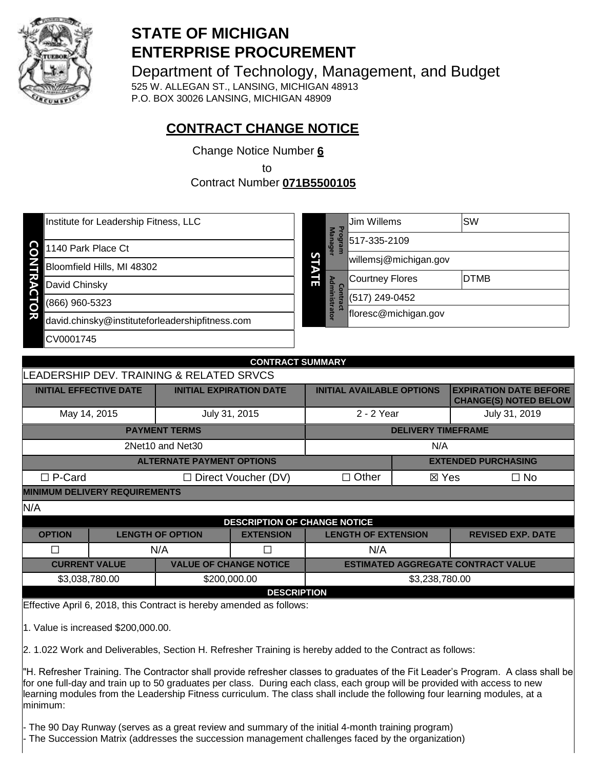

Department of Technology, Management, and Budget

525 W. ALLEGAN ST., LANSING, MICHIGAN 48913 P.O. BOX 30026 LANSING, MICHIGAN 48909

# **CONTRACT CHANGE NOTICE**

Change Notice Number **6**

to

Contract Number **071B5500105**

| Institute for Leadership Fitness, LLC           |               |                                        | Jim Willems            | SW          |
|-------------------------------------------------|---------------|----------------------------------------|------------------------|-------------|
| 1140 Park Place Ct                              |               | <b>Manager</b><br>ogra<br>Ē<br>inistra | 517-335-2109           |             |
| Bloomfield Hills, MI 48302                      | <b>G</b><br>п |                                        | willemsj@michigan.gov  |             |
| David Chinsky                                   |               |                                        | <b>Courtney Flores</b> | <b>DTMB</b> |
| (866) 960-5323                                  |               |                                        | (517) 249-0452         |             |
| david.chinsky@instituteforleadershipfitness.com |               |                                        | floresc@michigan.gov   |             |
| CV0001745                                       |               |                                        |                        |             |

| <b>CONTRACT SUMMARY</b>              |                                                                      |                                  |                                     |                                  |                           |                                                               |  |  |  |
|--------------------------------------|----------------------------------------------------------------------|----------------------------------|-------------------------------------|----------------------------------|---------------------------|---------------------------------------------------------------|--|--|--|
|                                      | LEADERSHIP DEV. TRAINING & RELATED SRVCS                             |                                  |                                     |                                  |                           |                                                               |  |  |  |
| <b>INITIAL EFFECTIVE DATE</b>        |                                                                      |                                  | <b>INITIAL EXPIRATION DATE</b>      | <b>INITIAL AVAILABLE OPTIONS</b> |                           | <b>EXPIRATION DATE BEFORE</b><br><b>CHANGE(S) NOTED BELOW</b> |  |  |  |
| May 14, 2015                         |                                                                      |                                  | July 31, 2015                       | 2 - 2 Year                       |                           | July 31, 2019                                                 |  |  |  |
|                                      |                                                                      | <b>PAYMENT TERMS</b>             |                                     |                                  | <b>DELIVERY TIMEFRAME</b> |                                                               |  |  |  |
|                                      |                                                                      | 2Net10 and Net30                 |                                     |                                  | N/A                       |                                                               |  |  |  |
|                                      |                                                                      | <b>ALTERNATE PAYMENT OPTIONS</b> |                                     |                                  |                           | <b>EXTENDED PURCHASING</b>                                    |  |  |  |
| $\Box$ P-Card                        |                                                                      |                                  | $\Box$ Direct Voucher (DV)          | $\Box$ Other                     | $\Box$ No<br>⊠ Yes        |                                                               |  |  |  |
| <b>MINIMUM DELIVERY REQUIREMENTS</b> |                                                                      |                                  |                                     |                                  |                           |                                                               |  |  |  |
| N/A                                  |                                                                      |                                  |                                     |                                  |                           |                                                               |  |  |  |
|                                      |                                                                      |                                  | <b>DESCRIPTION OF CHANGE NOTICE</b> |                                  |                           |                                                               |  |  |  |
| <b>OPTION</b>                        |                                                                      | <b>LENGTH OF OPTION</b>          | <b>EXTENSION</b>                    | <b>LENGTH OF EXTENSION</b>       |                           | <b>REVISED EXP. DATE</b>                                      |  |  |  |
| П                                    |                                                                      | N/A                              |                                     | N/A                              |                           |                                                               |  |  |  |
|                                      | <b>CURRENT VALUE</b>                                                 |                                  | <b>VALUE OF CHANGE NOTICE</b>       |                                  |                           | <b>ESTIMATED AGGREGATE CONTRACT VALUE</b>                     |  |  |  |
| \$200,000.00<br>\$3,038,780.00       |                                                                      |                                  | \$3,238,780.00                      |                                  |                           |                                                               |  |  |  |
| <b>DESCRIPTION</b>                   |                                                                      |                                  |                                     |                                  |                           |                                                               |  |  |  |
|                                      | Effective April 6, 2018, this Contract is hereby amended as follows: |                                  |                                     |                                  |                           |                                                               |  |  |  |

1. Value is increased \$200,000.00.

2. 1.022 Work and Deliverables, Section H. Refresher Training is hereby added to the Contract as follows:

"H. Refresher Training. The Contractor shall provide refresher classes to graduates of the Fit Leader's Program. A class shall be for one full-day and train up to 50 graduates per class. During each class, each group will be provided with access to new learning modules from the Leadership Fitness curriculum. The class shall include the following four learning modules, at a minimum:

The 90 Day Runway (serves as a great review and summary of the initial 4-month training program)

The Succession Matrix (addresses the succession management challenges faced by the organization)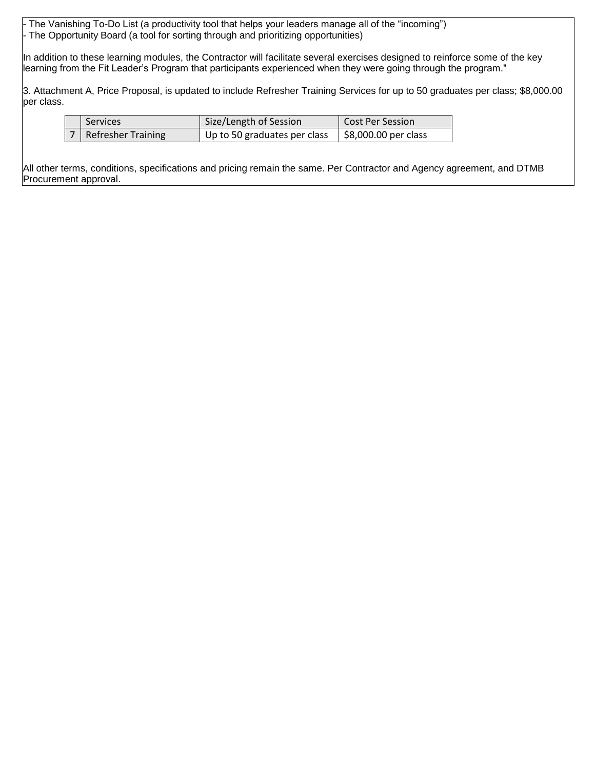The Vanishing To-Do List (a productivity tool that helps your leaders manage all of the "incoming") - The Opportunity Board (a tool for sorting through and prioritizing opportunities)

In addition to these learning modules, the Contractor will facilitate several exercises designed to reinforce some of the key learning from the Fit Leader's Program that participants experienced when they were going through the program."

3. Attachment A, Price Proposal, is updated to include Refresher Training Services for up to 50 graduates per class; \$8,000.00 per class.

| Services           | Size/Length of Session       | Cost Per Session                   |
|--------------------|------------------------------|------------------------------------|
| Refresher Training | Up to 50 graduates per class | $\frac{1}{2}$ \$8,000.00 per class |

All other terms, conditions, specifications and pricing remain the same. Per Contractor and Agency agreement, and DTMB Procurement approval.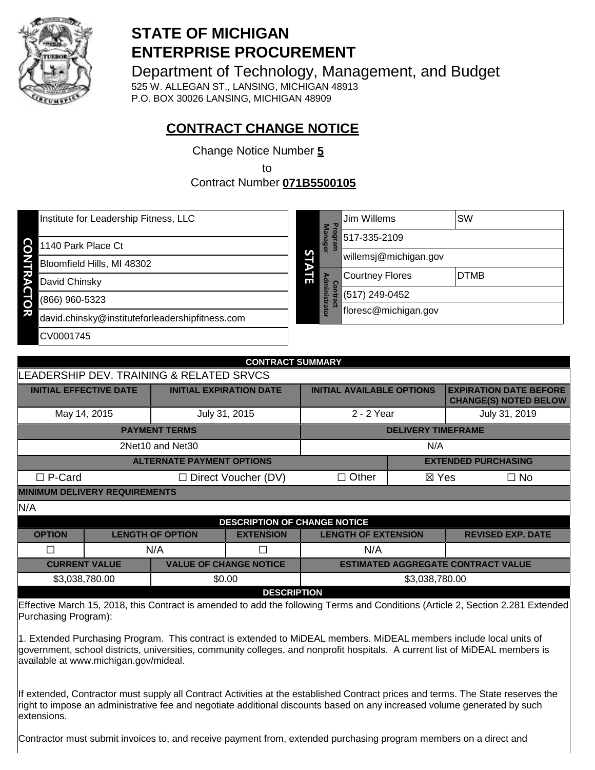

Department of Technology, Management, and Budget

525 W. ALLEGAN ST., LANSING, MICHIGAN 48913 P.O. BOX 30026 LANSING, MICHIGAN 48909

# **CONTRACT CHANGE NOTICE**

Change Notice Number **5**

to

Contract Number **071B5500105**

|                | Institute for Leadership Fitness, LLC<br>1140 Park Place Ct |   | Managel<br>မိ | Jim Willems           | <b>SW</b>   |  |
|----------------|-------------------------------------------------------------|---|---------------|-----------------------|-------------|--|
| 8              |                                                             |   |               | 517-335-2109          |             |  |
|                | Bloomfield Hills, MI 48302                                  | S |               | willemsj@michigan.gov |             |  |
|                | David Chinsky                                               |   | Ē             | Courtney Flores       | <b>DTMB</b> |  |
| (866) 960-5323 |                                                             |   | dministrato   | (517) 249-0452        |             |  |
| 丒              | david.chinsky@instituteforleadershipfitness.com             |   |               | floresc@michigan.gov  |             |  |
| CV0001745      |                                                             |   |               |                       |             |  |

|                                                       | <b>CONTRACT SUMMARY</b>                  |                                  |                                     |                                           |                           |                                                               |  |  |
|-------------------------------------------------------|------------------------------------------|----------------------------------|-------------------------------------|-------------------------------------------|---------------------------|---------------------------------------------------------------|--|--|
|                                                       | LEADERSHIP DEV. TRAINING & RELATED SRVCS |                                  |                                     |                                           |                           |                                                               |  |  |
|                                                       | <b>INITIAL EFFECTIVE DATE</b>            |                                  | <b>INITIAL EXPIRATION DATE</b>      | <b>INITIAL AVAILABLE OPTIONS</b>          |                           | <b>EXPIRATION DATE BEFORE</b><br><b>CHANGE(S) NOTED BELOW</b> |  |  |
|                                                       | May 14, 2015                             |                                  | July 31, 2015                       | 2 - 2 Year                                |                           | July 31, 2019                                                 |  |  |
|                                                       |                                          | <b>PAYMENT TERMS</b>             |                                     |                                           | <b>DELIVERY TIMEFRAME</b> |                                                               |  |  |
| 2Net10 and Net30                                      |                                          |                                  |                                     |                                           | N/A                       |                                                               |  |  |
|                                                       |                                          | <b>ALTERNATE PAYMENT OPTIONS</b> |                                     |                                           |                           | <b>EXTENDED PURCHASING</b>                                    |  |  |
| $\Box$ P-Card                                         |                                          |                                  | $\Box$ Direct Voucher (DV)          | $\Box$ Other                              | $\Box$ No<br>⊠ Yes        |                                                               |  |  |
|                                                       | <b>MINIMUM DELIVERY REQUIREMENTS</b>     |                                  |                                     |                                           |                           |                                                               |  |  |
| N/A                                                   |                                          |                                  |                                     |                                           |                           |                                                               |  |  |
|                                                       |                                          |                                  | <b>DESCRIPTION OF CHANGE NOTICE</b> |                                           |                           |                                                               |  |  |
| <b>OPTION</b>                                         |                                          | <b>LENGTH OF OPTION</b>          | <b>EXTENSION</b>                    | <b>LENGTH OF EXTENSION</b>                |                           | <b>REVISED EXP. DATE</b>                                      |  |  |
| П                                                     |                                          | N/A                              | П                                   | N/A                                       |                           |                                                               |  |  |
| <b>CURRENT VALUE</b><br><b>VALUE OF CHANGE NOTICE</b> |                                          |                                  |                                     | <b>ESTIMATED AGGREGATE CONTRACT VALUE</b> |                           |                                                               |  |  |
| \$3,038,780.00<br>\$0.00<br>\$3,038,780.00            |                                          |                                  |                                     |                                           |                           |                                                               |  |  |
|                                                       |                                          |                                  | <b>DESCRIPTION</b><br>.             |                                           |                           |                                                               |  |  |

Effective March 15, 2018, this Contract is amended to add the following Terms and Conditions (Article 2, Section 2.281 Extended Purchasing Program):

1. Extended Purchasing Program. This contract is extended to MiDEAL members. MiDEAL members include local units of government, school districts, universities, community colleges, and nonprofit hospitals. A current list of MiDEAL members is available at www.michigan.gov/mideal.

If extended, Contractor must supply all Contract Activities at the established Contract prices and terms. The State reserves the right to impose an administrative fee and negotiate additional discounts based on any increased volume generated by such extensions.

Contractor must submit invoices to, and receive payment from, extended purchasing program members on a direct and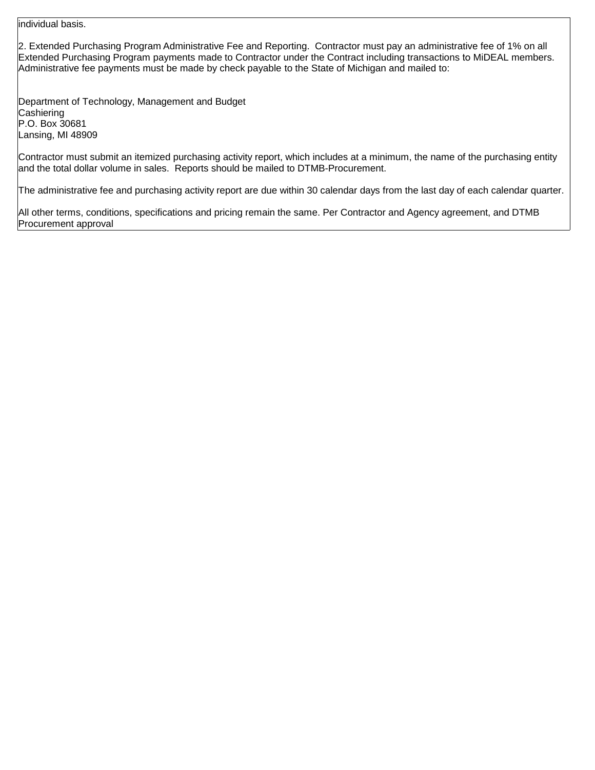individual basis.

2. Extended Purchasing Program Administrative Fee and Reporting. Contractor must pay an administrative fee of 1% on all Extended Purchasing Program payments made to Contractor under the Contract including transactions to MiDEAL members. Administrative fee payments must be made by check payable to the State of Michigan and mailed to:

Department of Technology, Management and Budget Cashiering P.O. Box 30681 Lansing, MI 48909

Contractor must submit an itemized purchasing activity report, which includes at a minimum, the name of the purchasing entity and the total dollar volume in sales. Reports should be mailed to DTMB-Procurement.

The administrative fee and purchasing activity report are due within 30 calendar days from the last day of each calendar quarter.

All other terms, conditions, specifications and pricing remain the same. Per Contractor and Agency agreement, and DTMB Procurement approval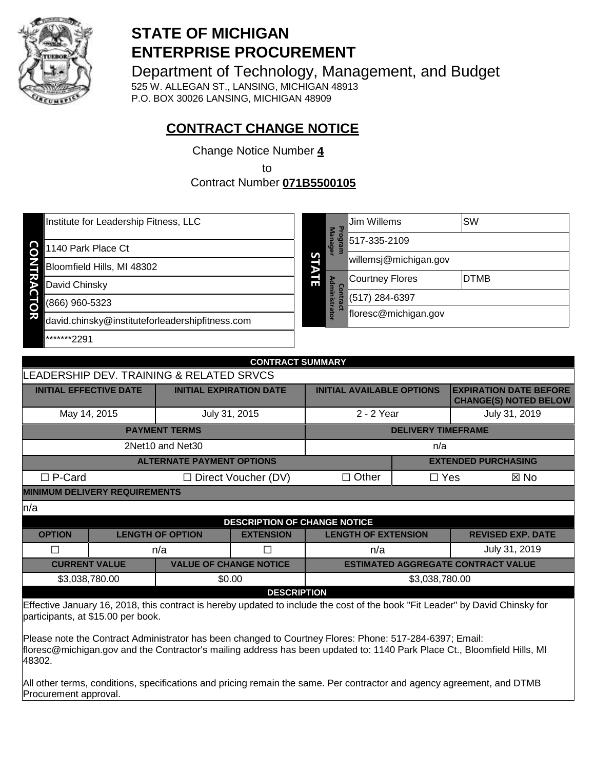

Department of Technology, Management, and Budget

525 W. ALLEGAN ST., LANSING, MICHIGAN 48913 P.O. BOX 30026 LANSING, MICHIGAN 48909

# **CONTRACT CHANGE NOTICE**

Change Notice Number **4**

to

Contract Number **071B5500105**

| Institute for Leadership Fitness, LLC           |   |                                        | <b>Jim Willems</b>     | SW          |  |
|-------------------------------------------------|---|----------------------------------------|------------------------|-------------|--|
| 1140 Park Place Ct                              |   | <b>Manager</b><br>ogra<br>Ξ<br>inistra | 517-335-2109           |             |  |
| Bloomfield Hills, MI 48302                      | ທ |                                        | willemsj@michigan.gov  |             |  |
| David Chinsky                                   | ш |                                        | <b>Courtney Flores</b> | <b>DTMB</b> |  |
| (866) 960-5323                                  |   |                                        | (517) 284-6397         |             |  |
| david.chinsky@instituteforleadershipfitness.com |   | ਨੋ                                     | floresc@michigan.gov   |             |  |
| *******2291                                     |   |                                        |                        |             |  |

| <b>CONTRACT SUMMARY</b>                               |                                            |                         |                                     |                            |                                                                                                   |                                                                                                                               |  |  |
|-------------------------------------------------------|--------------------------------------------|-------------------------|-------------------------------------|----------------------------|---------------------------------------------------------------------------------------------------|-------------------------------------------------------------------------------------------------------------------------------|--|--|
|                                                       | LEADERSHIP DEV. TRAINING & RELATED SRVCS   |                         |                                     |                            |                                                                                                   |                                                                                                                               |  |  |
|                                                       | <b>INITIAL EFFECTIVE DATE</b>              |                         | <b>INITIAL EXPIRATION DATE</b>      |                            | <b>INITIAL AVAILABLE OPTIONS</b><br><b>EXPIRATION DATE BEFORE</b><br><b>CHANGE(S) NOTED BELOW</b> |                                                                                                                               |  |  |
|                                                       | May 14, 2015                               |                         | July 31, 2015                       | 2 - 2 Year                 |                                                                                                   | July 31, 2019                                                                                                                 |  |  |
|                                                       |                                            | <b>PAYMENT TERMS</b>    |                                     |                            | <b>DELIVERY TIMEFRAME</b>                                                                         |                                                                                                                               |  |  |
| 2Net10 and Net30                                      |                                            |                         |                                     |                            | n/a                                                                                               |                                                                                                                               |  |  |
| <b>ALTERNATE PAYMENT OPTIONS</b>                      |                                            |                         |                                     |                            |                                                                                                   | <b>EXTENDED PURCHASING</b>                                                                                                    |  |  |
| $\Box$ P-Card                                         |                                            |                         | $\Box$ Direct Voucher (DV)          | $\Box$ Other               | $\Box$ Yes                                                                                        | $\boxtimes$ No                                                                                                                |  |  |
| <b>MINIMUM DELIVERY REQUIREMENTS</b>                  |                                            |                         |                                     |                            |                                                                                                   |                                                                                                                               |  |  |
| n/a                                                   |                                            |                         |                                     |                            |                                                                                                   |                                                                                                                               |  |  |
|                                                       |                                            |                         | <b>DESCRIPTION OF CHANGE NOTICE</b> |                            |                                                                                                   |                                                                                                                               |  |  |
| <b>OPTION</b>                                         |                                            | <b>LENGTH OF OPTION</b> | <b>EXTENSION</b>                    | <b>LENGTH OF EXTENSION</b> |                                                                                                   | <b>REVISED EXP. DATE</b>                                                                                                      |  |  |
| П                                                     |                                            | n/a                     | П                                   | n/a                        |                                                                                                   | July 31, 2019                                                                                                                 |  |  |
| <b>CURRENT VALUE</b><br><b>VALUE OF CHANGE NOTICE</b> |                                            |                         |                                     |                            | <b>ESTIMATED AGGREGATE CONTRACT VALUE</b>                                                         |                                                                                                                               |  |  |
|                                                       | \$3,038,780.00<br>\$0.00<br>\$3,038,780.00 |                         |                                     |                            |                                                                                                   |                                                                                                                               |  |  |
|                                                       |                                            |                         | <b>DESCRIPTION</b>                  |                            |                                                                                                   |                                                                                                                               |  |  |
|                                                       |                                            |                         |                                     |                            |                                                                                                   | Effective January 16, 2018, this contract is hereby updated to include the cost of the book "Fit Leader" by David Chinsky for |  |  |

participants, at \$15.00 per book.

Please note the Contract Administrator has been changed to Courtney Flores: Phone: 517-284-6397; Email: floresc@michigan.gov and the Contractor's mailing address has been updated to: 1140 Park Place Ct., Bloomfield Hills, MI 48302.

All other terms, conditions, specifications and pricing remain the same. Per contractor and agency agreement, and DTMB Procurement approval.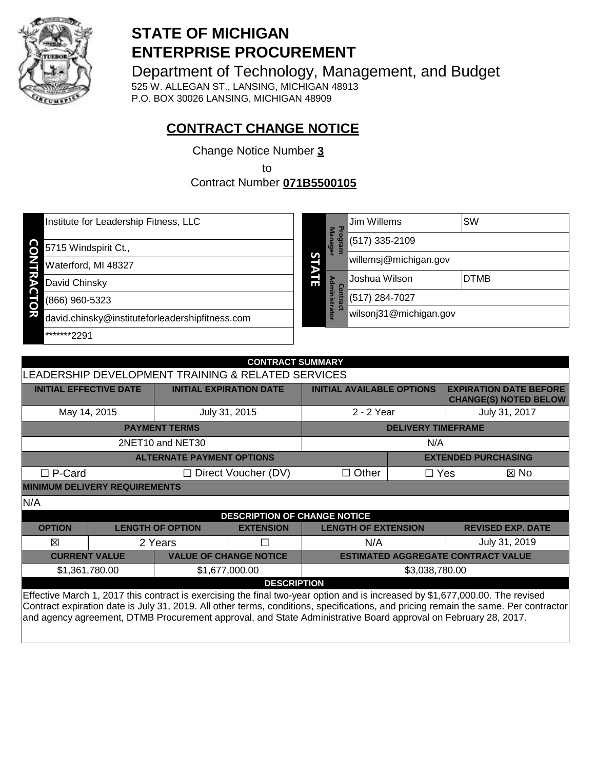

Department of Technology, Management, and Budget

525 W. ALLEGAN ST., LANSING, MICHIGAN 48913 P.O. BOX 30026 LANSING, MICHIGAN 48909

# **CONTRACT CHANGE NOTICE**

Change Notice Number **3**

to

Contract Number **071B5500105**

|                    | Institute for Leadership Fitness, LLC           |  | Program<br><b>Manager</b><br>1S<br>딂<br>$\frac{1}{2}$ | <b>Jim Willems</b>     | <b>SW</b>   |  |  |
|--------------------|-------------------------------------------------|--|-------------------------------------------------------|------------------------|-------------|--|--|
| ဥ                  | 5715 Windspirit Ct.,                            |  |                                                       | (517) 335-2109         |             |  |  |
|                    | Waterford, MI 48327                             |  |                                                       | willemsj@michigan.gov  |             |  |  |
| ᅎ<br>David Chinsky |                                                 |  |                                                       | Joshua Wilson          | <b>DTMB</b> |  |  |
| Ö                  | (866) 960-5323                                  |  | inistrator                                            | (517) 284-7027         |             |  |  |
| ᅯ                  | david.chinsky@instituteforleadershipfitness.com |  |                                                       | wilsonj31@michigan.gov |             |  |  |
|                    | *******2291                                     |  |                                                       |                        |             |  |  |

| <b>CONTRACT SUMMARY</b>              |                                                    |                         |                                     |                            |                                                                                                   |                                                                                                                                                                                                                                                                      |  |  |
|--------------------------------------|----------------------------------------------------|-------------------------|-------------------------------------|----------------------------|---------------------------------------------------------------------------------------------------|----------------------------------------------------------------------------------------------------------------------------------------------------------------------------------------------------------------------------------------------------------------------|--|--|
|                                      | LEADERSHIP DEVELOPMENT TRAINING & RELATED SERVICES |                         |                                     |                            |                                                                                                   |                                                                                                                                                                                                                                                                      |  |  |
| <b>INITIAL EFFECTIVE DATE</b>        |                                                    |                         | <b>INITIAL EXPIRATION DATE</b>      |                            | <b>INITIAL AVAILABLE OPTIONS</b><br><b>EXPIRATION DATE BEFORE</b><br><b>CHANGE(S) NOTED BELOW</b> |                                                                                                                                                                                                                                                                      |  |  |
| May 14, 2015                         |                                                    |                         | July 31, 2015                       | 2 - 2 Year                 |                                                                                                   | July 31, 2017                                                                                                                                                                                                                                                        |  |  |
|                                      |                                                    | <b>PAYMENT TERMS</b>    |                                     |                            | <b>DELIVERY TIMEFRAME</b>                                                                         |                                                                                                                                                                                                                                                                      |  |  |
|                                      |                                                    | 2NET10 and NET30        |                                     |                            | N/A                                                                                               |                                                                                                                                                                                                                                                                      |  |  |
| <b>ALTERNATE PAYMENT OPTIONS</b>     |                                                    |                         |                                     |                            |                                                                                                   | <b>EXTENDED PURCHASING</b>                                                                                                                                                                                                                                           |  |  |
| $\Box$ P-Card                        |                                                    |                         | □ Direct Voucher (DV)               | $\Box$ Other               | $\Box$ Yes<br>⊠ No                                                                                |                                                                                                                                                                                                                                                                      |  |  |
| <b>MINIMUM DELIVERY REQUIREMENTS</b> |                                                    |                         |                                     |                            |                                                                                                   |                                                                                                                                                                                                                                                                      |  |  |
| N/A                                  |                                                    |                         |                                     |                            |                                                                                                   |                                                                                                                                                                                                                                                                      |  |  |
|                                      |                                                    |                         | <b>DESCRIPTION OF CHANGE NOTICE</b> |                            |                                                                                                   |                                                                                                                                                                                                                                                                      |  |  |
| <b>OPTION</b>                        |                                                    | <b>LENGTH OF OPTION</b> | <b>EXTENSION</b>                    | <b>LENGTH OF EXTENSION</b> |                                                                                                   | <b>REVISED EXP. DATE</b>                                                                                                                                                                                                                                             |  |  |
| ⊠                                    |                                                    | 2 Years                 | П                                   | N/A                        |                                                                                                   | July 31, 2019                                                                                                                                                                                                                                                        |  |  |
| <b>CURRENT VALUE</b>                 |                                                    |                         | <b>VALUE OF CHANGE NOTICE</b>       |                            |                                                                                                   | <b>ESTIMATED AGGREGATE CONTRACT VALUE</b>                                                                                                                                                                                                                            |  |  |
|                                      | \$1,361,780.00<br>\$1,677,000.00<br>\$3,038,780.00 |                         |                                     |                            |                                                                                                   |                                                                                                                                                                                                                                                                      |  |  |
| <b>DESCRIPTION</b>                   |                                                    |                         |                                     |                            |                                                                                                   |                                                                                                                                                                                                                                                                      |  |  |
|                                      |                                                    |                         |                                     |                            |                                                                                                   | Effective March 1, 2017 this contract is exercising the final two-year option and is increased by \$1,677,000.00. The revised<br>Contract expiration date is July 31, 2019. All other terms, conditions, specifications, and pricing remain the same. Per contractor |  |  |

Contract expiration date is July 31, 2019. All other terms, conditions, specifications, and pricing remain the same. Per contractor and agency agreement, DTMB Procurement approval, and State Administrative Board approval on February 28, 2017.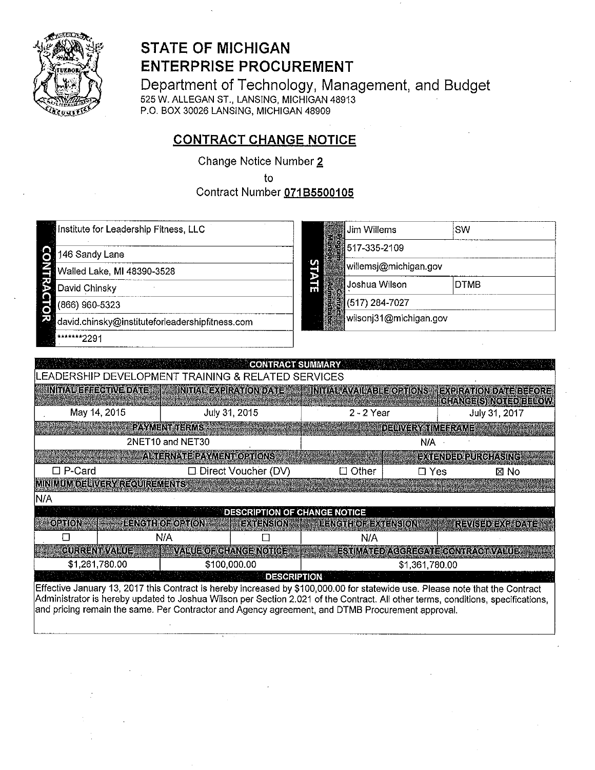

Department of Technology, Management, and Budget 525 W. ALLEGAN ST., LANSING, MICHIGAN 48913 P.O. BOX 30026 LANSING, MICHIGAN 48909

# **CONTRACT CHANGE NOTICE**

Change Notice Number 2

to

# Contract Number 071B5500105

|  | Institute for Leadership Fitness, LLC |
|--|---------------------------------------|
|  |                                       |

146 Sandy Lane

Walled Lake, MI 48390-3528

David Chinsky

(866) 960-5323

david.chinsky@instituteforleadershipfitness.com

\*\*\*\*\*\*\*2291

e<br>Ro

|  | <b>Jim Willems</b>     | SW   |  |  |  |  |
|--|------------------------|------|--|--|--|--|
|  | 517-335-2109           |      |  |  |  |  |
|  | willemsj@michigan.gov  |      |  |  |  |  |
|  | Joshua Wilson          | DTMB |  |  |  |  |
|  | (517) 284-7027         |      |  |  |  |  |
|  | wilsonj31@michigan.gov |      |  |  |  |  |
|  |                        |      |  |  |  |  |

| <b>CONTRACT SUMMARY</b>              |                                                    |                        |                              |                                  |                    |                                                                                                                               |  |  |  |
|--------------------------------------|----------------------------------------------------|------------------------|------------------------------|----------------------------------|--------------------|-------------------------------------------------------------------------------------------------------------------------------|--|--|--|
|                                      | LEADERSHIP DEVELOPMENT TRAINING & RELATED SERVICES |                        |                              |                                  |                    |                                                                                                                               |  |  |  |
| <b>INITIAL EFFECTIVE DATES</b>       |                                                    |                        | INITIAL EXPIRATION DATE:     | <b>INITIAL AVAILABLE OPTIONS</b> |                    | EXPIRATION DATE BEFORE                                                                                                        |  |  |  |
|                                      |                                                    |                        |                              |                                  |                    | <b>CHANGROMONEDEROW</b>                                                                                                       |  |  |  |
| May 14, 2015                         |                                                    |                        | July 31, 2015                | $2 - 2$ Year                     |                    | July 31, 2017                                                                                                                 |  |  |  |
|                                      |                                                    | <b>PAYMENT TERMS</b>   |                              |                                  | DELIVERY IIMERRAME |                                                                                                                               |  |  |  |
|                                      |                                                    | 2NET10 and NET30       |                              |                                  | N/A                |                                                                                                                               |  |  |  |
|                                      |                                                    | AGERVATERAYMENT ORTONS |                              |                                  |                    | i Xofendedirurghasing                                                                                                         |  |  |  |
| $\Box$ P-Card                        |                                                    |                        | $\Box$ Direct Voucher (DV)   | $\Box$ Other                     | $\Box$ Yes         | ⊠ No                                                                                                                          |  |  |  |
| <b>MINIMUM DELIVERY REQUIREMENTS</b> |                                                    |                        |                              |                                  |                    |                                                                                                                               |  |  |  |
| IN/A                                 |                                                    |                        |                              |                                  |                    |                                                                                                                               |  |  |  |
|                                      |                                                    |                        | DESCRIPTION OF CHANGE NOTICE |                                  |                    |                                                                                                                               |  |  |  |
| ORTION                               |                                                    | LENGTHOF OPTION        | <b>EXTENSION:</b>            | LENGTH OF EXTENSION              |                    | <b>REVISED EXP. DATE</b>                                                                                                      |  |  |  |
|                                      |                                                    | N/A                    |                              | N/A                              |                    |                                                                                                                               |  |  |  |
| <b>GURRENT VALUE</b>                 |                                                    |                        | VALUE OF CHANGE NOTICE.      |                                  |                    | ESTIMATED/ACCRECATE CONTRACT VALUE                                                                                            |  |  |  |
|                                      | \$1,261,780.00<br>\$100,000.00<br>\$1,361,780.00   |                        |                              |                                  |                    |                                                                                                                               |  |  |  |
|                                      | <b>DESCRIPTION</b>                                 |                        |                              |                                  |                    |                                                                                                                               |  |  |  |
|                                      |                                                    |                        |                              |                                  |                    | Effective January 13, 2017 this Contract is hereby increased by \$100,000.00 for statewide use. Please note that the Contract |  |  |  |

Administrator is hereby updated to Joshua Wilson per Section 2.021 of the Contract. All other terms, conditions, specifications, and pricing remain the same. Per Contractor and Agency agreement, and DTMB Procurement approval.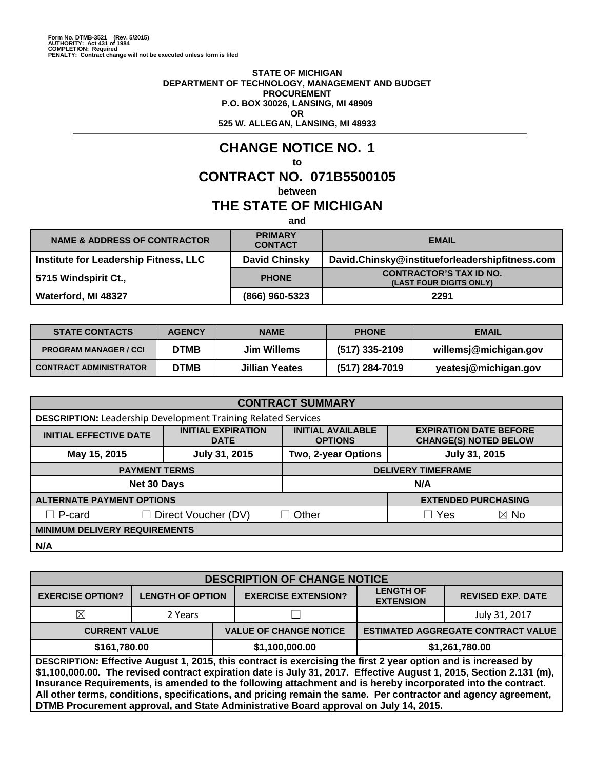#### **STATE OF MICHIGAN DEPARTMENT OF TECHNOLOGY, MANAGEMENT AND BUDGET PROCUREMENT P.O. BOX 30026, LANSING, MI 48909 OR 525 W. ALLEGAN, LANSING, MI 48933**

# **CHANGE NOTICE NO. 1**

**to**

**CONTRACT NO. 071B5500105**

**between**

# **THE STATE OF MICHIGAN**

**and**

| <b>NAME &amp; ADDRESS OF CONTRACTOR</b> | <b>PRIMARY</b><br><b>CONTACT</b> | <b>EMAIL</b>                                              |
|-----------------------------------------|----------------------------------|-----------------------------------------------------------|
| Institute for Leadership Fitness, LLC   | <b>David Chinsky</b>             | David.Chinsky@institueforleadershipfitness.com            |
| 5715 Windspirit Ct.,                    | <b>PHONE</b>                     | <b>CONTRACTOR'S TAX ID NO.</b><br>(LAST FOUR DIGITS ONLY) |
| Waterford, MI 48327                     | (866) 960-5323                   | 2291                                                      |

| <b>STATE CONTACTS</b>         | <b>AGENCY</b> | <b>NAME</b>    | <b>PHONE</b>   | <b>EMAIL</b>          |
|-------------------------------|---------------|----------------|----------------|-----------------------|
| <b>PROGRAM MANAGER / CCI</b>  | <b>DTMB</b>   | Jim Willems    | (517) 335-2109 | willemsj@michigan.gov |
| <b>CONTRACT ADMINISTRATOR</b> | <b>DTMB</b>   | Jillian Yeates | (517) 284-7019 | yeatesj@michigan.gov  |

| <b>CONTRACT SUMMARY</b>                                              |                                          |                                            |                                                               |                |  |  |  |
|----------------------------------------------------------------------|------------------------------------------|--------------------------------------------|---------------------------------------------------------------|----------------|--|--|--|
| <b>DESCRIPTION:</b> Leadership Development Training Related Services |                                          |                                            |                                                               |                |  |  |  |
| <b>INITIAL EFFECTIVE DATE</b>                                        | <b>INITIAL EXPIRATION</b><br><b>DATE</b> | <b>INITIAL AVAILABLE</b><br><b>OPTIONS</b> | <b>EXPIRATION DATE BEFORE</b><br><b>CHANGE(S) NOTED BELOW</b> |                |  |  |  |
| May 15, 2015                                                         | July 31, 2015                            | Two, 2-year Options                        | July 31, 2015                                                 |                |  |  |  |
| <b>PAYMENT TERMS</b>                                                 |                                          |                                            | <b>DELIVERY TIMEFRAME</b>                                     |                |  |  |  |
| Net 30 Days                                                          |                                          |                                            | N/A                                                           |                |  |  |  |
| <b>ALTERNATE PAYMENT OPTIONS</b>                                     |                                          |                                            | <b>EXTENDED PURCHASING</b>                                    |                |  |  |  |
| $\Box$ P-card                                                        | $\Box$ Direct Voucher (DV)               | $\Box$ Other                               | $\sqsupset$ Yes                                               | $\boxtimes$ No |  |  |  |
| <b>MINIMUM DELIVERY REQUIREMENTS</b>                                 |                                          |                                            |                                                               |                |  |  |  |
| N/A                                                                  |                                          |                                            |                                                               |                |  |  |  |

| <b>DESCRIPTION OF CHANGE NOTICE</b>                                                                                                                                                                                                                                                                                                                                                                                                                                                                                                                             |         |                         |                               |                                           |                |                                      |                          |
|-----------------------------------------------------------------------------------------------------------------------------------------------------------------------------------------------------------------------------------------------------------------------------------------------------------------------------------------------------------------------------------------------------------------------------------------------------------------------------------------------------------------------------------------------------------------|---------|-------------------------|-------------------------------|-------------------------------------------|----------------|--------------------------------------|--------------------------|
| <b>EXERCISE OPTION?</b>                                                                                                                                                                                                                                                                                                                                                                                                                                                                                                                                         |         | <b>LENGTH OF OPTION</b> |                               | <b>EXERCISE EXTENSION?</b>                |                | <b>LENGTH OF</b><br><b>EXTENSION</b> | <b>REVISED EXP. DATE</b> |
| X                                                                                                                                                                                                                                                                                                                                                                                                                                                                                                                                                               | 2 Years |                         |                               |                                           | July 31, 2017  |                                      |                          |
| <b>CURRENT VALUE</b>                                                                                                                                                                                                                                                                                                                                                                                                                                                                                                                                            |         |                         | <b>VALUE OF CHANGE NOTICE</b> | <b>ESTIMATED AGGREGATE CONTRACT VALUE</b> |                |                                      |                          |
| \$161,780.00                                                                                                                                                                                                                                                                                                                                                                                                                                                                                                                                                    |         |                         | \$1,100,000.00                |                                           | \$1,261,780.00 |                                      |                          |
| DESCRIPTION: Effective August 1, 2015, this contract is exercising the first 2 year option and is increased by<br>\$1,100,000.00. The revised contract expiration date is July 31, 2017. Effective August 1, 2015, Section 2.131 (m),<br>Insurance Requirements, is amended to the following attachment and is hereby incorporated into the contract.<br>All other terms, conditions, specifications, and pricing remain the same. Per contractor and agency agreement,<br>DTMB Procurement approval, and State Administrative Board approval on July 14, 2015. |         |                         |                               |                                           |                |                                      |                          |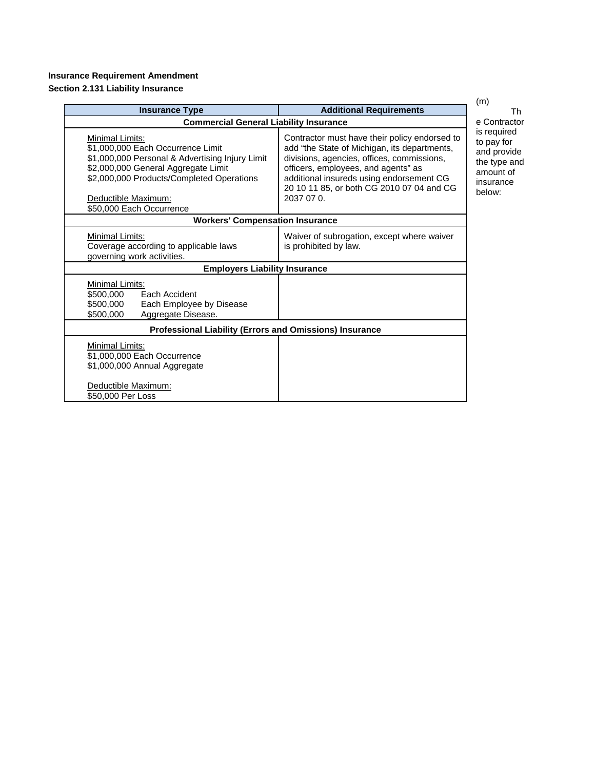# **Insurance Requirement Amendment Section 2.131 Liability Insurance**

| <b>Insurance Type</b>                                                                                                                                                                                                                          | <b>Additional Requirements</b>                                                                                                                                                                                                                                                            |  |  |
|------------------------------------------------------------------------------------------------------------------------------------------------------------------------------------------------------------------------------------------------|-------------------------------------------------------------------------------------------------------------------------------------------------------------------------------------------------------------------------------------------------------------------------------------------|--|--|
| <b>Commercial General Liability Insurance</b>                                                                                                                                                                                                  |                                                                                                                                                                                                                                                                                           |  |  |
| Minimal Limits:<br>\$1,000,000 Each Occurrence Limit<br>\$1,000,000 Personal & Advertising Injury Limit<br>\$2,000,000 General Aggregate Limit<br>\$2,000,000 Products/Completed Operations<br>Deductible Maximum:<br>\$50,000 Each Occurrence | Contractor must have their policy endorsed to<br>add "the State of Michigan, its departments,<br>divisions, agencies, offices, commissions,<br>officers, employees, and agents" as<br>additional insureds using endorsement CG<br>20 10 11 85, or both CG 2010 07 04 and CG<br>2037 07 0. |  |  |
| <b>Workers' Compensation Insurance</b>                                                                                                                                                                                                         |                                                                                                                                                                                                                                                                                           |  |  |
| <b>Minimal Limits:</b><br>Coverage according to applicable laws<br>governing work activities.                                                                                                                                                  | Waiver of subrogation, except where waiver<br>is prohibited by law.                                                                                                                                                                                                                       |  |  |
| <b>Employers Liability Insurance</b>                                                                                                                                                                                                           |                                                                                                                                                                                                                                                                                           |  |  |
| <b>Minimal Limits:</b><br>\$500,000<br>Each Accident<br>\$500,000<br>Each Employee by Disease<br>\$500,000<br>Aggregate Disease.                                                                                                               |                                                                                                                                                                                                                                                                                           |  |  |
| Professional Liability (Errors and Omissions) Insurance                                                                                                                                                                                        |                                                                                                                                                                                                                                                                                           |  |  |
| Minimal Limits:<br>\$1,000,000 Each Occurrence<br>\$1,000,000 Annual Aggregate<br>Deductible Maximum:<br>\$50,000 Per Loss                                                                                                                     |                                                                                                                                                                                                                                                                                           |  |  |

(m) Th **Contractor** required to pay for and provide the type and amount of insurance elow: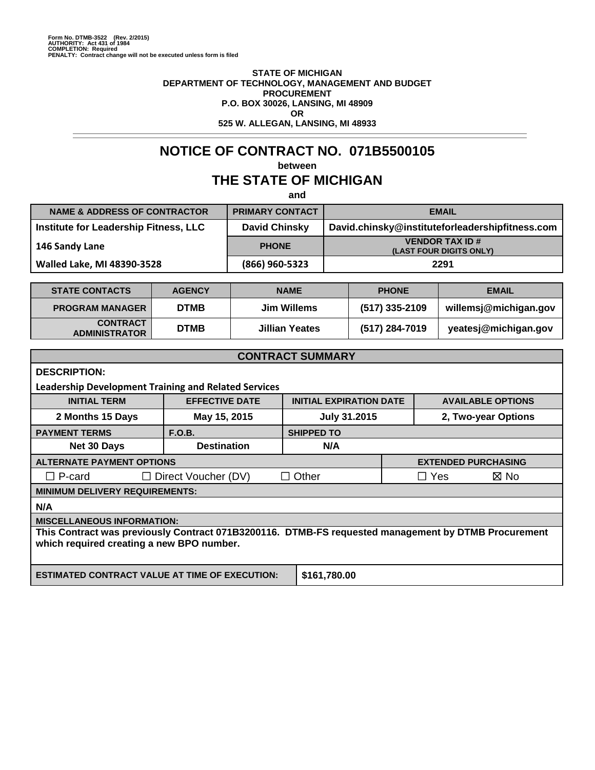#### **STATE OF MICHIGAN DEPARTMENT OF TECHNOLOGY, MANAGEMENT AND BUDGET PROCUREMENT P.O. BOX 30026, LANSING, MI 48909 OR 525 W. ALLEGAN, LANSING, MI 48933**

# **NOTICE OF CONTRACT NO. 071B5500105**

**between**

**THE STATE OF MICHIGAN**

**and**

| <b>NAME &amp; ADDRESS OF CONTRACTOR</b> | <b>PRIMARY CONTACT</b> | <b>EMAIL</b>                                     |
|-----------------------------------------|------------------------|--------------------------------------------------|
| Institute for Leadership Fitness, LLC   | <b>David Chinsky</b>   | David.chinsky@instituteforleadershipfitness.com  |
| 146 Sandy Lane                          | <b>PHONE</b>           | <b>VENDOR TAX ID#</b><br>(LAST FOUR DIGITS ONLY) |
| Walled Lake, MI 48390-3528              | (866) 960-5323         | 2291                                             |

| <b>STATE CONTACTS</b>                   | <b>AGENCY</b> | <b>NAME</b>    | <b>PHONE</b>   | <b>EMAIL</b>          |
|-----------------------------------------|---------------|----------------|----------------|-----------------------|
| <b>PROGRAM MANAGER</b>                  | <b>DTMB</b>   | Jim Willems    | (517) 335-2109 | willemsj@michigan.gov |
| <b>CONTRACT</b><br><b>ADMINISTRATOR</b> | <b>DTMB</b>   | Jillian Yeates | (517) 284-7019 | yeatesj@michigan.gov  |

# **CONTRACT SUMMARY**

| <b>DESCRIPTION:</b>                                                                                                                              |                            |                                |  |            |                          |  |
|--------------------------------------------------------------------------------------------------------------------------------------------------|----------------------------|--------------------------------|--|------------|--------------------------|--|
| <b>Leadership Development Training and Related Services</b>                                                                                      |                            |                                |  |            |                          |  |
| <b>INITIAL TERM</b>                                                                                                                              | <b>EFFECTIVE DATE</b>      | <b>INITIAL EXPIRATION DATE</b> |  |            | <b>AVAILABLE OPTIONS</b> |  |
| 2 Months 15 Days                                                                                                                                 | May 15, 2015               | <b>July 31.2015</b>            |  |            | 2, Two-year Options      |  |
| <b>PAYMENT TERMS</b>                                                                                                                             | <b>F.O.B.</b>              | <b>SHIPPED TO</b>              |  |            |                          |  |
| Net 30 Days                                                                                                                                      | <b>Destination</b>         | N/A                            |  |            |                          |  |
| <b>ALTERNATE PAYMENT OPTIONS</b><br><b>EXTENDED PURCHASING</b>                                                                                   |                            |                                |  |            |                          |  |
| $\Box$ P-card                                                                                                                                    | $\Box$ Direct Voucher (DV) | Other                          |  | $\Box$ Yes | $\boxtimes$ No           |  |
| <b>MINIMUM DELIVERY REQUIREMENTS:</b>                                                                                                            |                            |                                |  |            |                          |  |
| N/A                                                                                                                                              |                            |                                |  |            |                          |  |
| <b>MISCELLANEOUS INFORMATION:</b>                                                                                                                |                            |                                |  |            |                          |  |
| This Contract was previously Contract 071B3200116. DTMB-FS requested management by DTMB Procurement<br>which required creating a new BPO number. |                            |                                |  |            |                          |  |
| <b>ESTIMATED CONTRACT VALUE AT TIME OF EXECUTION:</b><br>\$161,780.00                                                                            |                            |                                |  |            |                          |  |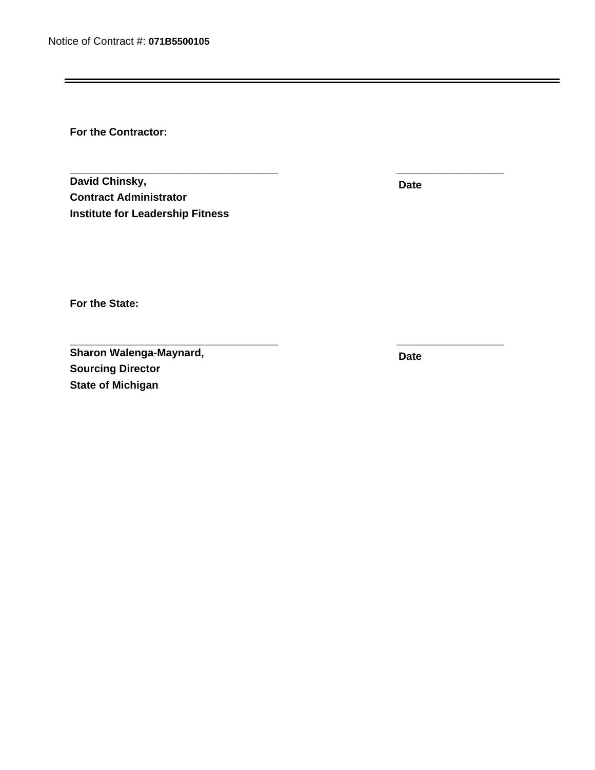**For the Contractor:** 

**David Chinsky, Contract Administrator Institute for Leadership Fitness** 

**Date** 

**\_\_\_\_\_\_\_\_\_\_\_\_\_\_\_\_\_\_\_\_\_\_\_\_\_\_\_\_\_\_\_\_\_\_\_ \_\_\_\_\_\_\_\_\_\_\_\_\_\_\_\_\_\_** 

**\_\_\_\_\_\_\_\_\_\_\_\_\_\_\_\_\_\_\_\_\_\_\_\_\_\_\_\_\_\_\_\_\_\_\_ \_\_\_\_\_\_\_\_\_\_\_\_\_\_\_\_\_\_** 

**For the State:** 

**Sharon Walenga-Maynard, Sourcing Director State of Michigan** 

**Date**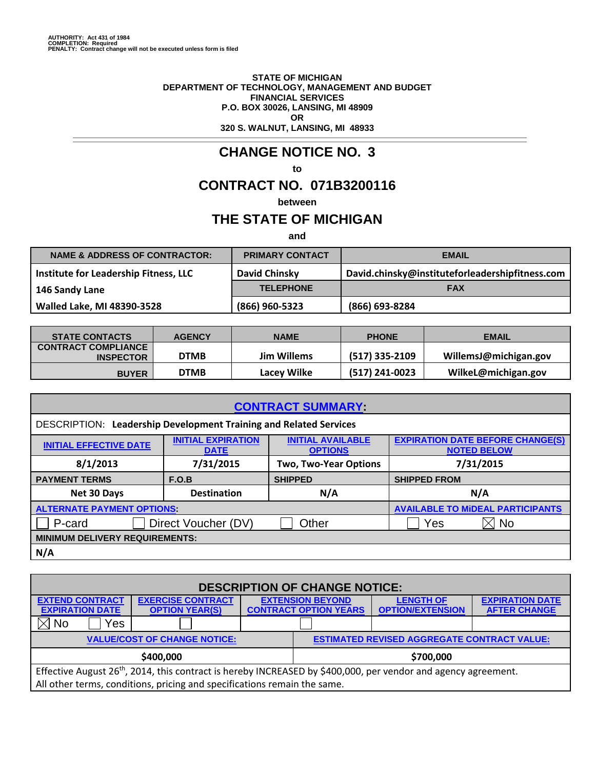#### **STATE OF MICHIGAN DEPARTMENT OF TECHNOLOGY, MANAGEMENT AND BUDGET FINANCIAL SERVICES P.O. BOX 30026, LANSING, MI 48909 OR 320 S. WALNUT, LANSING, MI 48933**

# **CHANGE NOTICE NO. 3**

**to**

# **CONTRACT NO. 071B3200116**

**between**

# **THE STATE OF MICHIGAN**

**and**

| <b>NAME &amp; ADDRESS OF CONTRACTOR:</b> | <b>PRIMARY CONTACT</b> | <b>EMAIL</b>                                    |
|------------------------------------------|------------------------|-------------------------------------------------|
| Institute for Leadership Fitness, LLC    | David Chinsky          | David.chinsky@instituteforleadershipfitness.com |
| 146 Sandy Lane                           | <b>TELEPHONE</b>       | <b>FAX</b>                                      |
| Walled Lake, MI 48390-3528               | (866) 960-5323         | (866) 693-8284                                  |

| <b>STATE CONTACTS</b>                          | <b>AGENCY</b> | <b>NAME</b>        | <b>PHONE</b>   | <b>EMAIL</b>          |
|------------------------------------------------|---------------|--------------------|----------------|-----------------------|
| <b>CONTRACT COMPLIANCE</b><br><b>INSPECTOR</b> | <b>DTMB</b>   | <b>Jim Willems</b> | (517) 335-2109 | WillemsJ@michigan.gov |
| <b>BUYER</b>                                   | <b>DTMB</b>   | Lacey Wilke        | (517) 241-0023 | WilkeL@michigan.gov   |

| <b>CONTRACT SUMMARY</b>                                                                                                                                                                  |                                                                   |                              |                                         |  |  |  |  |
|------------------------------------------------------------------------------------------------------------------------------------------------------------------------------------------|-------------------------------------------------------------------|------------------------------|-----------------------------------------|--|--|--|--|
|                                                                                                                                                                                          | DESCRIPTION: Leadership Development Training and Related Services |                              |                                         |  |  |  |  |
| <b>INITIAL EXPIRATION</b><br><b>INITIAL AVAILABLE</b><br><b>EXPIRATION DATE BEFORE CHANGE(S)</b><br><b>INITIAL EFFECTIVE DATE</b><br><b>NOTED BELOW</b><br><b>OPTIONS</b><br><b>DATE</b> |                                                                   |                              |                                         |  |  |  |  |
| 8/1/2013                                                                                                                                                                                 | 7/31/2015                                                         | <b>Two, Two-Year Options</b> | 7/31/2015                               |  |  |  |  |
| <b>PAYMENT TERMS</b>                                                                                                                                                                     | F.O.B                                                             | <b>SHIPPED</b>               | <b>SHIPPED FROM</b>                     |  |  |  |  |
| Net 30 Days                                                                                                                                                                              | <b>Destination</b>                                                | N/A                          | N/A                                     |  |  |  |  |
| <b>ALTERNATE PAYMENT OPTIONS:</b>                                                                                                                                                        |                                                                   |                              | <b>AVAILABLE TO MIDEAL PARTICIPANTS</b> |  |  |  |  |
| $\boxtimes$<br>Direct Voucher (DV)<br>Other<br>No<br>Yes<br>P-card                                                                                                                       |                                                                   |                              |                                         |  |  |  |  |
| <b>MINIMUM DELIVERY REQUIREMENTS:</b>                                                                                                                                                    |                                                                   |                              |                                         |  |  |  |  |
| N/A                                                                                                                                                                                      |                                                                   |                              |                                         |  |  |  |  |

| <b>DESCRIPTION OF CHANGE NOTICE:</b>                                                                                                                             |                                                                                           |                                                                          |  |                                             |                                               |  |  |
|------------------------------------------------------------------------------------------------------------------------------------------------------------------|-------------------------------------------------------------------------------------------|--------------------------------------------------------------------------|--|---------------------------------------------|-----------------------------------------------|--|--|
| <b>EXTEND CONTRACT</b><br><b>EXERCISE CONTRACT</b><br><b>EXTENSION BEYOND</b><br><b>CONTRACT OPTION YEARS</b><br><b>EXPIRATION DATE</b><br><b>OPTION YEAR(S)</b> |                                                                                           |                                                                          |  | <b>LENGTH OF</b><br><b>OPTION/EXTENSION</b> | <b>EXPIRATION DATE</b><br><b>AFTER CHANGE</b> |  |  |
| $\boxtimes$ No                                                                                                                                                   | Yes                                                                                       |                                                                          |  |                                             |                                               |  |  |
|                                                                                                                                                                  | <b>VALUE/COST OF CHANGE NOTICE:</b><br><b>ESTIMATED REVISED AGGREGATE CONTRACT VALUE:</b> |                                                                          |  |                                             |                                               |  |  |
|                                                                                                                                                                  | \$400,000<br>\$700,000                                                                    |                                                                          |  |                                             |                                               |  |  |
| Effective August 26 <sup>th</sup> , 2014, this contract is hereby INCREASED by \$400,000, per vendor and agency agreement.                                       |                                                                                           |                                                                          |  |                                             |                                               |  |  |
|                                                                                                                                                                  |                                                                                           | All other terms, conditions, pricing and specifications remain the same. |  |                                             |                                               |  |  |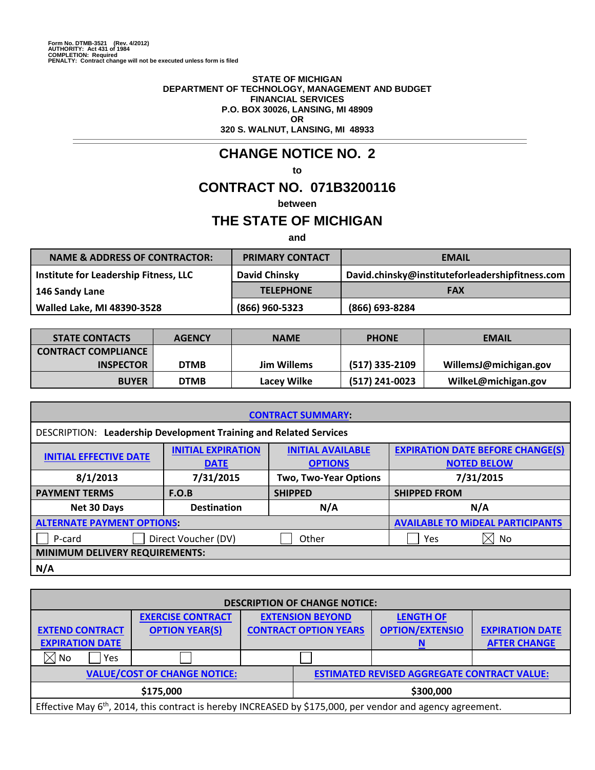#### **STATE OF MICHIGAN DEPARTMENT OF TECHNOLOGY, MANAGEMENT AND BUDGET FINANCIAL SERVICES P.O. BOX 30026, LANSING, MI 48909 OR 320 S. WALNUT, LANSING, MI 48933**

# **CHANGE NOTICE NO. 2**

**to**

# **CONTRACT NO. 071B3200116**

**between**

# **THE STATE OF MICHIGAN**

**and**

| <b>NAME &amp; ADDRESS OF CONTRACTOR:</b> | <b>PRIMARY CONTACT</b> | <b>EMAIL</b>                                    |
|------------------------------------------|------------------------|-------------------------------------------------|
| Institute for Leadership Fitness, LLC    | David Chinsky          | David.chinsky@instituteforleadershipfitness.com |
| 146 Sandy Lane                           | <b>TELEPHONE</b>       | <b>FAX</b>                                      |
| Walled Lake, MI 48390-3528               | (866) 960-5323         | (866) 693-8284                                  |

| <b>STATE CONTACTS</b>      | <b>AGENCY</b> | <b>NAME</b>        | <b>PHONE</b>   | <b>EMAIL</b>          |
|----------------------------|---------------|--------------------|----------------|-----------------------|
| <b>CONTRACT COMPLIANCE</b> |               |                    |                |                       |
| <b>INSPECTOR</b>           | <b>DTMB</b>   | <b>Jim Willems</b> | (517) 335-2109 | WillemsJ@michigan.gov |
| <b>BUYER</b>               | <b>DTMB</b>   | Lacey Wilke        | (517) 241-0023 | WilkeL@michigan.gov   |

| <b>CONTRACT SUMMARY</b>                                           |                           |                              |                                         |  |  |
|-------------------------------------------------------------------|---------------------------|------------------------------|-----------------------------------------|--|--|
| DESCRIPTION: Leadership Development Training and Related Services |                           |                              |                                         |  |  |
| <b>INITIAL EFFECTIVE DATE</b>                                     | <b>INITIAL EXPIRATION</b> | <b>INITIAL AVAILABLE</b>     | <b>EXPIRATION DATE BEFORE CHANGE(S)</b> |  |  |
|                                                                   | <b>DATE</b>               | <b>OPTIONS</b>               | <b>NOTED BELOW</b>                      |  |  |
| 8/1/2013                                                          | 7/31/2015                 | <b>Two, Two-Year Options</b> | 7/31/2015                               |  |  |
| <b>PAYMENT TERMS</b>                                              | F.O.B                     | <b>SHIPPED</b>               | <b>SHIPPED FROM</b>                     |  |  |
| Net 30 Days                                                       | <b>Destination</b>        | N/A                          | N/A                                     |  |  |
| <b>ALTERNATE PAYMENT OPTIONS:</b>                                 |                           |                              | <b>AVAILABLE TO MIDEAL PARTICIPANTS</b> |  |  |
| $\rtimes$<br>Other<br>Direct Voucher (DV)<br>No<br>P-card<br>Yes  |                           |                              |                                         |  |  |
| <b>MINIMUM DELIVERY REQUIREMENTS:</b>                             |                           |                              |                                         |  |  |
| N/A                                                               |                           |                              |                                         |  |  |

| <b>DESCRIPTION OF CHANGE NOTICE:</b>                                                      |                                                                                                                        |                              |                         |                        |                        |  |
|-------------------------------------------------------------------------------------------|------------------------------------------------------------------------------------------------------------------------|------------------------------|-------------------------|------------------------|------------------------|--|
|                                                                                           | <b>EXERCISE CONTRACT</b>                                                                                               |                              | <b>EXTENSION BEYOND</b> | <b>LENGTH OF</b>       |                        |  |
| <b>EXTEND CONTRACT</b>                                                                    | <b>OPTION YEAR(S)</b>                                                                                                  | <b>CONTRACT OPTION YEARS</b> |                         | <b>OPTION/EXTENSIO</b> | <b>EXPIRATION DATE</b> |  |
| <b>EXPIRATION DATE</b>                                                                    |                                                                                                                        |                              |                         |                        | <b>AFTER CHANGE</b>    |  |
| $\boxtimes$ No<br>Yes                                                                     |                                                                                                                        |                              |                         |                        |                        |  |
| <b>VALUE/COST OF CHANGE NOTICE:</b><br><b>ESTIMATED REVISED AGGREGATE CONTRACT VALUE:</b> |                                                                                                                        |                              |                         |                        |                        |  |
| \$300,000<br>\$175,000                                                                    |                                                                                                                        |                              |                         |                        |                        |  |
|                                                                                           | Effective May 6 <sup>th</sup> , 2014, this contract is hereby INCREASED by \$175,000, per vendor and agency agreement. |                              |                         |                        |                        |  |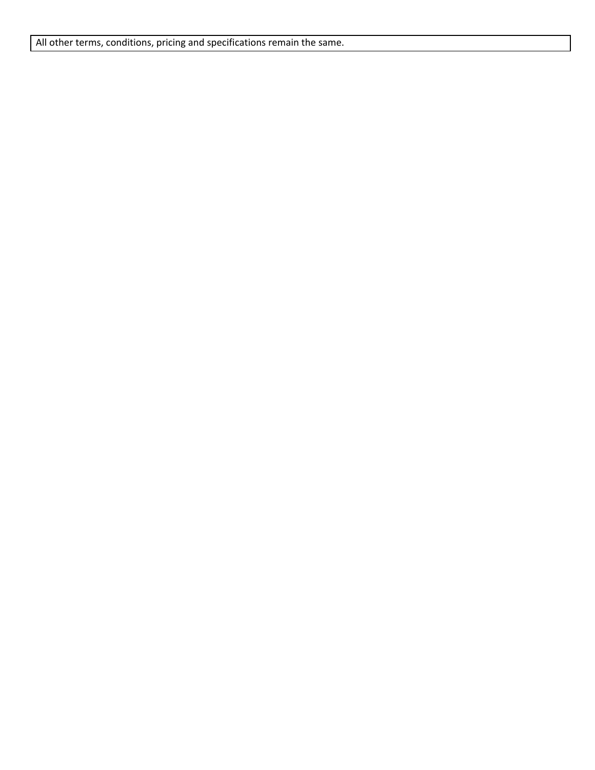All other terms, conditions, pricing and specifications remain the same.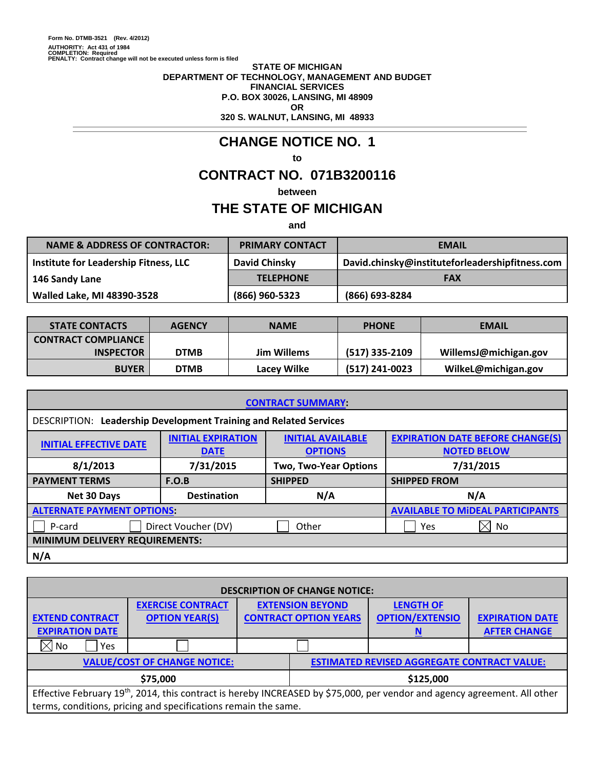#### **STATE OF MICHIGAN DEPARTMENT OF TECHNOLOGY, MANAGEMENT AND BUDGET FINANCIAL SERVICES P.O. BOX 30026, LANSING, MI 48909 OR 320 S. WALNUT, LANSING, MI 48933**

# **CHANGE NOTICE NO. 1**

**to**

# **CONTRACT NO. 071B3200116**

**between**

# **THE STATE OF MICHIGAN**

**and**

| <b>NAME &amp; ADDRESS OF CONTRACTOR:</b> | <b>PRIMARY CONTACT</b> | <b>EMAIL</b>                                    |
|------------------------------------------|------------------------|-------------------------------------------------|
| Institute for Leadership Fitness, LLC    | David Chinsky          | David.chinsky@instituteforleadershipfitness.com |
| 146 Sandy Lane                           | <b>TELEPHONE</b>       | <b>FAX</b>                                      |
| Walled Lake, MI 48390-3528               | (866) 960-5323         | (866) 693-8284                                  |

| <b>STATE CONTACTS</b>   | <b>AGENCY</b> | <b>NAME</b>        | <b>PHONE</b>   | <b>EMAIL</b>          |
|-------------------------|---------------|--------------------|----------------|-----------------------|
| I CONTRACT COMPLIANCE I |               |                    |                |                       |
| <b>INSPECTOR</b>        | <b>DTMB</b>   | <b>Jim Willems</b> | (517) 335-2109 | WillemsJ@michigan.gov |
| <b>BUYER</b>            | <b>DTMB</b>   | Lacey Wilke        | (517) 241-0023 | WilkeL@michigan.gov   |

| <b>CONTRACT SUMMARY:</b>                                           |                                                                   |                                            |                                                               |  |  |  |
|--------------------------------------------------------------------|-------------------------------------------------------------------|--------------------------------------------|---------------------------------------------------------------|--|--|--|
|                                                                    | DESCRIPTION: Leadership Development Training and Related Services |                                            |                                                               |  |  |  |
| <b>INITIAL EFFECTIVE DATE</b>                                      | <b>INITIAL EXPIRATION</b><br><b>DATE</b>                          | <b>INITIAL AVAILABLE</b><br><b>OPTIONS</b> | <b>EXPIRATION DATE BEFORE CHANGE(S)</b><br><b>NOTED BELOW</b> |  |  |  |
| 8/1/2013                                                           | 7/31/2015                                                         | <b>Two, Two-Year Options</b>               | 7/31/2015                                                     |  |  |  |
| <b>PAYMENT TERMS</b>                                               | <b>F.O.B</b>                                                      | <b>SHIPPED</b>                             | <b>SHIPPED FROM</b>                                           |  |  |  |
| Net 30 Days                                                        | <b>Destination</b>                                                | N/A                                        | N/A                                                           |  |  |  |
| <b>ALTERNATE PAYMENT OPTIONS:</b>                                  |                                                                   |                                            | <b>AVAILABLE TO MIDEAL PARTICIPANTS</b>                       |  |  |  |
| $\boxtimes$<br>Other<br>Direct Voucher (DV)<br>No<br>Yes<br>P-card |                                                                   |                                            |                                                               |  |  |  |
| <b>MINIMUM DELIVERY REQUIREMENTS:</b>                              |                                                                   |                                            |                                                               |  |  |  |
| N/A                                                                |                                                                   |                                            |                                                               |  |  |  |

| <b>DESCRIPTION OF CHANGE NOTICE:</b>                                                                                                  |                                                                |                         |                              |                        |                        |  |
|---------------------------------------------------------------------------------------------------------------------------------------|----------------------------------------------------------------|-------------------------|------------------------------|------------------------|------------------------|--|
|                                                                                                                                       | <b>EXERCISE CONTRACT</b>                                       | <b>EXTENSION BEYOND</b> |                              | <b>LENGTH OF</b>       |                        |  |
| <b>EXTEND CONTRACT</b>                                                                                                                | <b>OPTION YEAR(S)</b>                                          |                         | <b>CONTRACT OPTION YEARS</b> | <b>OPTION/EXTENSIO</b> | <b>EXPIRATION DATE</b> |  |
| <b>EXPIRATION DATE</b>                                                                                                                |                                                                |                         |                              |                        | <b>AFTER CHANGE</b>    |  |
| $\boxtimes$ No<br>Yes                                                                                                                 |                                                                |                         |                              |                        |                        |  |
| <b>VALUE/COST OF CHANGE NOTICE:</b><br><b>ESTIMATED REVISED AGGREGATE CONTRACT VALUE:</b>                                             |                                                                |                         |                              |                        |                        |  |
| \$125,000<br>\$75,000                                                                                                                 |                                                                |                         |                              |                        |                        |  |
| Effective February 19 <sup>th</sup> , 2014, this contract is hereby INCREASED by \$75,000, per vendor and agency agreement. All other |                                                                |                         |                              |                        |                        |  |
|                                                                                                                                       | terms, conditions, pricing and specifications remain the same. |                         |                              |                        |                        |  |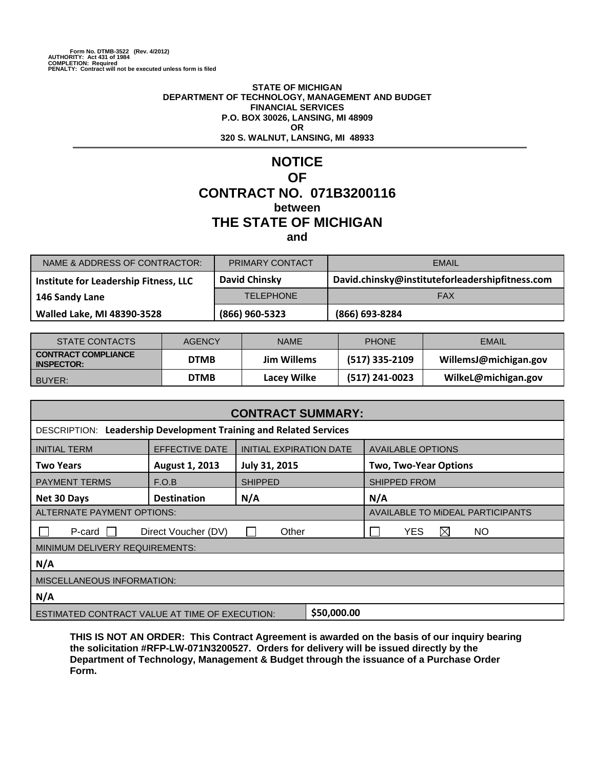Form No. DTMB-3522 (Rev. 4/2012)<br>AUTHORITY: Act 431 of 1984<br>COMPLETION: Required<br>PENALTY: Contract will not be executed unless form is filed

**STATE OF MICHIGAN DEPARTMENT OF TECHNOLOGY, MANAGEMENT AND BUDGET FINANCIAL SERVICES P.O. BOX 30026, LANSING, MI 48909 OR 320 S. WALNUT, LANSING, MI 48933** 

# **NOTICE OF CONTRACT NO. 071B3200116 between THE STATE OF MICHIGAN and and and and and and and and and**

| NAME & ADDRESS OF CONTRACTOR:         | PRIMARY CONTACT  | <b>EMAIL</b>                                    |
|---------------------------------------|------------------|-------------------------------------------------|
| Institute for Leadership Fitness, LLC | David Chinsky    | David.chinsky@instituteforleadershipfitness.com |
| 146 Sandy Lane                        | <b>TELEPHONE</b> | <b>FAX</b>                                      |
| Walled Lake, MI 48390-3528            | (866) 960-5323   | (866) 693-8284                                  |

| STATE CONTACTS                                  | <b>AGENCY</b> | <b>NAME</b>        | <b>PHONE</b>     | <b>EMAIL</b>          |
|-------------------------------------------------|---------------|--------------------|------------------|-----------------------|
| <b>CONTRACT COMPLIANCE</b><br><b>INSPECTOR:</b> | <b>DTMB</b>   | <b>Jim Willems</b> | $(517)$ 335-2109 | WillemsJ@michigan.gov |
| BUYER:                                          | <b>DTMB</b>   | Lacey Wilke        | (517) 241-0023   | WilkeL@michigan.gov   |

| <b>CONTRACT SUMMARY:</b>                                          |                                                               |                                |  |                                         |  |  |
|-------------------------------------------------------------------|---------------------------------------------------------------|--------------------------------|--|-----------------------------------------|--|--|
| DESCRIPTION: Leadership Development Training and Related Services |                                                               |                                |  |                                         |  |  |
| <b>INITIAL TERM</b>                                               | <b>EFFECTIVE DATE</b>                                         | <b>INITIAL EXPIRATION DATE</b> |  | <b>AVAILABLE OPTIONS</b>                |  |  |
| <b>Two Years</b>                                                  | <b>August 1, 2013</b>                                         | July 31, 2015                  |  | <b>Two, Two-Year Options</b>            |  |  |
| <b>PAYMENT TERMS</b>                                              | F.O.B                                                         | <b>SHIPPED</b>                 |  | <b>SHIPPED FROM</b>                     |  |  |
| Net 30 Days                                                       | <b>Destination</b>                                            | N/A                            |  | N/A                                     |  |  |
| <b>ALTERNATE PAYMENT OPTIONS:</b>                                 |                                                               |                                |  | <b>AVAILABLE TO MIDEAL PARTICIPANTS</b> |  |  |
| P-card                                                            | Direct Voucher (DV)                                           | Other                          |  | $\boxtimes$<br><b>YES</b><br><b>NO</b>  |  |  |
| MINIMUM DELIVERY REQUIREMENTS:                                    |                                                               |                                |  |                                         |  |  |
| N/A                                                               |                                                               |                                |  |                                         |  |  |
| <b>MISCELLANEOUS INFORMATION:</b>                                 |                                                               |                                |  |                                         |  |  |
| N/A                                                               |                                                               |                                |  |                                         |  |  |
|                                                                   | \$50,000.00<br>ESTIMATED CONTRACT VALUE AT TIME OF EXECUTION: |                                |  |                                         |  |  |

**THIS IS NOT AN ORDER: This Contract Agreement is awarded on the basis of our inquiry bearing the solicitation #RFP-LW-071N3200527. Orders for delivery will be issued directly by the Department of Technology, Management & Budget through the issuance of a Purchase Order Form.**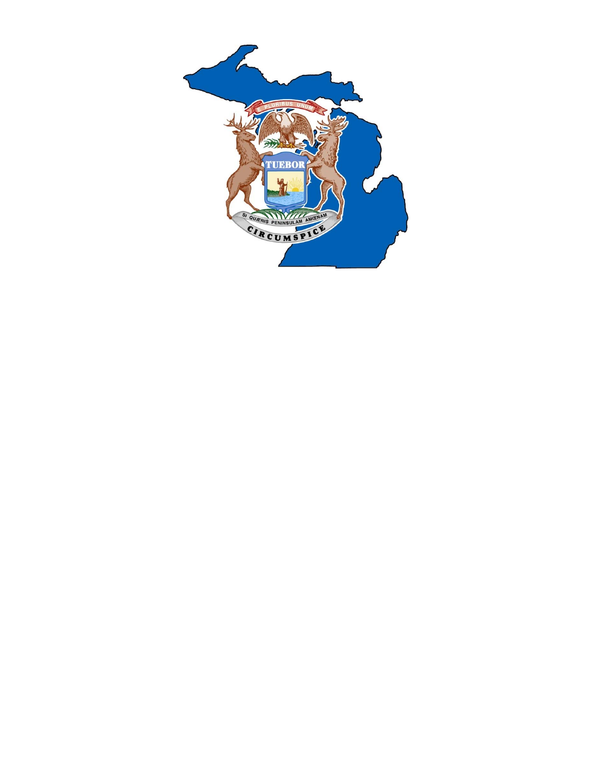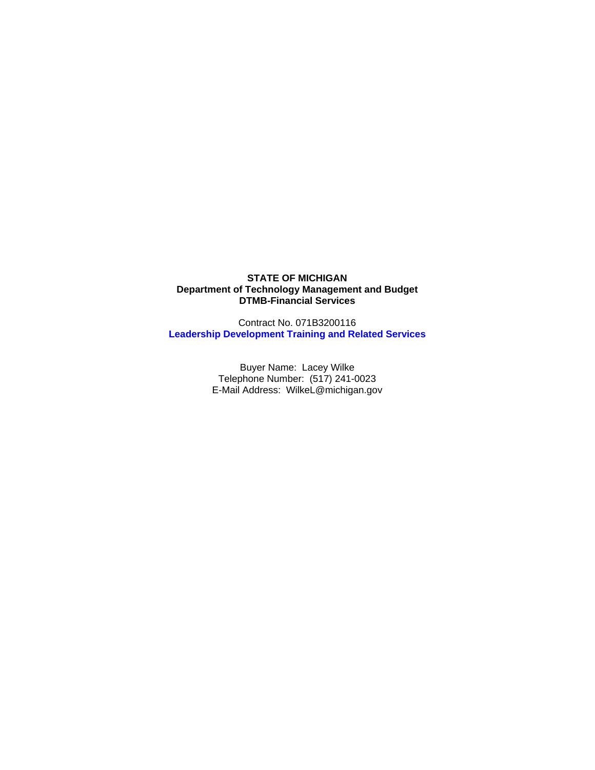#### **STATE OF MICHIGAN Department of Technology Management and Budget DTMB-Financial Services**

Contract No. 071B3200116 **Leadership Development Training and Related Services** 

> Buyer Name: Lacey Wilke Telephone Number: (517) 241-0023 E-Mail Address: WilkeL@michigan.gov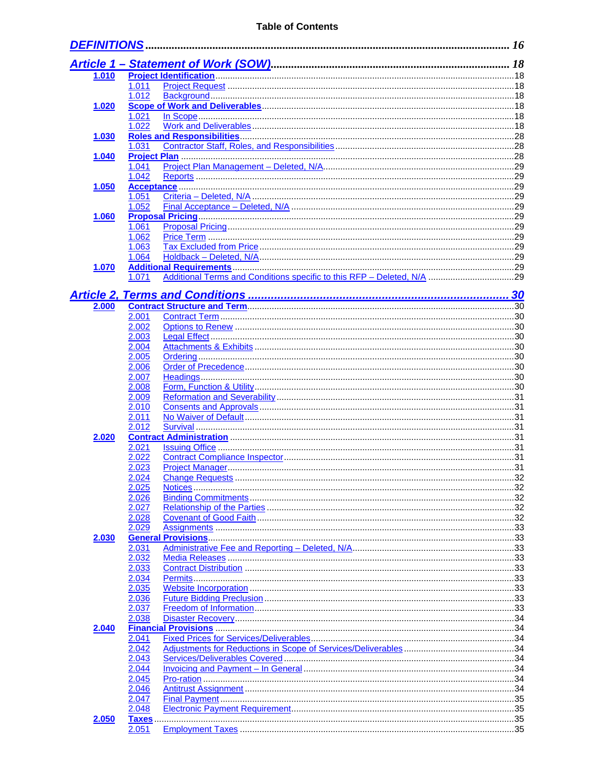#### **Table of Contents**

| <b>DEFINITIONS</b> |                |  |
|--------------------|----------------|--|
|                    |                |  |
| 1.010              |                |  |
|                    | 1.011          |  |
|                    | 1.012          |  |
| 1.020              |                |  |
|                    | 1.021          |  |
|                    | 1.022          |  |
| 1.030              |                |  |
|                    | 1.031          |  |
| 1.040              |                |  |
|                    | 1.041          |  |
|                    | 1.042          |  |
| 1.050              |                |  |
|                    | 1.051<br>1.052 |  |
| 1,060              |                |  |
|                    | 1.061          |  |
|                    | 1.062          |  |
|                    | 1.063          |  |
|                    | 1.064          |  |
| 1.070              |                |  |
|                    | 1.071          |  |
|                    |                |  |
|                    |                |  |
| 2.000              |                |  |
|                    | 2.001          |  |
|                    | 2.002          |  |
|                    | 2.003          |  |
|                    | 2.004          |  |
|                    | 2.005          |  |
|                    | 2.006          |  |
|                    | 2.007          |  |
|                    | 2.008          |  |
|                    | 2.009          |  |
|                    | 2.010<br>2.011 |  |
|                    | 2.012          |  |
| 2.020              |                |  |
|                    | 2.021          |  |
|                    | 2.022          |  |
|                    | 2.023          |  |
|                    | 2.024          |  |
|                    | 2.025          |  |
|                    | 2.026          |  |
|                    | 2.027          |  |
|                    | 2.028          |  |
|                    | 2.029          |  |
| 2.030              |                |  |
|                    | 2.031          |  |
|                    | 2.032          |  |
|                    | 2.033          |  |
|                    | 2.034          |  |
|                    | 2.035          |  |
|                    | 2.036          |  |
|                    | 2.037          |  |
|                    | 2.038          |  |
| 2.040              |                |  |
|                    | 2.041          |  |
|                    | 2.042          |  |
|                    | 2.043          |  |
|                    | 2.044          |  |
|                    | 2.045<br>2.046 |  |
|                    | 2.047          |  |
|                    | 2.048          |  |
| 2.050              | <b>Taxes</b>   |  |
|                    | 2.051          |  |
|                    |                |  |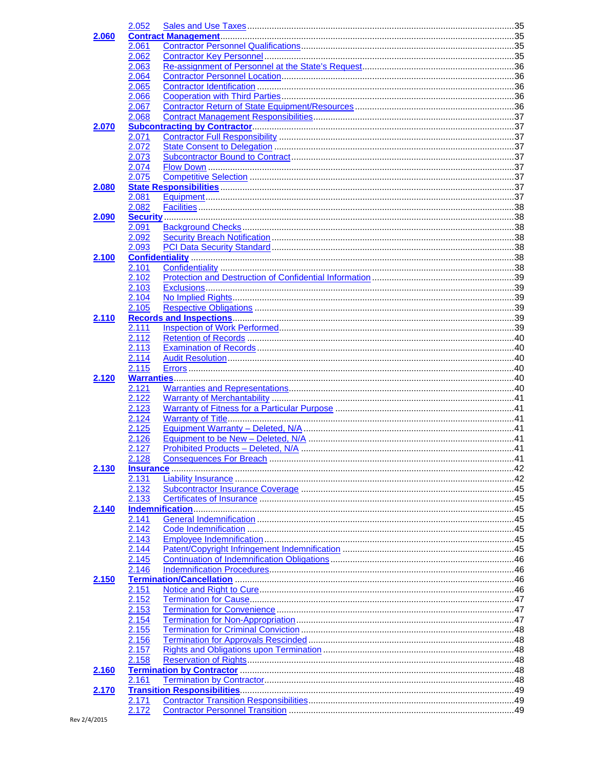|              | 2.052          |                  |  |  |
|--------------|----------------|------------------|--|--|
|              | 2.060          |                  |  |  |
|              | 2.061          |                  |  |  |
|              | 2.062          |                  |  |  |
|              | 2.063          |                  |  |  |
|              | 2.064          |                  |  |  |
|              | 2.065          |                  |  |  |
|              | 2.066          |                  |  |  |
|              | 2.067          |                  |  |  |
|              | 2.068          |                  |  |  |
| 2.070        |                |                  |  |  |
|              | 2.071          |                  |  |  |
|              | 2.072          |                  |  |  |
|              | 2.073          |                  |  |  |
|              | 2.074<br>2.075 |                  |  |  |
| 2.080        |                |                  |  |  |
|              | 2.081          |                  |  |  |
|              | 2.082          |                  |  |  |
| 2.090        |                |                  |  |  |
|              | 2.091          |                  |  |  |
|              | 2.092          |                  |  |  |
|              | 2.093          |                  |  |  |
| 2.100        |                |                  |  |  |
|              | 2.101          |                  |  |  |
|              | 2.102          |                  |  |  |
|              | 2.103          |                  |  |  |
|              | 2.104          |                  |  |  |
|              | 2.105          |                  |  |  |
| 2.110        |                |                  |  |  |
|              | 2.111          |                  |  |  |
|              | 2.112          |                  |  |  |
|              | 2.113          |                  |  |  |
|              | 2.114          |                  |  |  |
|              | 2.115          |                  |  |  |
| 2.120        |                |                  |  |  |
|              | 2.121          |                  |  |  |
|              | 2.122          |                  |  |  |
|              | 2.123          |                  |  |  |
|              | 2.124          |                  |  |  |
|              | 2.125          |                  |  |  |
|              | 2.126          |                  |  |  |
|              | 2.127          |                  |  |  |
|              | 2.128          |                  |  |  |
| 2.130        | Insurance.     |                  |  |  |
|              | 2.131          |                  |  |  |
|              | 2.132          |                  |  |  |
|              | 2.133          | Indemnification. |  |  |
| 2.140        | 2.141          |                  |  |  |
|              | 2.142          |                  |  |  |
|              | 2.143          |                  |  |  |
|              | 2.144          |                  |  |  |
|              | 2.145          |                  |  |  |
|              | 2.146          |                  |  |  |
| 2.150        |                |                  |  |  |
|              | 2.151          |                  |  |  |
|              | 2.152          |                  |  |  |
|              | 2.153          |                  |  |  |
|              | 2.154          |                  |  |  |
|              | 2.155          |                  |  |  |
|              | 2.156          |                  |  |  |
|              | 2.157          |                  |  |  |
|              | 2.158          |                  |  |  |
| 2.160        |                |                  |  |  |
|              | 2.161          |                  |  |  |
| <u>2.170</u> |                |                  |  |  |
|              | 2.171          |                  |  |  |
|              | 2.172          |                  |  |  |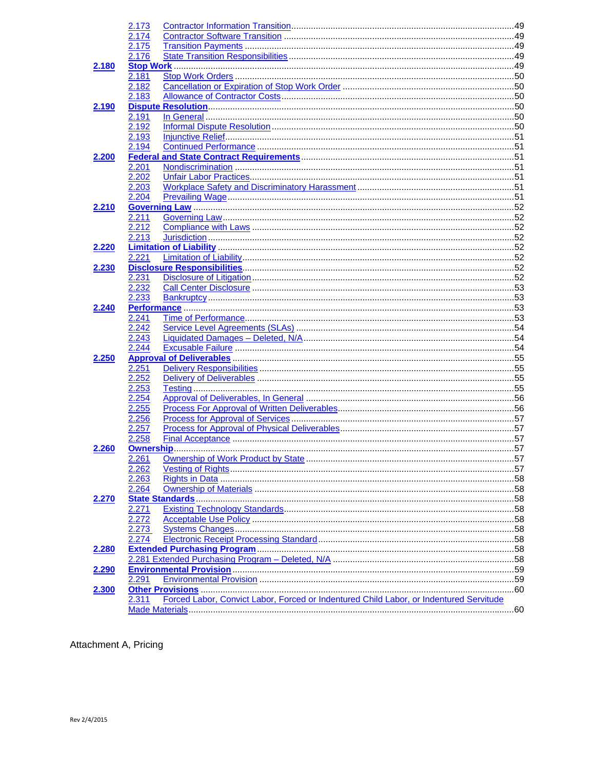|              | 2.173 |                                                                                        |  |
|--------------|-------|----------------------------------------------------------------------------------------|--|
|              | 2.174 |                                                                                        |  |
|              | 2.175 |                                                                                        |  |
|              | 2.176 |                                                                                        |  |
| 2.180        |       |                                                                                        |  |
|              | 2.181 |                                                                                        |  |
|              | 2.182 |                                                                                        |  |
|              | 2.183 |                                                                                        |  |
| 2.190        |       |                                                                                        |  |
|              | 2.191 |                                                                                        |  |
|              | 2.192 |                                                                                        |  |
|              |       |                                                                                        |  |
|              | 2.193 |                                                                                        |  |
|              | 2.194 |                                                                                        |  |
| 2.200        |       |                                                                                        |  |
|              | 2.201 |                                                                                        |  |
|              | 2.202 |                                                                                        |  |
|              | 2.203 |                                                                                        |  |
|              | 2.204 |                                                                                        |  |
| 2.210        |       |                                                                                        |  |
|              | 2.211 |                                                                                        |  |
|              | 2.212 |                                                                                        |  |
|              | 2.213 |                                                                                        |  |
| <u>2.220</u> |       |                                                                                        |  |
|              | 2.221 |                                                                                        |  |
| 2.230        |       |                                                                                        |  |
|              | 2.231 |                                                                                        |  |
|              | 2.232 |                                                                                        |  |
|              |       |                                                                                        |  |
|              | 2.233 |                                                                                        |  |
| 2.240        |       |                                                                                        |  |
|              | 2.241 |                                                                                        |  |
|              | 2.242 |                                                                                        |  |
|              | 2.243 |                                                                                        |  |
|              | 2.244 |                                                                                        |  |
| 2.250        |       |                                                                                        |  |
|              | 2.251 |                                                                                        |  |
|              | 2.252 |                                                                                        |  |
|              | 2.253 |                                                                                        |  |
|              | 2.254 |                                                                                        |  |
|              | 2.255 |                                                                                        |  |
|              | 2.256 |                                                                                        |  |
|              | 2.257 |                                                                                        |  |
|              | 2.258 |                                                                                        |  |
| 2.260        |       |                                                                                        |  |
|              | 2.261 |                                                                                        |  |
|              |       |                                                                                        |  |
|              | 2.262 |                                                                                        |  |
|              | 2.263 |                                                                                        |  |
|              | 2.264 |                                                                                        |  |
| 2.270        |       |                                                                                        |  |
|              | 2.271 |                                                                                        |  |
|              | 2.272 |                                                                                        |  |
|              | 2.273 |                                                                                        |  |
|              | 2.274 |                                                                                        |  |
| 2.280        |       |                                                                                        |  |
|              |       |                                                                                        |  |
| 2.290        |       |                                                                                        |  |
|              | 2.291 |                                                                                        |  |
| 2.300        |       |                                                                                        |  |
|              | 2.311 | Forced Labor, Convict Labor, Forced or Indentured Child Labor, or Indentured Servitude |  |
|              |       |                                                                                        |  |
|              |       |                                                                                        |  |

Attachment A, Pricing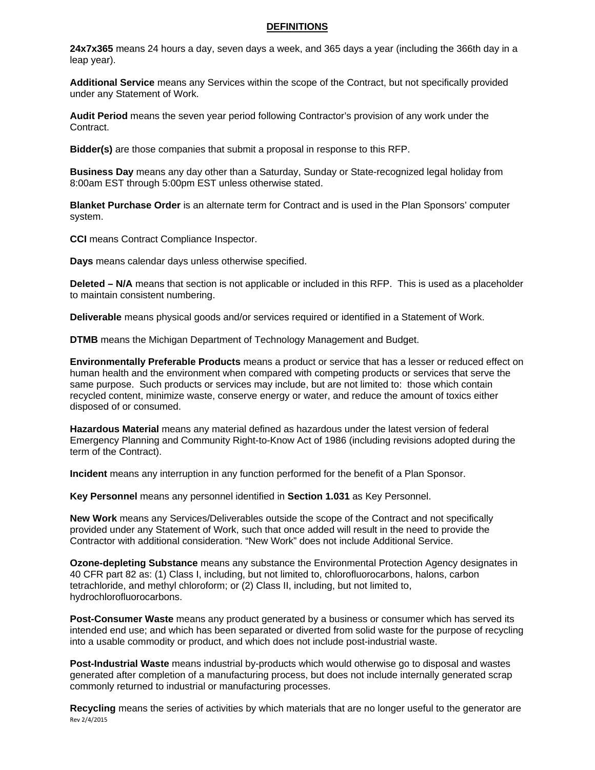#### **DEFINITIONS**

**24x7x365** means 24 hours a day, seven days a week, and 365 days a year (including the 366th day in a leap year).

**Additional Service** means any Services within the scope of the Contract, but not specifically provided under any Statement of Work.

**Audit Period** means the seven year period following Contractor's provision of any work under the Contract.

**Bidder(s)** are those companies that submit a proposal in response to this RFP.

**Business Day** means any day other than a Saturday, Sunday or State-recognized legal holiday from 8:00am EST through 5:00pm EST unless otherwise stated.

**Blanket Purchase Order** is an alternate term for Contract and is used in the Plan Sponsors' computer system.

**CCI** means Contract Compliance Inspector.

**Days** means calendar days unless otherwise specified.

**Deleted – N/A** means that section is not applicable or included in this RFP. This is used as a placeholder to maintain consistent numbering.

**Deliverable** means physical goods and/or services required or identified in a Statement of Work.

**DTMB** means the Michigan Department of Technology Management and Budget.

**Environmentally Preferable Products** means a product or service that has a lesser or reduced effect on human health and the environment when compared with competing products or services that serve the same purpose. Such products or services may include, but are not limited to: those which contain recycled content, minimize waste, conserve energy or water, and reduce the amount of toxics either disposed of or consumed.

**Hazardous Material** means any material defined as hazardous under the latest version of federal Emergency Planning and Community Right-to-Know Act of 1986 (including revisions adopted during the term of the Contract).

**Incident** means any interruption in any function performed for the benefit of a Plan Sponsor.

**Key Personnel** means any personnel identified in **Section 1.031** as Key Personnel.

**New Work** means any Services/Deliverables outside the scope of the Contract and not specifically provided under any Statement of Work, such that once added will result in the need to provide the Contractor with additional consideration. "New Work" does not include Additional Service.

**Ozone-depleting Substance** means any substance the Environmental Protection Agency designates in 40 CFR part 82 as: (1) Class I, including, but not limited to, chlorofluorocarbons, halons, carbon tetrachloride, and methyl chloroform; or (2) Class II, including, but not limited to, hydrochlorofluorocarbons.

**Post-Consumer Waste** means any product generated by a business or consumer which has served its intended end use; and which has been separated or diverted from solid waste for the purpose of recycling into a usable commodity or product, and which does not include post-industrial waste.

**Post-Industrial Waste** means industrial by-products which would otherwise go to disposal and wastes generated after completion of a manufacturing process, but does not include internally generated scrap commonly returned to industrial or manufacturing processes.

Rev 2/4/2015 **Recycling** means the series of activities by which materials that are no longer useful to the generator are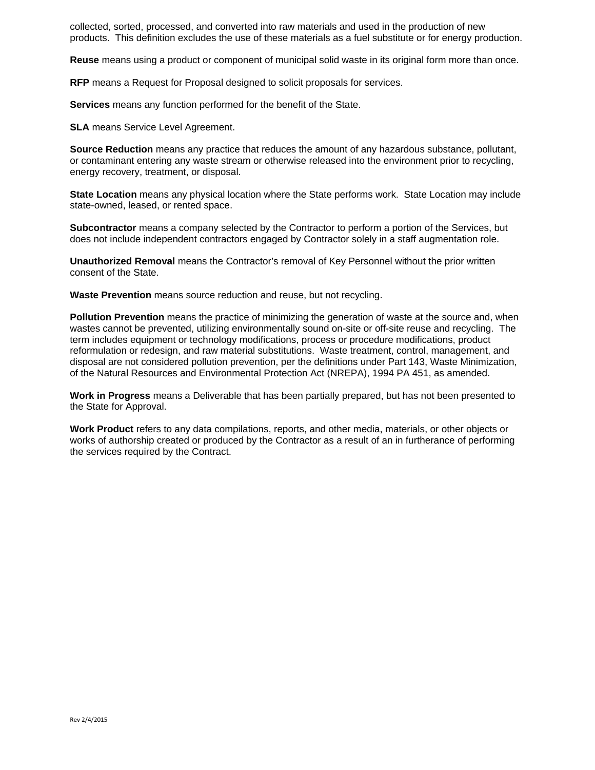collected, sorted, processed, and converted into raw materials and used in the production of new products. This definition excludes the use of these materials as a fuel substitute or for energy production.

**Reuse** means using a product or component of municipal solid waste in its original form more than once.

**RFP** means a Request for Proposal designed to solicit proposals for services.

**Services** means any function performed for the benefit of the State.

**SLA** means Service Level Agreement.

**Source Reduction** means any practice that reduces the amount of any hazardous substance, pollutant, or contaminant entering any waste stream or otherwise released into the environment prior to recycling, energy recovery, treatment, or disposal.

**State Location** means any physical location where the State performs work. State Location may include state-owned, leased, or rented space.

**Subcontractor** means a company selected by the Contractor to perform a portion of the Services, but does not include independent contractors engaged by Contractor solely in a staff augmentation role.

**Unauthorized Removal** means the Contractor's removal of Key Personnel without the prior written consent of the State.

**Waste Prevention** means source reduction and reuse, but not recycling.

**Pollution Prevention** means the practice of minimizing the generation of waste at the source and, when wastes cannot be prevented, utilizing environmentally sound on-site or off-site reuse and recycling. The term includes equipment or technology modifications, process or procedure modifications, product reformulation or redesign, and raw material substitutions. Waste treatment, control, management, and disposal are not considered pollution prevention, per the definitions under Part 143, Waste Minimization, of the Natural Resources and Environmental Protection Act (NREPA), 1994 PA 451, as amended.

**Work in Progress** means a Deliverable that has been partially prepared, but has not been presented to the State for Approval.

**Work Product** refers to any data compilations, reports, and other media, materials, or other objects or works of authorship created or produced by the Contractor as a result of an in furtherance of performing the services required by the Contract.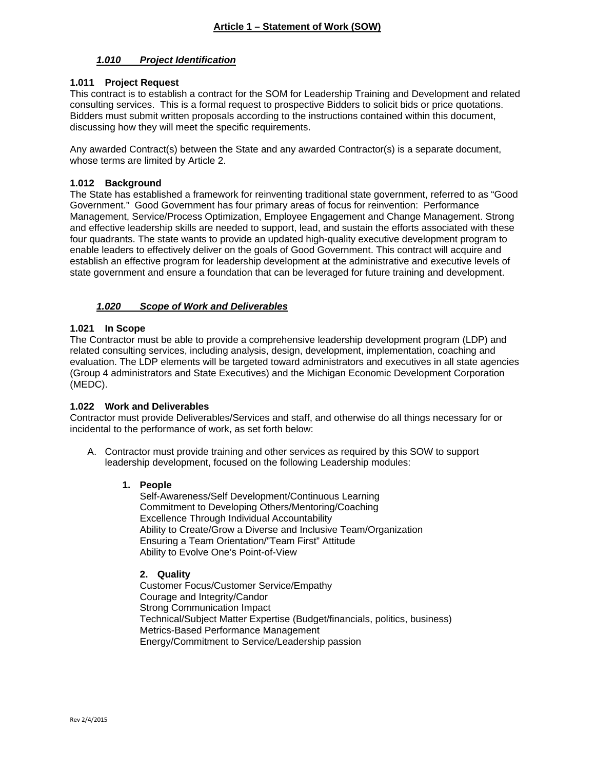# *1.010 Project Identification*

### **1.011 Project Request**

This contract is to establish a contract for the SOM for Leadership Training and Development and related consulting services. This is a formal request to prospective Bidders to solicit bids or price quotations. Bidders must submit written proposals according to the instructions contained within this document, discussing how they will meet the specific requirements.

Any awarded Contract(s) between the State and any awarded Contractor(s) is a separate document, whose terms are limited by Article 2.

#### **1.012 Background**

The State has established a framework for reinventing traditional state government, referred to as "Good Government." Good Government has four primary areas of focus for reinvention: Performance Management, Service/Process Optimization, Employee Engagement and Change Management. Strong and effective leadership skills are needed to support, lead, and sustain the efforts associated with these four quadrants. The state wants to provide an updated high-quality executive development program to enable leaders to effectively deliver on the goals of Good Government. This contract will acquire and establish an effective program for leadership development at the administrative and executive levels of state government and ensure a foundation that can be leveraged for future training and development.

# *1.020 Scope of Work and Deliverables*

#### **1.021 In Scope**

The Contractor must be able to provide a comprehensive leadership development program (LDP) and related consulting services, including analysis, design, development, implementation, coaching and evaluation. The LDP elements will be targeted toward administrators and executives in all state agencies (Group 4 administrators and State Executives) and the Michigan Economic Development Corporation (MEDC).

#### **1.022 Work and Deliverables**

Contractor must provide Deliverables/Services and staff, and otherwise do all things necessary for or incidental to the performance of work, as set forth below:

A. Contractor must provide training and other services as required by this SOW to support leadership development, focused on the following Leadership modules:

#### **1. People**

 Self-Awareness/Self Development/Continuous Learning Commitment to Developing Others/Mentoring/Coaching Excellence Through Individual Accountability Ability to Create/Grow a Diverse and Inclusive Team/Organization Ensuring a Team Orientation/"Team First" Attitude Ability to Evolve One's Point-of-View

#### **2. Quality**

 Customer Focus/Customer Service/Empathy Courage and Integrity/Candor Strong Communication Impact Technical/Subject Matter Expertise (Budget/financials, politics, business) Metrics-Based Performance Management Energy/Commitment to Service/Leadership passion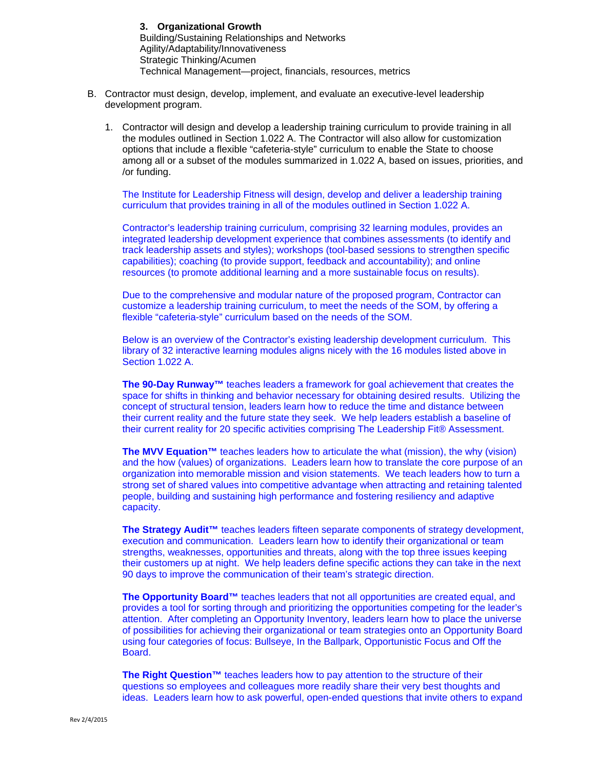**3. Organizational Growth**  Building/Sustaining Relationships and Networks Agility/Adaptability/Innovativeness Strategic Thinking/Acumen Technical Management—project, financials, resources, metrics

- B. Contractor must design, develop, implement, and evaluate an executive-level leadership development program.
	- 1. Contractor will design and develop a leadership training curriculum to provide training in all the modules outlined in Section 1.022 A. The Contractor will also allow for customization options that include a flexible "cafeteria-style" curriculum to enable the State to choose among all or a subset of the modules summarized in 1.022 A, based on issues, priorities, and /or funding.

The Institute for Leadership Fitness will design, develop and deliver a leadership training curriculum that provides training in all of the modules outlined in Section 1.022 A.

Contractor's leadership training curriculum, comprising 32 learning modules, provides an integrated leadership development experience that combines assessments (to identify and track leadership assets and styles); workshops (tool-based sessions to strengthen specific capabilities); coaching (to provide support, feedback and accountability); and online resources (to promote additional learning and a more sustainable focus on results).

Due to the comprehensive and modular nature of the proposed program, Contractor can customize a leadership training curriculum, to meet the needs of the SOM, by offering a flexible "cafeteria-style" curriculum based on the needs of the SOM.

Below is an overview of the Contractor's existing leadership development curriculum. This library of 32 interactive learning modules aligns nicely with the 16 modules listed above in Section 1.022 A.

**The 90-Day Runway™** teaches leaders a framework for goal achievement that creates the space for shifts in thinking and behavior necessary for obtaining desired results. Utilizing the concept of structural tension, leaders learn how to reduce the time and distance between their current reality and the future state they seek. We help leaders establish a baseline of their current reality for 20 specific activities comprising The Leadership Fit® Assessment.

**The MVV Equation™** teaches leaders how to articulate the what (mission), the why (vision) and the how (values) of organizations. Leaders learn how to translate the core purpose of an organization into memorable mission and vision statements. We teach leaders how to turn a strong set of shared values into competitive advantage when attracting and retaining talented people, building and sustaining high performance and fostering resiliency and adaptive capacity.

**The Strategy Audit™** teaches leaders fifteen separate components of strategy development, execution and communication. Leaders learn how to identify their organizational or team strengths, weaknesses, opportunities and threats, along with the top three issues keeping their customers up at night. We help leaders define specific actions they can take in the next 90 days to improve the communication of their team's strategic direction.

**The Opportunity Board™** teaches leaders that not all opportunities are created equal, and provides a tool for sorting through and prioritizing the opportunities competing for the leader's attention. After completing an Opportunity Inventory, leaders learn how to place the universe of possibilities for achieving their organizational or team strategies onto an Opportunity Board using four categories of focus: Bullseye, In the Ballpark, Opportunistic Focus and Off the Board.

**The Right Question™** teaches leaders how to pay attention to the structure of their questions so employees and colleagues more readily share their very best thoughts and ideas. Leaders learn how to ask powerful, open-ended questions that invite others to expand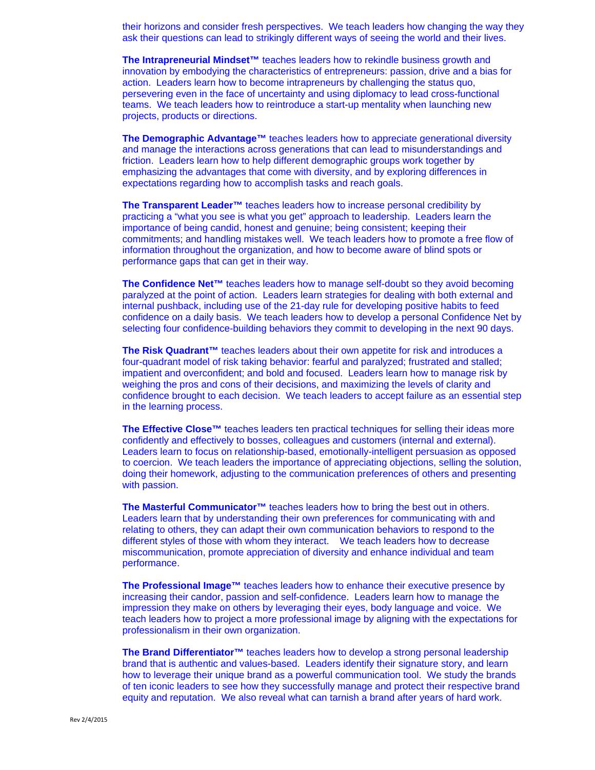their horizons and consider fresh perspectives. We teach leaders how changing the way they ask their questions can lead to strikingly different ways of seeing the world and their lives.

**The Intrapreneurial Mindset™** teaches leaders how to rekindle business growth and innovation by embodying the characteristics of entrepreneurs: passion, drive and a bias for action. Leaders learn how to become intrapreneurs by challenging the status quo, persevering even in the face of uncertainty and using diplomacy to lead cross-functional teams. We teach leaders how to reintroduce a start-up mentality when launching new projects, products or directions.

**The Demographic Advantage™** teaches leaders how to appreciate generational diversity and manage the interactions across generations that can lead to misunderstandings and friction. Leaders learn how to help different demographic groups work together by emphasizing the advantages that come with diversity, and by exploring differences in expectations regarding how to accomplish tasks and reach goals.

**The Transparent Leader™** teaches leaders how to increase personal credibility by practicing a "what you see is what you get" approach to leadership. Leaders learn the importance of being candid, honest and genuine; being consistent; keeping their commitments; and handling mistakes well. We teach leaders how to promote a free flow of information throughout the organization, and how to become aware of blind spots or performance gaps that can get in their way.

**The Confidence Net™** teaches leaders how to manage self-doubt so they avoid becoming paralyzed at the point of action. Leaders learn strategies for dealing with both external and internal pushback, including use of the 21-day rule for developing positive habits to feed confidence on a daily basis. We teach leaders how to develop a personal Confidence Net by selecting four confidence-building behaviors they commit to developing in the next 90 days.

**The Risk Quadrant™** teaches leaders about their own appetite for risk and introduces a four-quadrant model of risk taking behavior: fearful and paralyzed; frustrated and stalled; impatient and overconfident; and bold and focused. Leaders learn how to manage risk by weighing the pros and cons of their decisions, and maximizing the levels of clarity and confidence brought to each decision. We teach leaders to accept failure as an essential step in the learning process.

**The Effective Close™** teaches leaders ten practical techniques for selling their ideas more confidently and effectively to bosses, colleagues and customers (internal and external). Leaders learn to focus on relationship-based, emotionally-intelligent persuasion as opposed to coercion. We teach leaders the importance of appreciating objections, selling the solution, doing their homework, adjusting to the communication preferences of others and presenting with passion.

**The Masterful Communicator™** teaches leaders how to bring the best out in others. Leaders learn that by understanding their own preferences for communicating with and relating to others, they can adapt their own communication behaviors to respond to the different styles of those with whom they interact. We teach leaders how to decrease miscommunication, promote appreciation of diversity and enhance individual and team performance.

**The Professional Image™** teaches leaders how to enhance their executive presence by increasing their candor, passion and self-confidence. Leaders learn how to manage the impression they make on others by leveraging their eyes, body language and voice. We teach leaders how to project a more professional image by aligning with the expectations for professionalism in their own organization.

**The Brand Differentiator™** teaches leaders how to develop a strong personal leadership brand that is authentic and values-based. Leaders identify their signature story, and learn how to leverage their unique brand as a powerful communication tool. We study the brands of ten iconic leaders to see how they successfully manage and protect their respective brand equity and reputation. We also reveal what can tarnish a brand after years of hard work.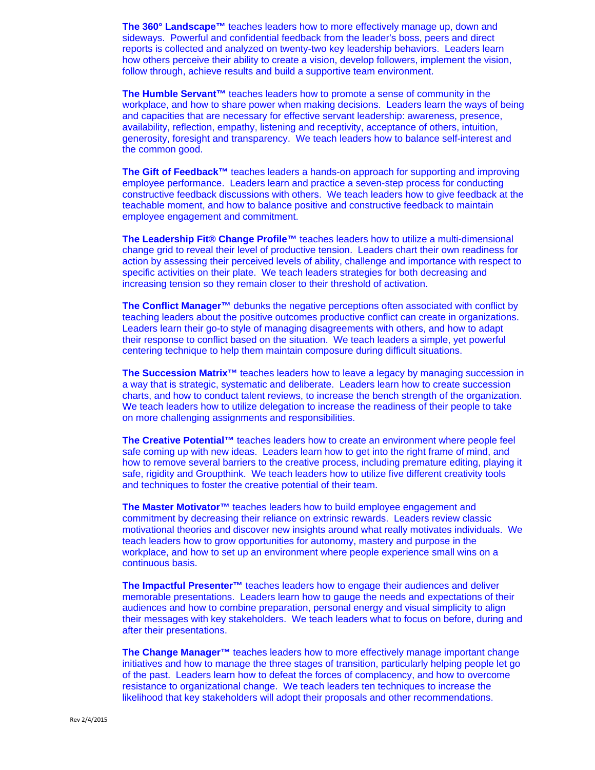**The 360° Landscape™** teaches leaders how to more effectively manage up, down and sideways. Powerful and confidential feedback from the leader's boss, peers and direct reports is collected and analyzed on twenty-two key leadership behaviors. Leaders learn how others perceive their ability to create a vision, develop followers, implement the vision, follow through, achieve results and build a supportive team environment.

**The Humble Servant™** teaches leaders how to promote a sense of community in the workplace, and how to share power when making decisions. Leaders learn the ways of being and capacities that are necessary for effective servant leadership: awareness, presence, availability, reflection, empathy, listening and receptivity, acceptance of others, intuition, generosity, foresight and transparency. We teach leaders how to balance self-interest and the common good.

**The Gift of Feedback™** teaches leaders a hands-on approach for supporting and improving employee performance. Leaders learn and practice a seven-step process for conducting constructive feedback discussions with others. We teach leaders how to give feedback at the teachable moment, and how to balance positive and constructive feedback to maintain employee engagement and commitment.

**The Leadership Fit® Change Profile™** teaches leaders how to utilize a multi-dimensional change grid to reveal their level of productive tension. Leaders chart their own readiness for action by assessing their perceived levels of ability, challenge and importance with respect to specific activities on their plate. We teach leaders strategies for both decreasing and increasing tension so they remain closer to their threshold of activation.

**The Conflict Manager™** debunks the negative perceptions often associated with conflict by teaching leaders about the positive outcomes productive conflict can create in organizations. Leaders learn their go-to style of managing disagreements with others, and how to adapt their response to conflict based on the situation. We teach leaders a simple, yet powerful centering technique to help them maintain composure during difficult situations.

**The Succession Matrix™** teaches leaders how to leave a legacy by managing succession in a way that is strategic, systematic and deliberate. Leaders learn how to create succession charts, and how to conduct talent reviews, to increase the bench strength of the organization. We teach leaders how to utilize delegation to increase the readiness of their people to take on more challenging assignments and responsibilities.

**The Creative Potential™** teaches leaders how to create an environment where people feel safe coming up with new ideas. Leaders learn how to get into the right frame of mind, and how to remove several barriers to the creative process, including premature editing, playing it safe, rigidity and Groupthink. We teach leaders how to utilize five different creativity tools and techniques to foster the creative potential of their team.

**The Master Motivator™** teaches leaders how to build employee engagement and commitment by decreasing their reliance on extrinsic rewards. Leaders review classic motivational theories and discover new insights around what really motivates individuals. We teach leaders how to grow opportunities for autonomy, mastery and purpose in the workplace, and how to set up an environment where people experience small wins on a continuous basis.

**The Impactful Presenter™** teaches leaders how to engage their audiences and deliver memorable presentations. Leaders learn how to gauge the needs and expectations of their audiences and how to combine preparation, personal energy and visual simplicity to align their messages with key stakeholders. We teach leaders what to focus on before, during and after their presentations.

**The Change Manager™** teaches leaders how to more effectively manage important change initiatives and how to manage the three stages of transition, particularly helping people let go of the past. Leaders learn how to defeat the forces of complacency, and how to overcome resistance to organizational change. We teach leaders ten techniques to increase the likelihood that key stakeholders will adopt their proposals and other recommendations.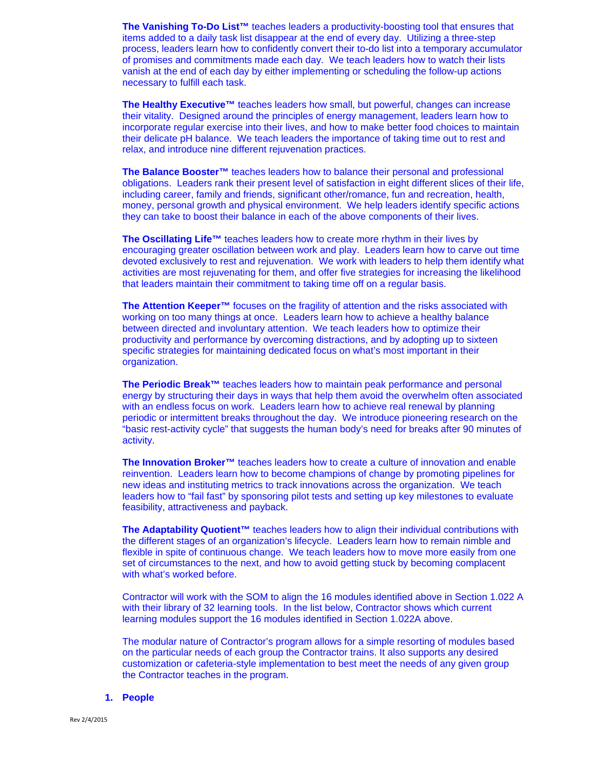**The Vanishing To-Do List™** teaches leaders a productivity-boosting tool that ensures that items added to a daily task list disappear at the end of every day. Utilizing a three-step process, leaders learn how to confidently convert their to-do list into a temporary accumulator of promises and commitments made each day. We teach leaders how to watch their lists vanish at the end of each day by either implementing or scheduling the follow-up actions necessary to fulfill each task.

**The Healthy Executive™** teaches leaders how small, but powerful, changes can increase their vitality. Designed around the principles of energy management, leaders learn how to incorporate regular exercise into their lives, and how to make better food choices to maintain their delicate pH balance. We teach leaders the importance of taking time out to rest and relax, and introduce nine different rejuvenation practices.

**The Balance Booster™** teaches leaders how to balance their personal and professional obligations. Leaders rank their present level of satisfaction in eight different slices of their life, including career, family and friends, significant other/romance, fun and recreation, health, money, personal growth and physical environment. We help leaders identify specific actions they can take to boost their balance in each of the above components of their lives.

**The Oscillating Life™** teaches leaders how to create more rhythm in their lives by encouraging greater oscillation between work and play. Leaders learn how to carve out time devoted exclusively to rest and rejuvenation. We work with leaders to help them identify what activities are most rejuvenating for them, and offer five strategies for increasing the likelihood that leaders maintain their commitment to taking time off on a regular basis.

**The Attention Keeper™** focuses on the fragility of attention and the risks associated with working on too many things at once. Leaders learn how to achieve a healthy balance between directed and involuntary attention. We teach leaders how to optimize their productivity and performance by overcoming distractions, and by adopting up to sixteen specific strategies for maintaining dedicated focus on what's most important in their organization.

**The Periodic Break™** teaches leaders how to maintain peak performance and personal energy by structuring their days in ways that help them avoid the overwhelm often associated with an endless focus on work. Leaders learn how to achieve real renewal by planning periodic or intermittent breaks throughout the day. We introduce pioneering research on the "basic rest-activity cycle" that suggests the human body's need for breaks after 90 minutes of activity.

**The Innovation Broker™** teaches leaders how to create a culture of innovation and enable reinvention. Leaders learn how to become champions of change by promoting pipelines for new ideas and instituting metrics to track innovations across the organization. We teach leaders how to "fail fast" by sponsoring pilot tests and setting up key milestones to evaluate feasibility, attractiveness and payback.

**The Adaptability Quotient™** teaches leaders how to align their individual contributions with the different stages of an organization's lifecycle. Leaders learn how to remain nimble and flexible in spite of continuous change. We teach leaders how to move more easily from one set of circumstances to the next, and how to avoid getting stuck by becoming complacent with what's worked before.

Contractor will work with the SOM to align the 16 modules identified above in Section 1.022 A with their library of 32 learning tools. In the list below, Contractor shows which current learning modules support the 16 modules identified in Section 1.022A above.

The modular nature of Contractor's program allows for a simple resorting of modules based on the particular needs of each group the Contractor trains. It also supports any desired customization or cafeteria-style implementation to best meet the needs of any given group the Contractor teaches in the program.

#### **1. People**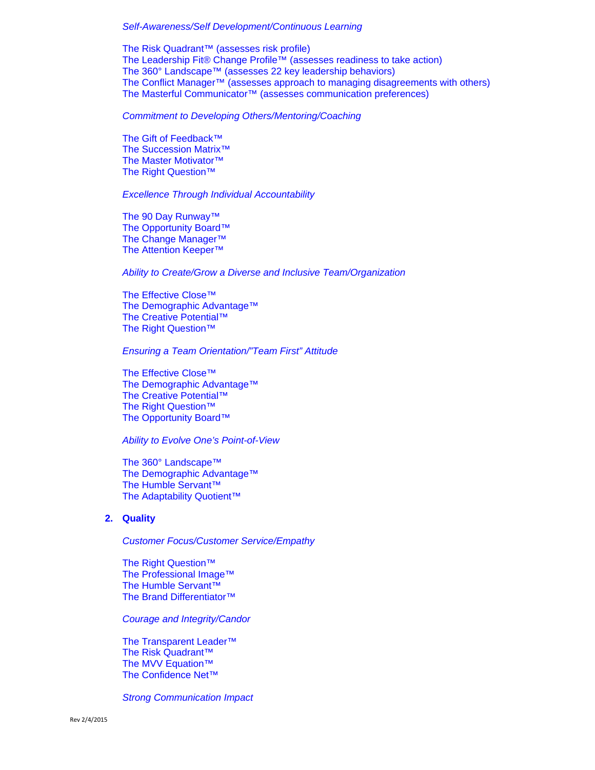#### *Self-Awareness/Self Development/Continuous Learning*

The Risk Quadrant™ (assesses risk profile) The Leadership Fit® Change Profile™ (assesses readiness to take action) The 360° Landscape™ (assesses 22 key leadership behaviors) The Conflict Manager™ (assesses approach to managing disagreements with others) The Masterful Communicator™ (assesses communication preferences)

#### *Commitment to Developing Others/Mentoring/Coaching*

The Gift of Feedback™ The Succession Matrix™ The Master Motivator™ The Right Question™

#### *Excellence Through Individual Accountability*

The 90 Day Runway™ The Opportunity Board™ The Change Manager™ The Attention Keeper™

#### *Ability to Create/Grow a Diverse and Inclusive Team/Organization*

The Effective Close™ The Demographic Advantage™ The Creative Potential™ The Right Question™

#### *Ensuring a Team Orientation/"Team First" Attitude*

The Effective Close™ The Demographic Advantage™ The Creative Potential™ The Right Question™ The Opportunity Board™

#### *Ability to Evolve One's Point-of-View*

The 360° Landscape™ The Demographic Advantage™ The Humble Servant™ The Adaptability Quotient™

#### **2. Quality**

*Customer Focus/Customer Service/Empathy* 

The Right Question™ The Professional Image™ The Humble Servant™ The Brand Differentiator<sup>™</sup>

*Courage and Integrity/Candor* 

The Transparent Leader™ The Risk Quadrant™ The MVV Equation™ The Confidence Net™

*Strong Communication Impact*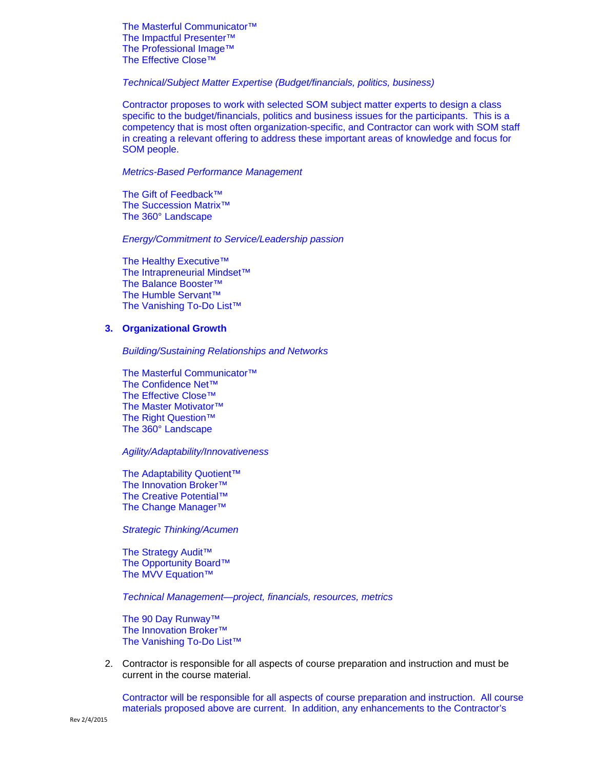The Masterful Communicator™ The Impactful Presenter™ The Professional Image™ The Effective Close<sup>™</sup>

*Technical/Subject Matter Expertise (Budget/financials, politics, business)* 

Contractor proposes to work with selected SOM subject matter experts to design a class specific to the budget/financials, politics and business issues for the participants. This is a competency that is most often organization-specific, and Contractor can work with SOM staff in creating a relevant offering to address these important areas of knowledge and focus for SOM people.

#### *Metrics-Based Performance Management*

The Gift of Feedback™ The Succession Matrix™ The 360° Landscape

*Energy/Commitment to Service/Leadership passion* 

The Healthy Executive<sup>™</sup> The Intrapreneurial Mindset™ The Balance Booster™ The Humble Servant™ The Vanishing To-Do List™

#### **3. Organizational Growth**

*Building/Sustaining Relationships and Networks* 

The Masterful Communicator™ The Confidence Net™ The Effective Close™ The Master Motivator™ The Right Question™ The 360° Landscape

#### *Agility/Adaptability/Innovativeness*

The Adaptability Quotient™ The Innovation Broker™ The Creative Potential™ The Change Manager™

*Strategic Thinking/Acumen* 

The Strategy Audit<sup>™</sup> The Opportunity Board™ The MVV Equation<sup>™</sup>

*Technical Management—project, financials, resources, metrics* 

The 90 Day Runway™ The Innovation Broker™ The Vanishing To-Do List™

2. Contractor is responsible for all aspects of course preparation and instruction and must be current in the course material.

Contractor will be responsible for all aspects of course preparation and instruction. All course materials proposed above are current. In addition, any enhancements to the Contractor's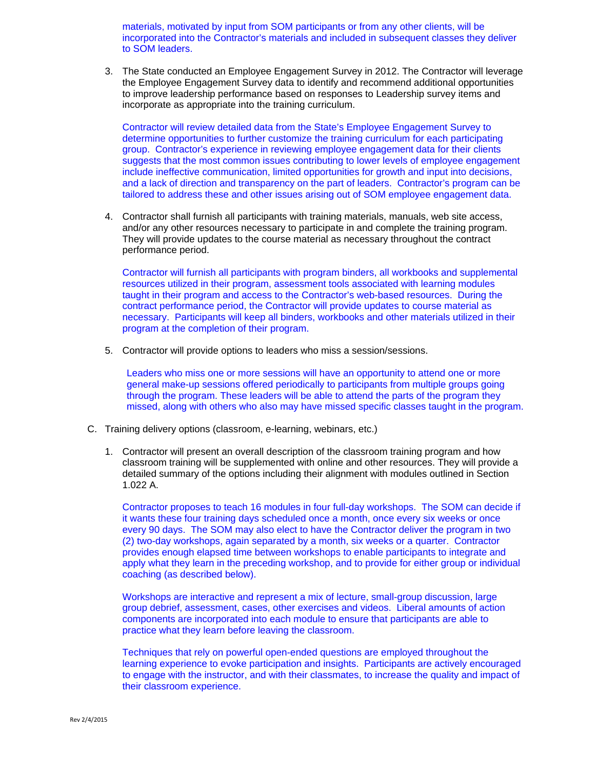materials, motivated by input from SOM participants or from any other clients, will be incorporated into the Contractor's materials and included in subsequent classes they deliver to SOM leaders.

3. The State conducted an Employee Engagement Survey in 2012. The Contractor will leverage the Employee Engagement Survey data to identify and recommend additional opportunities to improve leadership performance based on responses to Leadership survey items and incorporate as appropriate into the training curriculum.

Contractor will review detailed data from the State's Employee Engagement Survey to determine opportunities to further customize the training curriculum for each participating group. Contractor's experience in reviewing employee engagement data for their clients suggests that the most common issues contributing to lower levels of employee engagement include ineffective communication, limited opportunities for growth and input into decisions, and a lack of direction and transparency on the part of leaders. Contractor's program can be tailored to address these and other issues arising out of SOM employee engagement data.

4. Contractor shall furnish all participants with training materials, manuals, web site access, and/or any other resources necessary to participate in and complete the training program. They will provide updates to the course material as necessary throughout the contract performance period.

Contractor will furnish all participants with program binders, all workbooks and supplemental resources utilized in their program, assessment tools associated with learning modules taught in their program and access to the Contractor's web-based resources. During the contract performance period, the Contractor will provide updates to course material as necessary. Participants will keep all binders, workbooks and other materials utilized in their program at the completion of their program.

5. Contractor will provide options to leaders who miss a session/sessions.

Leaders who miss one or more sessions will have an opportunity to attend one or more general make-up sessions offered periodically to participants from multiple groups going through the program. These leaders will be able to attend the parts of the program they missed, along with others who also may have missed specific classes taught in the program.

- C. Training delivery options (classroom, e-learning, webinars, etc.)
	- 1. Contractor will present an overall description of the classroom training program and how classroom training will be supplemented with online and other resources. They will provide a detailed summary of the options including their alignment with modules outlined in Section 1.022 A.

Contractor proposes to teach 16 modules in four full-day workshops. The SOM can decide if it wants these four training days scheduled once a month, once every six weeks or once every 90 days. The SOM may also elect to have the Contractor deliver the program in two (2) two-day workshops, again separated by a month, six weeks or a quarter. Contractor provides enough elapsed time between workshops to enable participants to integrate and apply what they learn in the preceding workshop, and to provide for either group or individual coaching (as described below).

Workshops are interactive and represent a mix of lecture, small-group discussion, large group debrief, assessment, cases, other exercises and videos. Liberal amounts of action components are incorporated into each module to ensure that participants are able to practice what they learn before leaving the classroom.

Techniques that rely on powerful open-ended questions are employed throughout the learning experience to evoke participation and insights. Participants are actively encouraged to engage with the instructor, and with their classmates, to increase the quality and impact of their classroom experience.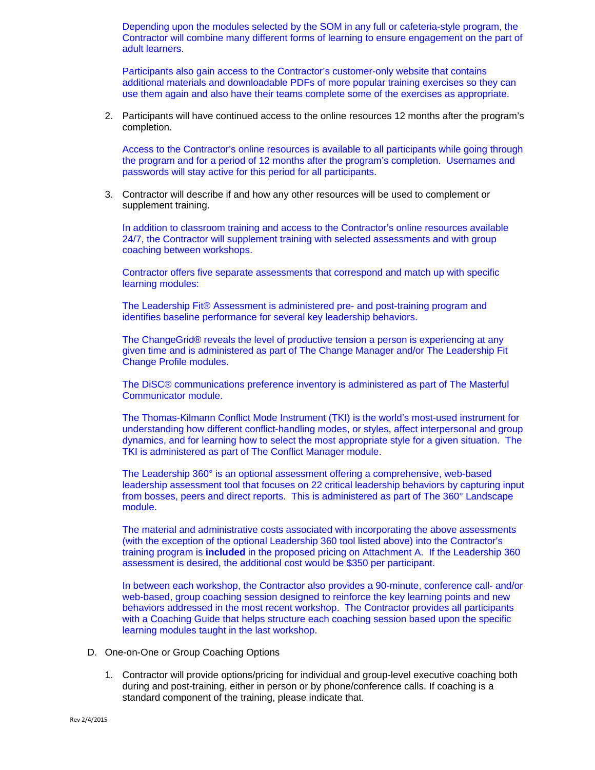Depending upon the modules selected by the SOM in any full or cafeteria-style program, the Contractor will combine many different forms of learning to ensure engagement on the part of adult learners.

Participants also gain access to the Contractor's customer-only website that contains additional materials and downloadable PDFs of more popular training exercises so they can use them again and also have their teams complete some of the exercises as appropriate.

2. Participants will have continued access to the online resources 12 months after the program's completion.

Access to the Contractor's online resources is available to all participants while going through the program and for a period of 12 months after the program's completion. Usernames and passwords will stay active for this period for all participants.

3. Contractor will describe if and how any other resources will be used to complement or supplement training.

In addition to classroom training and access to the Contractor's online resources available 24/7, the Contractor will supplement training with selected assessments and with group coaching between workshops.

Contractor offers five separate assessments that correspond and match up with specific learning modules:

The Leadership Fit® Assessment is administered pre- and post-training program and identifies baseline performance for several key leadership behaviors.

The ChangeGrid® reveals the level of productive tension a person is experiencing at any given time and is administered as part of The Change Manager and/or The Leadership Fit Change Profile modules.

The DiSC® communications preference inventory is administered as part of The Masterful Communicator module.

The Thomas-Kilmann Conflict Mode Instrument (TKI) is the world's most-used instrument for understanding how different conflict-handling modes, or styles, affect interpersonal and group dynamics, and for learning how to select the most appropriate style for a given situation. The TKI is administered as part of The Conflict Manager module.

The Leadership 360° is an optional assessment offering a comprehensive, web-based leadership assessment tool that focuses on 22 critical leadership behaviors by capturing input from bosses, peers and direct reports. This is administered as part of The 360° Landscape module.

The material and administrative costs associated with incorporating the above assessments (with the exception of the optional Leadership 360 tool listed above) into the Contractor's training program is **included** in the proposed pricing on Attachment A. If the Leadership 360 assessment is desired, the additional cost would be \$350 per participant.

In between each workshop, the Contractor also provides a 90-minute, conference call- and/or web-based, group coaching session designed to reinforce the key learning points and new behaviors addressed in the most recent workshop. The Contractor provides all participants with a Coaching Guide that helps structure each coaching session based upon the specific learning modules taught in the last workshop.

- D. One-on-One or Group Coaching Options
	- 1. Contractor will provide options/pricing for individual and group-level executive coaching both during and post-training, either in person or by phone/conference calls. If coaching is a standard component of the training, please indicate that.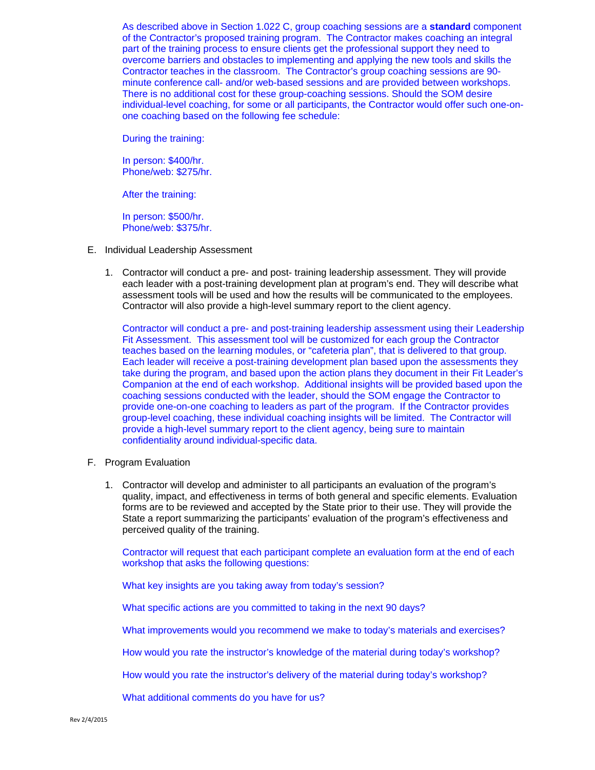As described above in Section 1.022 C, group coaching sessions are a **standard** component of the Contractor's proposed training program. The Contractor makes coaching an integral part of the training process to ensure clients get the professional support they need to overcome barriers and obstacles to implementing and applying the new tools and skills the Contractor teaches in the classroom. The Contractor's group coaching sessions are 90 minute conference call- and/or web-based sessions and are provided between workshops. There is no additional cost for these group-coaching sessions. Should the SOM desire individual-level coaching, for some or all participants, the Contractor would offer such one-onone coaching based on the following fee schedule:

During the training:

In person: \$400/hr. Phone/web: \$275/hr.

After the training:

In person: \$500/hr. Phone/web: \$375/hr.

- E. Individual Leadership Assessment
	- 1. Contractor will conduct a pre- and post- training leadership assessment. They will provide each leader with a post-training development plan at program's end. They will describe what assessment tools will be used and how the results will be communicated to the employees. Contractor will also provide a high-level summary report to the client agency.

Contractor will conduct a pre- and post-training leadership assessment using their Leadership Fit Assessment. This assessment tool will be customized for each group the Contractor teaches based on the learning modules, or "cafeteria plan", that is delivered to that group. Each leader will receive a post-training development plan based upon the assessments they take during the program, and based upon the action plans they document in their Fit Leader's Companion at the end of each workshop. Additional insights will be provided based upon the coaching sessions conducted with the leader, should the SOM engage the Contractor to provide one-on-one coaching to leaders as part of the program. If the Contractor provides group-level coaching, these individual coaching insights will be limited. The Contractor will provide a high-level summary report to the client agency, being sure to maintain confidentiality around individual-specific data.

- F. Program Evaluation
	- 1. Contractor will develop and administer to all participants an evaluation of the program's quality, impact, and effectiveness in terms of both general and specific elements. Evaluation forms are to be reviewed and accepted by the State prior to their use. They will provide the State a report summarizing the participants' evaluation of the program's effectiveness and perceived quality of the training.

Contractor will request that each participant complete an evaluation form at the end of each workshop that asks the following questions:

What key insights are you taking away from today's session?

What specific actions are you committed to taking in the next 90 days?

What improvements would you recommend we make to today's materials and exercises?

How would you rate the instructor's knowledge of the material during today's workshop?

How would you rate the instructor's delivery of the material during today's workshop?

What additional comments do you have for us?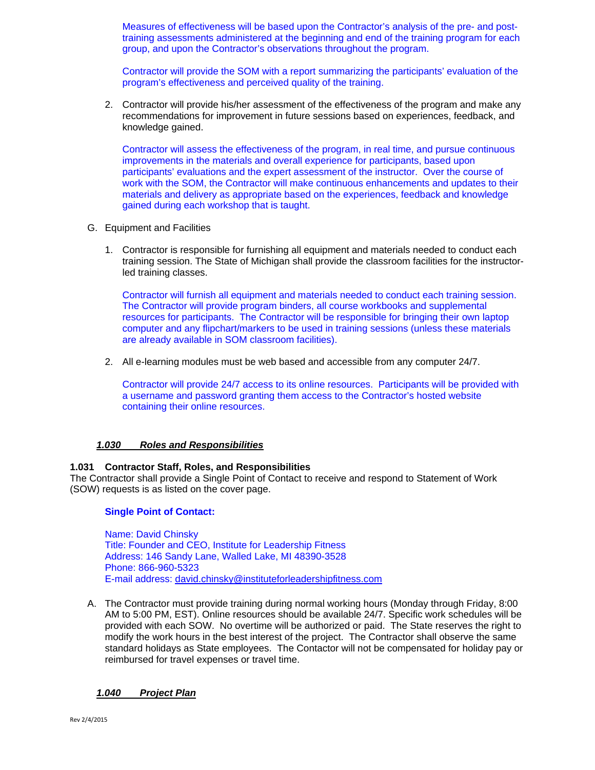Measures of effectiveness will be based upon the Contractor's analysis of the pre- and posttraining assessments administered at the beginning and end of the training program for each group, and upon the Contractor's observations throughout the program.

Contractor will provide the SOM with a report summarizing the participants' evaluation of the program's effectiveness and perceived quality of the training.

2. Contractor will provide his/her assessment of the effectiveness of the program and make any recommendations for improvement in future sessions based on experiences, feedback, and knowledge gained.

Contractor will assess the effectiveness of the program, in real time, and pursue continuous improvements in the materials and overall experience for participants, based upon participants' evaluations and the expert assessment of the instructor. Over the course of work with the SOM, the Contractor will make continuous enhancements and updates to their materials and delivery as appropriate based on the experiences, feedback and knowledge gained during each workshop that is taught.

- G. Equipment and Facilities
	- 1. Contractor is responsible for furnishing all equipment and materials needed to conduct each training session. The State of Michigan shall provide the classroom facilities for the instructorled training classes.

Contractor will furnish all equipment and materials needed to conduct each training session. The Contractor will provide program binders, all course workbooks and supplemental resources for participants. The Contractor will be responsible for bringing their own laptop computer and any flipchart/markers to be used in training sessions (unless these materials are already available in SOM classroom facilities).

2. All e-learning modules must be web based and accessible from any computer 24/7.

Contractor will provide 24/7 access to its online resources. Participants will be provided with a username and password granting them access to the Contractor's hosted website containing their online resources.

#### *1.030 Roles and Responsibilities*

#### **1.031 Contractor Staff, Roles, and Responsibilities**

The Contractor shall provide a Single Point of Contact to receive and respond to Statement of Work (SOW) requests is as listed on the cover page.

#### **Single Point of Contact:**

Name: David Chinsky Title: Founder and CEO, Institute for Leadership Fitness Address: 146 Sandy Lane, Walled Lake, MI 48390-3528 Phone: 866-960-5323 E-mail address: david.chinsky@instituteforleadershipfitness.com

A. The Contractor must provide training during normal working hours (Monday through Friday, 8:00 AM to 5:00 PM, EST). Online resources should be available 24/7. Specific work schedules will be provided with each SOW. No overtime will be authorized or paid. The State reserves the right to modify the work hours in the best interest of the project. The Contractor shall observe the same standard holidays as State employees. The Contactor will not be compensated for holiday pay or reimbursed for travel expenses or travel time.

# *1.040 Project Plan*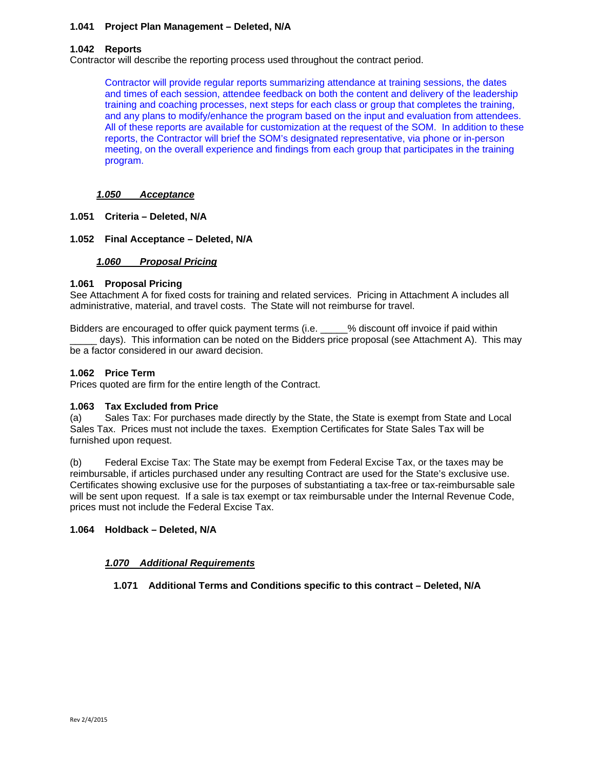#### **1.041 Project Plan Management – Deleted, N/A**

#### **1.042 Reports**

Contractor will describe the reporting process used throughout the contract period.

Contractor will provide regular reports summarizing attendance at training sessions, the dates and times of each session, attendee feedback on both the content and delivery of the leadership training and coaching processes, next steps for each class or group that completes the training, and any plans to modify/enhance the program based on the input and evaluation from attendees. All of these reports are available for customization at the request of the SOM. In addition to these reports, the Contractor will brief the SOM's designated representative, via phone or in-person meeting, on the overall experience and findings from each group that participates in the training program.

#### *1.050 Acceptance*

- **1.051 Criteria Deleted, N/A**
- **1.052 Final Acceptance Deleted, N/A**

#### *1.060 Proposal Pricing*

#### **1.061 Proposal Pricing**

See Attachment A for fixed costs for training and related services. Pricing in Attachment A includes all administrative, material, and travel costs. The State will not reimburse for travel.

Bidders are encouraged to offer quick payment terms (i.e.  $\%$  discount off invoice if paid within days). This information can be noted on the Bidders price proposal (see Attachment A). This may be a factor considered in our award decision.

#### **1.062 Price Term**

Prices quoted are firm for the entire length of the Contract.

#### **1.063 Tax Excluded from Price**

(a) Sales Tax: For purchases made directly by the State, the State is exempt from State and Local Sales Tax. Prices must not include the taxes. Exemption Certificates for State Sales Tax will be furnished upon request.

(b) Federal Excise Tax: The State may be exempt from Federal Excise Tax, or the taxes may be reimbursable, if articles purchased under any resulting Contract are used for the State's exclusive use. Certificates showing exclusive use for the purposes of substantiating a tax-free or tax-reimbursable sale will be sent upon request. If a sale is tax exempt or tax reimbursable under the Internal Revenue Code, prices must not include the Federal Excise Tax.

#### **1.064 Holdback – Deleted, N/A**

#### *1.070 Additional Requirements*

#### **1.071 Additional Terms and Conditions specific to this contract – Deleted, N/A**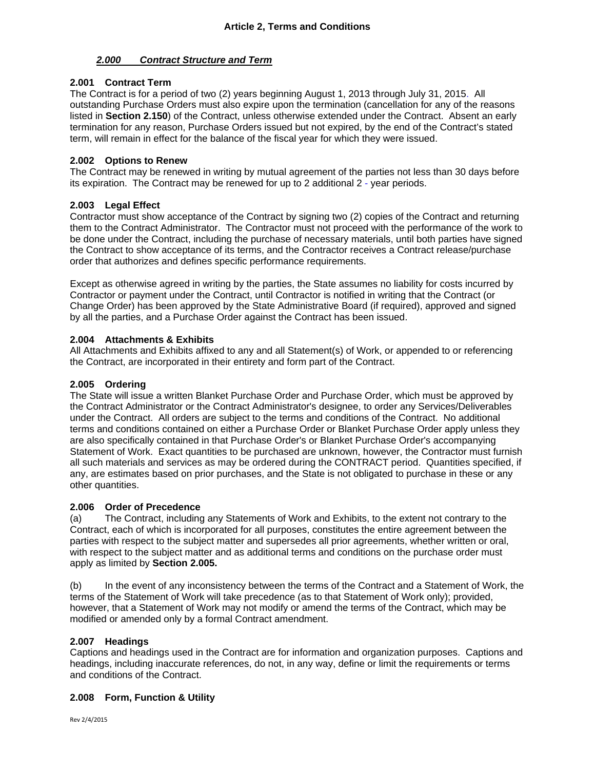# *2.000 Contract Structure and Term*

### **2.001 Contract Term**

The Contract is for a period of two (2) years beginning August 1, 2013 through July 31, 2015. All outstanding Purchase Orders must also expire upon the termination (cancellation for any of the reasons listed in **Section 2.150**) of the Contract, unless otherwise extended under the Contract. Absent an early termination for any reason, Purchase Orders issued but not expired, by the end of the Contract's stated term, will remain in effect for the balance of the fiscal year for which they were issued.

### **2.002 Options to Renew**

The Contract may be renewed in writing by mutual agreement of the parties not less than 30 days before its expiration. The Contract may be renewed for up to 2 additional 2 - year periods.

# **2.003 Legal Effect**

Contractor must show acceptance of the Contract by signing two (2) copies of the Contract and returning them to the Contract Administrator. The Contractor must not proceed with the performance of the work to be done under the Contract, including the purchase of necessary materials, until both parties have signed the Contract to show acceptance of its terms, and the Contractor receives a Contract release/purchase order that authorizes and defines specific performance requirements.

Except as otherwise agreed in writing by the parties, the State assumes no liability for costs incurred by Contractor or payment under the Contract, until Contractor is notified in writing that the Contract (or Change Order) has been approved by the State Administrative Board (if required), approved and signed by all the parties, and a Purchase Order against the Contract has been issued.

# **2.004 Attachments & Exhibits**

All Attachments and Exhibits affixed to any and all Statement(s) of Work, or appended to or referencing the Contract, are incorporated in their entirety and form part of the Contract.

# **2.005 Ordering**

The State will issue a written Blanket Purchase Order and Purchase Order, which must be approved by the Contract Administrator or the Contract Administrator's designee, to order any Services/Deliverables under the Contract. All orders are subject to the terms and conditions of the Contract. No additional terms and conditions contained on either a Purchase Order or Blanket Purchase Order apply unless they are also specifically contained in that Purchase Order's or Blanket Purchase Order's accompanying Statement of Work. Exact quantities to be purchased are unknown, however, the Contractor must furnish all such materials and services as may be ordered during the CONTRACT period. Quantities specified, if any, are estimates based on prior purchases, and the State is not obligated to purchase in these or any other quantities.

#### **2.006 Order of Precedence**

(a) The Contract, including any Statements of Work and Exhibits, to the extent not contrary to the Contract, each of which is incorporated for all purposes, constitutes the entire agreement between the parties with respect to the subject matter and supersedes all prior agreements, whether written or oral, with respect to the subject matter and as additional terms and conditions on the purchase order must apply as limited by **Section 2.005.** 

(b) In the event of any inconsistency between the terms of the Contract and a Statement of Work, the terms of the Statement of Work will take precedence (as to that Statement of Work only); provided, however, that a Statement of Work may not modify or amend the terms of the Contract, which may be modified or amended only by a formal Contract amendment.

#### **2.007 Headings**

Captions and headings used in the Contract are for information and organization purposes. Captions and headings, including inaccurate references, do not, in any way, define or limit the requirements or terms and conditions of the Contract.

# **2.008 Form, Function & Utility**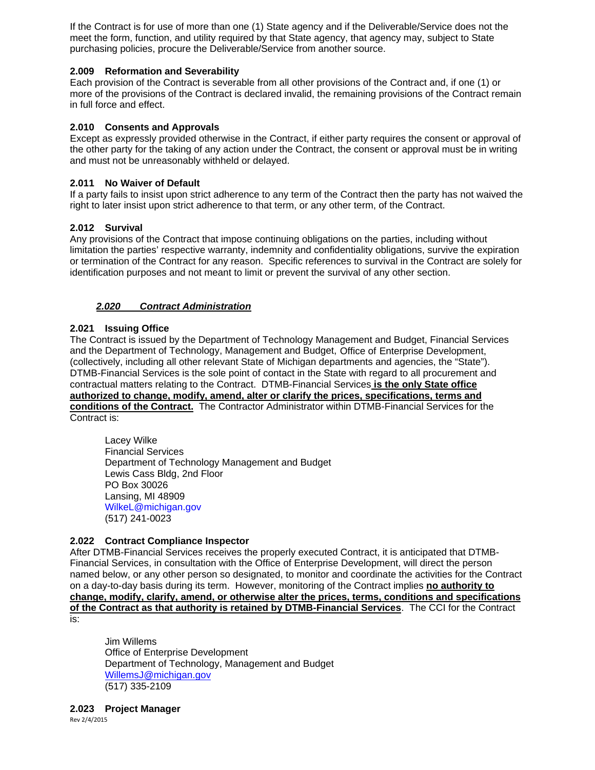If the Contract is for use of more than one (1) State agency and if the Deliverable/Service does not the meet the form, function, and utility required by that State agency, that agency may, subject to State purchasing policies, procure the Deliverable/Service from another source.

# **2.009 Reformation and Severability**

Each provision of the Contract is severable from all other provisions of the Contract and, if one (1) or more of the provisions of the Contract is declared invalid, the remaining provisions of the Contract remain in full force and effect.

### **2.010 Consents and Approvals**

Except as expressly provided otherwise in the Contract, if either party requires the consent or approval of the other party for the taking of any action under the Contract, the consent or approval must be in writing and must not be unreasonably withheld or delayed.

### **2.011 No Waiver of Default**

If a party fails to insist upon strict adherence to any term of the Contract then the party has not waived the right to later insist upon strict adherence to that term, or any other term, of the Contract.

# **2.012 Survival**

Any provisions of the Contract that impose continuing obligations on the parties, including without limitation the parties' respective warranty, indemnity and confidentiality obligations, survive the expiration or termination of the Contract for any reason. Specific references to survival in the Contract are solely for identification purposes and not meant to limit or prevent the survival of any other section.

# *2.020 Contract Administration*

# **2.021 Issuing Office**

The Contract is issued by the Department of Technology Management and Budget, Financial Services and the Department of Technology, Management and Budget, Office of Enterprise Development, (collectively, including all other relevant State of Michigan departments and agencies, the "State"). DTMB-Financial Services is the sole point of contact in the State with regard to all procurement and contractual matters relating to the Contract. DTMB-Financial Services **is the only State office authorized to change, modify, amend, alter or clarify the prices, specifications, terms and conditions of the Contract.** The Contractor Administrator within DTMB-Financial Services for the Contract is:

Lacey Wilke Financial Services Department of Technology Management and Budget Lewis Cass Bldg, 2nd Floor PO Box 30026 Lansing, MI 48909 WilkeL@michigan.gov (517) 241-0023

# **2.022 Contract Compliance Inspector**

After DTMB-Financial Services receives the properly executed Contract, it is anticipated that DTMB-Financial Services, in consultation with the Office of Enterprise Development, will direct the person named below, or any other person so designated, to monitor and coordinate the activities for the Contract on a day-to-day basis during its term. However, monitoring of the Contract implies **no authority to change, modify, clarify, amend, or otherwise alter the prices, terms, conditions and specifications of the Contract as that authority is retained by DTMB-Financial Services**. The CCI for the Contract

is:

Jim Willems Office of Enterprise Development Department of Technology, Management and Budget WillemsJ@michigan.gov (517) 335-2109

#### **2.023 Project Manager**

Rev 2/4/2015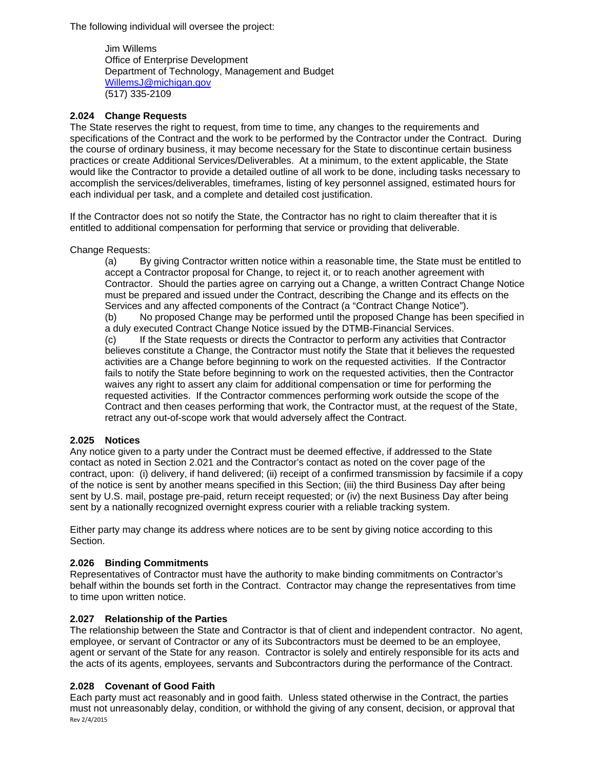The following individual will oversee the project:

Jim Willems Office of Enterprise Development Department of Technology, Management and Budget WillemsJ@michigan.gov (517) 335-2109

### **2.024 Change Requests**

The State reserves the right to request, from time to time, any changes to the requirements and specifications of the Contract and the work to be performed by the Contractor under the Contract. During the course of ordinary business, it may become necessary for the State to discontinue certain business practices or create Additional Services/Deliverables. At a minimum, to the extent applicable, the State would like the Contractor to provide a detailed outline of all work to be done, including tasks necessary to accomplish the services/deliverables, timeframes, listing of key personnel assigned, estimated hours for each individual per task, and a complete and detailed cost justification.

If the Contractor does not so notify the State, the Contractor has no right to claim thereafter that it is entitled to additional compensation for performing that service or providing that deliverable.

Change Requests:

(a) By giving Contractor written notice within a reasonable time, the State must be entitled to accept a Contractor proposal for Change, to reject it, or to reach another agreement with Contractor. Should the parties agree on carrying out a Change, a written Contract Change Notice must be prepared and issued under the Contract, describing the Change and its effects on the Services and any affected components of the Contract (a "Contract Change Notice").

(b) No proposed Change may be performed until the proposed Change has been specified in a duly executed Contract Change Notice issued by the DTMB-Financial Services.

(c) If the State requests or directs the Contractor to perform any activities that Contractor believes constitute a Change, the Contractor must notify the State that it believes the requested activities are a Change before beginning to work on the requested activities. If the Contractor fails to notify the State before beginning to work on the requested activities, then the Contractor waives any right to assert any claim for additional compensation or time for performing the requested activities. If the Contractor commences performing work outside the scope of the Contract and then ceases performing that work, the Contractor must, at the request of the State, retract any out-of-scope work that would adversely affect the Contract.

#### **2.025 Notices**

Any notice given to a party under the Contract must be deemed effective, if addressed to the State contact as noted in Section 2.021 and the Contractor's contact as noted on the cover page of the contract, upon: (i) delivery, if hand delivered; (ii) receipt of a confirmed transmission by facsimile if a copy of the notice is sent by another means specified in this Section; (iii) the third Business Day after being sent by U.S. mail, postage pre-paid, return receipt requested; or (iv) the next Business Day after being sent by a nationally recognized overnight express courier with a reliable tracking system.

Either party may change its address where notices are to be sent by giving notice according to this Section.

#### **2.026 Binding Commitments**

Representatives of Contractor must have the authority to make binding commitments on Contractor's behalf within the bounds set forth in the Contract. Contractor may change the representatives from time to time upon written notice.

#### **2.027 Relationship of the Parties**

The relationship between the State and Contractor is that of client and independent contractor. No agent, employee, or servant of Contractor or any of its Subcontractors must be deemed to be an employee, agent or servant of the State for any reason. Contractor is solely and entirely responsible for its acts and the acts of its agents, employees, servants and Subcontractors during the performance of the Contract.

#### **2.028 Covenant of Good Faith**

Rev 2/4/2015 Each party must act reasonably and in good faith. Unless stated otherwise in the Contract, the parties must not unreasonably delay, condition, or withhold the giving of any consent, decision, or approval that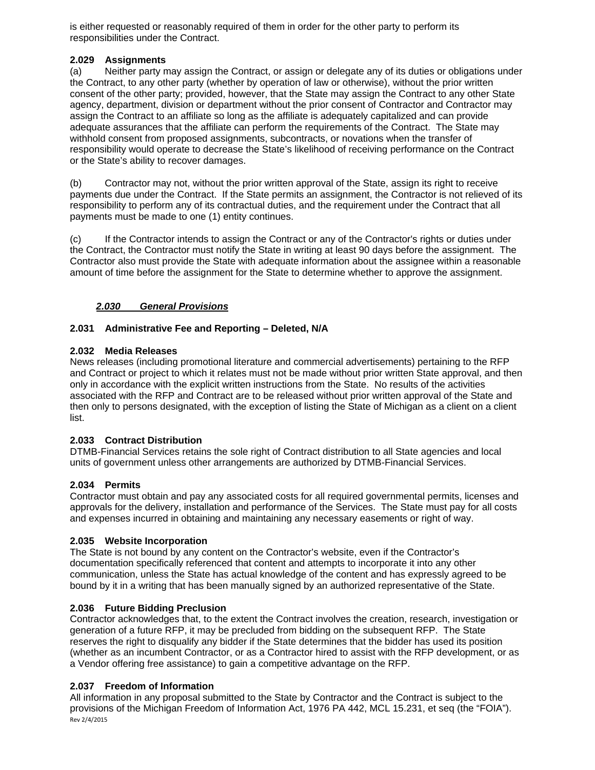is either requested or reasonably required of them in order for the other party to perform its responsibilities under the Contract.

# **2.029 Assignments**

(a) Neither party may assign the Contract, or assign or delegate any of its duties or obligations under the Contract, to any other party (whether by operation of law or otherwise), without the prior written consent of the other party; provided, however, that the State may assign the Contract to any other State agency, department, division or department without the prior consent of Contractor and Contractor may assign the Contract to an affiliate so long as the affiliate is adequately capitalized and can provide adequate assurances that the affiliate can perform the requirements of the Contract. The State may withhold consent from proposed assignments, subcontracts, or novations when the transfer of responsibility would operate to decrease the State's likelihood of receiving performance on the Contract or the State's ability to recover damages.

(b) Contractor may not, without the prior written approval of the State, assign its right to receive payments due under the Contract. If the State permits an assignment, the Contractor is not relieved of its responsibility to perform any of its contractual duties, and the requirement under the Contract that all payments must be made to one (1) entity continues.

(c) If the Contractor intends to assign the Contract or any of the Contractor's rights or duties under the Contract, the Contractor must notify the State in writing at least 90 days before the assignment. The Contractor also must provide the State with adequate information about the assignee within a reasonable amount of time before the assignment for the State to determine whether to approve the assignment.

# *2.030 General Provisions*

# **2.031 Administrative Fee and Reporting – Deleted, N/A**

# **2.032 Media Releases**

News releases (including promotional literature and commercial advertisements) pertaining to the RFP and Contract or project to which it relates must not be made without prior written State approval, and then only in accordance with the explicit written instructions from the State. No results of the activities associated with the RFP and Contract are to be released without prior written approval of the State and then only to persons designated, with the exception of listing the State of Michigan as a client on a client list.

# **2.033 Contract Distribution**

DTMB-Financial Services retains the sole right of Contract distribution to all State agencies and local units of government unless other arrangements are authorized by DTMB-Financial Services.

#### **2.034 Permits**

Contractor must obtain and pay any associated costs for all required governmental permits, licenses and approvals for the delivery, installation and performance of the Services. The State must pay for all costs and expenses incurred in obtaining and maintaining any necessary easements or right of way.

#### **2.035 Website Incorporation**

The State is not bound by any content on the Contractor's website, even if the Contractor's documentation specifically referenced that content and attempts to incorporate it into any other communication, unless the State has actual knowledge of the content and has expressly agreed to be bound by it in a writing that has been manually signed by an authorized representative of the State.

#### **2.036 Future Bidding Preclusion**

Contractor acknowledges that, to the extent the Contract involves the creation, research, investigation or generation of a future RFP, it may be precluded from bidding on the subsequent RFP. The State reserves the right to disqualify any bidder if the State determines that the bidder has used its position (whether as an incumbent Contractor, or as a Contractor hired to assist with the RFP development, or as a Vendor offering free assistance) to gain a competitive advantage on the RFP.

# **2.037 Freedom of Information**

Rev 2/4/2015 All information in any proposal submitted to the State by Contractor and the Contract is subject to the provisions of the Michigan Freedom of Information Act, 1976 PA 442, MCL 15.231, et seq (the "FOIA").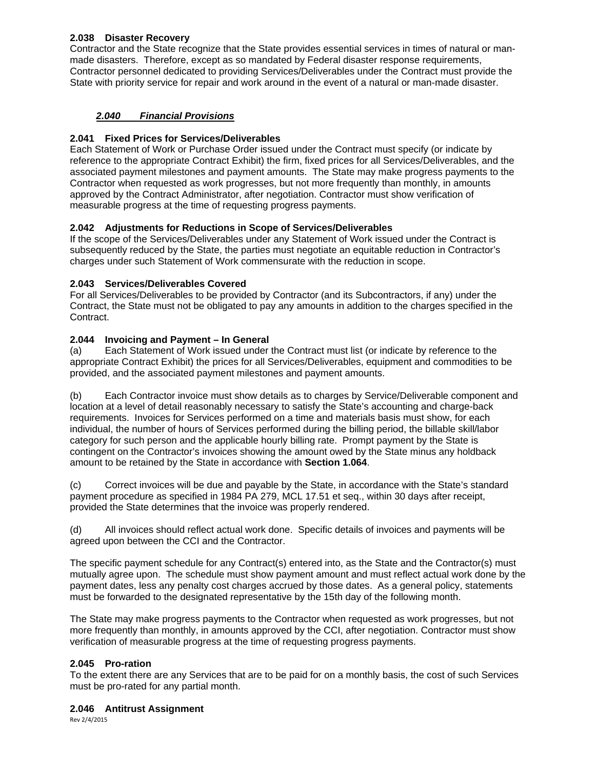# **2.038 Disaster Recovery**

Contractor and the State recognize that the State provides essential services in times of natural or manmade disasters. Therefore, except as so mandated by Federal disaster response requirements, Contractor personnel dedicated to providing Services/Deliverables under the Contract must provide the State with priority service for repair and work around in the event of a natural or man-made disaster.

# *2.040 Financial Provisions*

# **2.041 Fixed Prices for Services/Deliverables**

Each Statement of Work or Purchase Order issued under the Contract must specify (or indicate by reference to the appropriate Contract Exhibit) the firm, fixed prices for all Services/Deliverables, and the associated payment milestones and payment amounts. The State may make progress payments to the Contractor when requested as work progresses, but not more frequently than monthly, in amounts approved by the Contract Administrator, after negotiation. Contractor must show verification of measurable progress at the time of requesting progress payments.

# **2.042 Adjustments for Reductions in Scope of Services/Deliverables**

If the scope of the Services/Deliverables under any Statement of Work issued under the Contract is subsequently reduced by the State, the parties must negotiate an equitable reduction in Contractor's charges under such Statement of Work commensurate with the reduction in scope.

# **2.043 Services/Deliverables Covered**

For all Services/Deliverables to be provided by Contractor (and its Subcontractors, if any) under the Contract, the State must not be obligated to pay any amounts in addition to the charges specified in the Contract.

# **2.044 Invoicing and Payment – In General**

(a) Each Statement of Work issued under the Contract must list (or indicate by reference to the appropriate Contract Exhibit) the prices for all Services/Deliverables, equipment and commodities to be provided, and the associated payment milestones and payment amounts.

(b) Each Contractor invoice must show details as to charges by Service/Deliverable component and location at a level of detail reasonably necessary to satisfy the State's accounting and charge-back requirements. Invoices for Services performed on a time and materials basis must show, for each individual, the number of hours of Services performed during the billing period, the billable skill/labor category for such person and the applicable hourly billing rate. Prompt payment by the State is contingent on the Contractor's invoices showing the amount owed by the State minus any holdback amount to be retained by the State in accordance with **Section 1.064**.

(c) Correct invoices will be due and payable by the State, in accordance with the State's standard payment procedure as specified in 1984 PA 279, MCL 17.51 et seq., within 30 days after receipt, provided the State determines that the invoice was properly rendered.

(d) All invoices should reflect actual work done. Specific details of invoices and payments will be agreed upon between the CCI and the Contractor.

The specific payment schedule for any Contract(s) entered into, as the State and the Contractor(s) must mutually agree upon. The schedule must show payment amount and must reflect actual work done by the payment dates, less any penalty cost charges accrued by those dates. As a general policy, statements must be forwarded to the designated representative by the 15th day of the following month.

The State may make progress payments to the Contractor when requested as work progresses, but not more frequently than monthly, in amounts approved by the CCI, after negotiation. Contractor must show verification of measurable progress at the time of requesting progress payments.

# **2.045 Pro-ration**

To the extent there are any Services that are to be paid for on a monthly basis, the cost of such Services must be pro-rated for any partial month.

#### **2.046 Antitrust Assignment**

Rev 2/4/2015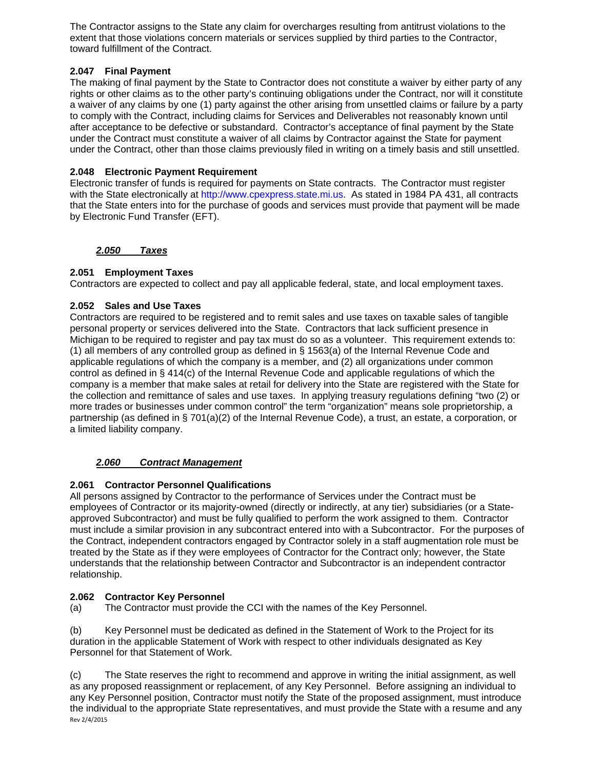The Contractor assigns to the State any claim for overcharges resulting from antitrust violations to the extent that those violations concern materials or services supplied by third parties to the Contractor, toward fulfillment of the Contract.

# **2.047 Final Payment**

The making of final payment by the State to Contractor does not constitute a waiver by either party of any rights or other claims as to the other party's continuing obligations under the Contract, nor will it constitute a waiver of any claims by one (1) party against the other arising from unsettled claims or failure by a party to comply with the Contract, including claims for Services and Deliverables not reasonably known until after acceptance to be defective or substandard. Contractor's acceptance of final payment by the State under the Contract must constitute a waiver of all claims by Contractor against the State for payment under the Contract, other than those claims previously filed in writing on a timely basis and still unsettled.

# **2.048 Electronic Payment Requirement**

Electronic transfer of funds is required for payments on State contracts. The Contractor must register with the State electronically at http://www.cpexpress.state.mi.us. As stated in 1984 PA 431, all contracts that the State enters into for the purchase of goods and services must provide that payment will be made by Electronic Fund Transfer (EFT).

# *2.050 Taxes*

# **2.051 Employment Taxes**

Contractors are expected to collect and pay all applicable federal, state, and local employment taxes.

# **2.052 Sales and Use Taxes**

Contractors are required to be registered and to remit sales and use taxes on taxable sales of tangible personal property or services delivered into the State. Contractors that lack sufficient presence in Michigan to be required to register and pay tax must do so as a volunteer. This requirement extends to: (1) all members of any controlled group as defined in § 1563(a) of the Internal Revenue Code and applicable regulations of which the company is a member, and (2) all organizations under common control as defined in § 414(c) of the Internal Revenue Code and applicable regulations of which the company is a member that make sales at retail for delivery into the State are registered with the State for the collection and remittance of sales and use taxes. In applying treasury regulations defining "two (2) or more trades or businesses under common control" the term "organization" means sole proprietorship, a partnership (as defined in § 701(a)(2) of the Internal Revenue Code), a trust, an estate, a corporation, or a limited liability company.

# *2.060 Contract Management*

# **2.061 Contractor Personnel Qualifications**

All persons assigned by Contractor to the performance of Services under the Contract must be employees of Contractor or its majority-owned (directly or indirectly, at any tier) subsidiaries (or a Stateapproved Subcontractor) and must be fully qualified to perform the work assigned to them. Contractor must include a similar provision in any subcontract entered into with a Subcontractor. For the purposes of the Contract, independent contractors engaged by Contractor solely in a staff augmentation role must be treated by the State as if they were employees of Contractor for the Contract only; however, the State understands that the relationship between Contractor and Subcontractor is an independent contractor relationship.

# **2.062 Contractor Key Personnel**

(a) The Contractor must provide the CCI with the names of the Key Personnel.

(b) Key Personnel must be dedicated as defined in the Statement of Work to the Project for its duration in the applicable Statement of Work with respect to other individuals designated as Key Personnel for that Statement of Work.

Rev 2/4/2015 (c) The State reserves the right to recommend and approve in writing the initial assignment, as well as any proposed reassignment or replacement, of any Key Personnel. Before assigning an individual to any Key Personnel position, Contractor must notify the State of the proposed assignment, must introduce the individual to the appropriate State representatives, and must provide the State with a resume and any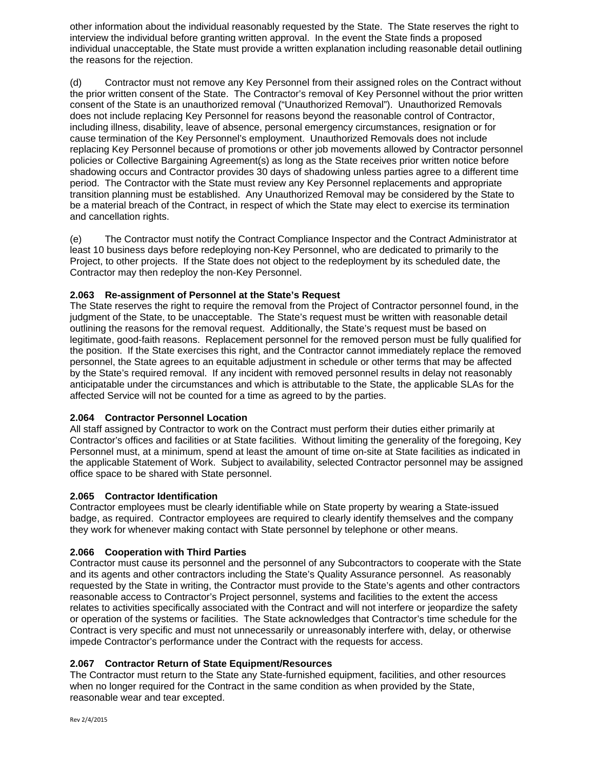other information about the individual reasonably requested by the State. The State reserves the right to interview the individual before granting written approval. In the event the State finds a proposed individual unacceptable, the State must provide a written explanation including reasonable detail outlining the reasons for the rejection.

(d) Contractor must not remove any Key Personnel from their assigned roles on the Contract without the prior written consent of the State. The Contractor's removal of Key Personnel without the prior written consent of the State is an unauthorized removal ("Unauthorized Removal"). Unauthorized Removals does not include replacing Key Personnel for reasons beyond the reasonable control of Contractor, including illness, disability, leave of absence, personal emergency circumstances, resignation or for cause termination of the Key Personnel's employment. Unauthorized Removals does not include replacing Key Personnel because of promotions or other job movements allowed by Contractor personnel policies or Collective Bargaining Agreement(s) as long as the State receives prior written notice before shadowing occurs and Contractor provides 30 days of shadowing unless parties agree to a different time period. The Contractor with the State must review any Key Personnel replacements and appropriate transition planning must be established. Any Unauthorized Removal may be considered by the State to be a material breach of the Contract, in respect of which the State may elect to exercise its termination and cancellation rights.

(e) The Contractor must notify the Contract Compliance Inspector and the Contract Administrator at least 10 business days before redeploying non-Key Personnel, who are dedicated to primarily to the Project, to other projects. If the State does not object to the redeployment by its scheduled date, the Contractor may then redeploy the non-Key Personnel.

# **2.063 Re-assignment of Personnel at the State's Request**

The State reserves the right to require the removal from the Project of Contractor personnel found, in the judgment of the State, to be unacceptable. The State's request must be written with reasonable detail outlining the reasons for the removal request. Additionally, the State's request must be based on legitimate, good-faith reasons. Replacement personnel for the removed person must be fully qualified for the position. If the State exercises this right, and the Contractor cannot immediately replace the removed personnel, the State agrees to an equitable adjustment in schedule or other terms that may be affected by the State's required removal. If any incident with removed personnel results in delay not reasonably anticipatable under the circumstances and which is attributable to the State, the applicable SLAs for the affected Service will not be counted for a time as agreed to by the parties.

#### **2.064 Contractor Personnel Location**

All staff assigned by Contractor to work on the Contract must perform their duties either primarily at Contractor's offices and facilities or at State facilities. Without limiting the generality of the foregoing, Key Personnel must, at a minimum, spend at least the amount of time on-site at State facilities as indicated in the applicable Statement of Work. Subject to availability, selected Contractor personnel may be assigned office space to be shared with State personnel.

#### **2.065 Contractor Identification**

Contractor employees must be clearly identifiable while on State property by wearing a State-issued badge, as required. Contractor employees are required to clearly identify themselves and the company they work for whenever making contact with State personnel by telephone or other means.

#### **2.066 Cooperation with Third Parties**

Contractor must cause its personnel and the personnel of any Subcontractors to cooperate with the State and its agents and other contractors including the State's Quality Assurance personnel. As reasonably requested by the State in writing, the Contractor must provide to the State's agents and other contractors reasonable access to Contractor's Project personnel, systems and facilities to the extent the access relates to activities specifically associated with the Contract and will not interfere or jeopardize the safety or operation of the systems or facilities. The State acknowledges that Contractor's time schedule for the Contract is very specific and must not unnecessarily or unreasonably interfere with, delay, or otherwise impede Contractor's performance under the Contract with the requests for access.

#### **2.067 Contractor Return of State Equipment/Resources**

The Contractor must return to the State any State-furnished equipment, facilities, and other resources when no longer required for the Contract in the same condition as when provided by the State, reasonable wear and tear excepted.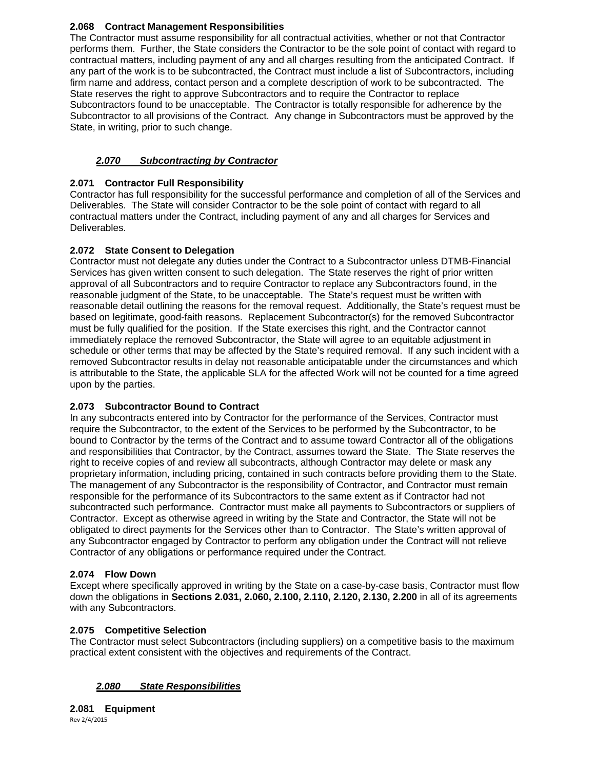# **2.068 Contract Management Responsibilities**

The Contractor must assume responsibility for all contractual activities, whether or not that Contractor performs them. Further, the State considers the Contractor to be the sole point of contact with regard to contractual matters, including payment of any and all charges resulting from the anticipated Contract. If any part of the work is to be subcontracted, the Contract must include a list of Subcontractors, including firm name and address, contact person and a complete description of work to be subcontracted. The State reserves the right to approve Subcontractors and to require the Contractor to replace Subcontractors found to be unacceptable. The Contractor is totally responsible for adherence by the Subcontractor to all provisions of the Contract. Any change in Subcontractors must be approved by the State, in writing, prior to such change.

# *2.070 Subcontracting by Contractor*

# **2.071 Contractor Full Responsibility**

Contractor has full responsibility for the successful performance and completion of all of the Services and Deliverables. The State will consider Contractor to be the sole point of contact with regard to all contractual matters under the Contract, including payment of any and all charges for Services and Deliverables.

# **2.072 State Consent to Delegation**

Contractor must not delegate any duties under the Contract to a Subcontractor unless DTMB-Financial Services has given written consent to such delegation. The State reserves the right of prior written approval of all Subcontractors and to require Contractor to replace any Subcontractors found, in the reasonable judgment of the State, to be unacceptable. The State's request must be written with reasonable detail outlining the reasons for the removal request. Additionally, the State's request must be based on legitimate, good-faith reasons. Replacement Subcontractor(s) for the removed Subcontractor must be fully qualified for the position. If the State exercises this right, and the Contractor cannot immediately replace the removed Subcontractor, the State will agree to an equitable adjustment in schedule or other terms that may be affected by the State's required removal. If any such incident with a removed Subcontractor results in delay not reasonable anticipatable under the circumstances and which is attributable to the State, the applicable SLA for the affected Work will not be counted for a time agreed upon by the parties.

# **2.073 Subcontractor Bound to Contract**

In any subcontracts entered into by Contractor for the performance of the Services, Contractor must require the Subcontractor, to the extent of the Services to be performed by the Subcontractor, to be bound to Contractor by the terms of the Contract and to assume toward Contractor all of the obligations and responsibilities that Contractor, by the Contract, assumes toward the State. The State reserves the right to receive copies of and review all subcontracts, although Contractor may delete or mask any proprietary information, including pricing, contained in such contracts before providing them to the State. The management of any Subcontractor is the responsibility of Contractor, and Contractor must remain responsible for the performance of its Subcontractors to the same extent as if Contractor had not subcontracted such performance. Contractor must make all payments to Subcontractors or suppliers of Contractor. Except as otherwise agreed in writing by the State and Contractor, the State will not be obligated to direct payments for the Services other than to Contractor. The State's written approval of any Subcontractor engaged by Contractor to perform any obligation under the Contract will not relieve Contractor of any obligations or performance required under the Contract.

# **2.074 Flow Down**

Except where specifically approved in writing by the State on a case-by-case basis, Contractor must flow down the obligations in **Sections 2.031, 2.060, 2.100, 2.110, 2.120, 2.130, 2.200** in all of its agreements with any Subcontractors.

# **2.075 Competitive Selection**

The Contractor must select Subcontractors (including suppliers) on a competitive basis to the maximum practical extent consistent with the objectives and requirements of the Contract.

# *2.080 State Responsibilities*

Rev 2/4/2015 **2.081 Equipment**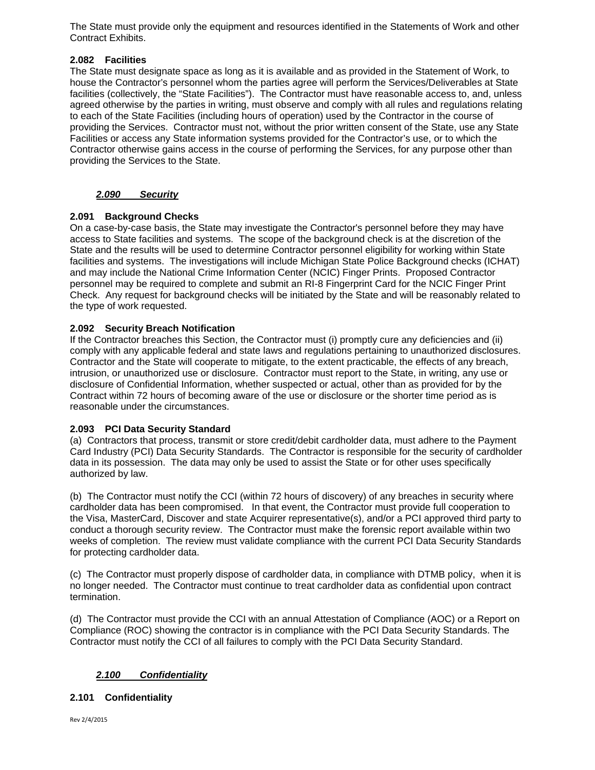The State must provide only the equipment and resources identified in the Statements of Work and other Contract Exhibits.

# **2.082 Facilities**

The State must designate space as long as it is available and as provided in the Statement of Work, to house the Contractor's personnel whom the parties agree will perform the Services/Deliverables at State facilities (collectively, the "State Facilities"). The Contractor must have reasonable access to, and, unless agreed otherwise by the parties in writing, must observe and comply with all rules and regulations relating to each of the State Facilities (including hours of operation) used by the Contractor in the course of providing the Services. Contractor must not, without the prior written consent of the State, use any State Facilities or access any State information systems provided for the Contractor's use, or to which the Contractor otherwise gains access in the course of performing the Services, for any purpose other than providing the Services to the State.

# *2.090 Security*

# **2.091 Background Checks**

On a case-by-case basis, the State may investigate the Contractor's personnel before they may have access to State facilities and systems. The scope of the background check is at the discretion of the State and the results will be used to determine Contractor personnel eligibility for working within State facilities and systems. The investigations will include Michigan State Police Background checks (ICHAT) and may include the National Crime Information Center (NCIC) Finger Prints. Proposed Contractor personnel may be required to complete and submit an RI-8 Fingerprint Card for the NCIC Finger Print Check. Any request for background checks will be initiated by the State and will be reasonably related to the type of work requested.

# **2.092 Security Breach Notification**

If the Contractor breaches this Section, the Contractor must (i) promptly cure any deficiencies and (ii) comply with any applicable federal and state laws and regulations pertaining to unauthorized disclosures. Contractor and the State will cooperate to mitigate, to the extent practicable, the effects of any breach, intrusion, or unauthorized use or disclosure. Contractor must report to the State, in writing, any use or disclosure of Confidential Information, whether suspected or actual, other than as provided for by the Contract within 72 hours of becoming aware of the use or disclosure or the shorter time period as is reasonable under the circumstances.

#### **2.093 PCI Data Security Standard**

(a) Contractors that process, transmit or store credit/debit cardholder data, must adhere to the Payment Card Industry (PCI) Data Security Standards. The Contractor is responsible for the security of cardholder data in its possession. The data may only be used to assist the State or for other uses specifically authorized by law.

(b) The Contractor must notify the CCI (within 72 hours of discovery) of any breaches in security where cardholder data has been compromised. In that event, the Contractor must provide full cooperation to the Visa, MasterCard, Discover and state Acquirer representative(s), and/or a PCI approved third party to conduct a thorough security review. The Contractor must make the forensic report available within two weeks of completion. The review must validate compliance with the current PCI Data Security Standards for protecting cardholder data.

(c) The Contractor must properly dispose of cardholder data, in compliance with DTMB policy, when it is no longer needed. The Contractor must continue to treat cardholder data as confidential upon contract termination.

(d) The Contractor must provide the CCI with an annual Attestation of Compliance (AOC) or a Report on Compliance (ROC) showing the contractor is in compliance with the PCI Data Security Standards. The Contractor must notify the CCI of all failures to comply with the PCI Data Security Standard.

# *2.100 Confidentiality*

#### **2.101 Confidentiality**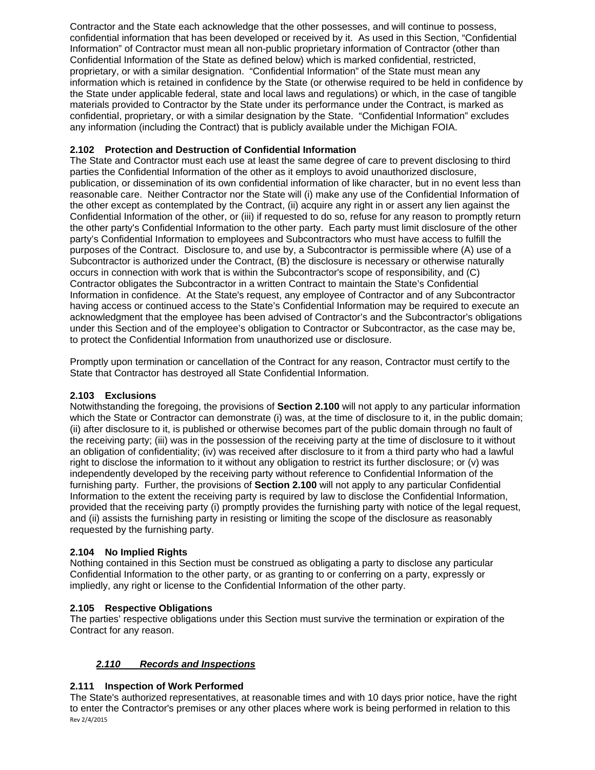Contractor and the State each acknowledge that the other possesses, and will continue to possess, confidential information that has been developed or received by it. As used in this Section, "Confidential Information" of Contractor must mean all non-public proprietary information of Contractor (other than Confidential Information of the State as defined below) which is marked confidential, restricted, proprietary, or with a similar designation. "Confidential Information" of the State must mean any information which is retained in confidence by the State (or otherwise required to be held in confidence by the State under applicable federal, state and local laws and regulations) or which, in the case of tangible materials provided to Contractor by the State under its performance under the Contract, is marked as confidential, proprietary, or with a similar designation by the State. "Confidential Information" excludes any information (including the Contract) that is publicly available under the Michigan FOIA.

# **2.102 Protection and Destruction of Confidential Information**

The State and Contractor must each use at least the same degree of care to prevent disclosing to third parties the Confidential Information of the other as it employs to avoid unauthorized disclosure, publication, or dissemination of its own confidential information of like character, but in no event less than reasonable care. Neither Contractor nor the State will (i) make any use of the Confidential Information of the other except as contemplated by the Contract, (ii) acquire any right in or assert any lien against the Confidential Information of the other, or (iii) if requested to do so, refuse for any reason to promptly return the other party's Confidential Information to the other party. Each party must limit disclosure of the other party's Confidential Information to employees and Subcontractors who must have access to fulfill the purposes of the Contract. Disclosure to, and use by, a Subcontractor is permissible where (A) use of a Subcontractor is authorized under the Contract, (B) the disclosure is necessary or otherwise naturally occurs in connection with work that is within the Subcontractor's scope of responsibility, and (C) Contractor obligates the Subcontractor in a written Contract to maintain the State's Confidential Information in confidence. At the State's request, any employee of Contractor and of any Subcontractor having access or continued access to the State's Confidential Information may be required to execute an acknowledgment that the employee has been advised of Contractor's and the Subcontractor's obligations under this Section and of the employee's obligation to Contractor or Subcontractor, as the case may be, to protect the Confidential Information from unauthorized use or disclosure.

Promptly upon termination or cancellation of the Contract for any reason, Contractor must certify to the State that Contractor has destroyed all State Confidential Information.

# **2.103 Exclusions**

Notwithstanding the foregoing, the provisions of **Section 2.100** will not apply to any particular information which the State or Contractor can demonstrate (i) was, at the time of disclosure to it, in the public domain; (ii) after disclosure to it, is published or otherwise becomes part of the public domain through no fault of the receiving party; (iii) was in the possession of the receiving party at the time of disclosure to it without an obligation of confidentiality; (iv) was received after disclosure to it from a third party who had a lawful right to disclose the information to it without any obligation to restrict its further disclosure; or (v) was independently developed by the receiving party without reference to Confidential Information of the furnishing party. Further, the provisions of **Section 2.100** will not apply to any particular Confidential Information to the extent the receiving party is required by law to disclose the Confidential Information, provided that the receiving party (i) promptly provides the furnishing party with notice of the legal request, and (ii) assists the furnishing party in resisting or limiting the scope of the disclosure as reasonably requested by the furnishing party.

# **2.104 No Implied Rights**

Nothing contained in this Section must be construed as obligating a party to disclose any particular Confidential Information to the other party, or as granting to or conferring on a party, expressly or impliedly, any right or license to the Confidential Information of the other party.

# **2.105 Respective Obligations**

The parties' respective obligations under this Section must survive the termination or expiration of the Contract for any reason.

# *2.110 Records and Inspections*

# **2.111 Inspection of Work Performed**

Rev 2/4/2015 The State's authorized representatives, at reasonable times and with 10 days prior notice, have the right to enter the Contractor's premises or any other places where work is being performed in relation to this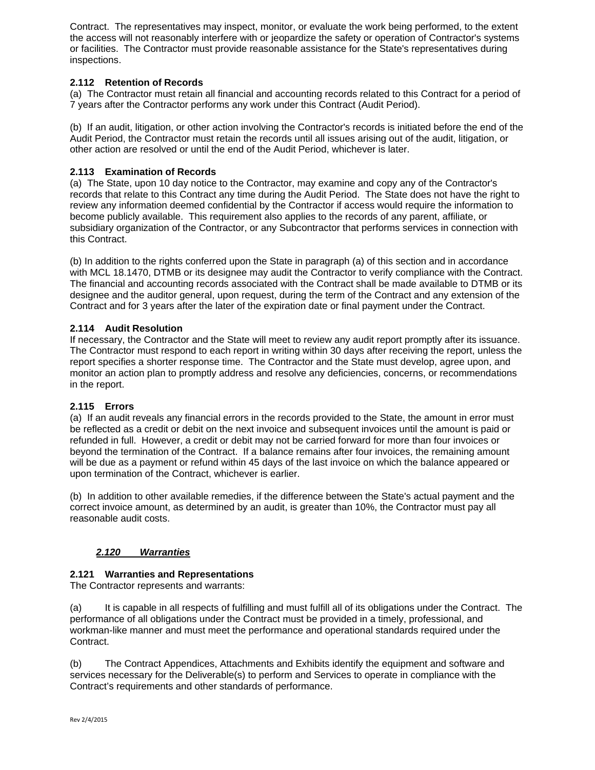Contract. The representatives may inspect, monitor, or evaluate the work being performed, to the extent the access will not reasonably interfere with or jeopardize the safety or operation of Contractor's systems or facilities. The Contractor must provide reasonable assistance for the State's representatives during inspections.

# **2.112 Retention of Records**

(a) The Contractor must retain all financial and accounting records related to this Contract for a period of 7 years after the Contractor performs any work under this Contract (Audit Period).

(b) If an audit, litigation, or other action involving the Contractor's records is initiated before the end of the Audit Period, the Contractor must retain the records until all issues arising out of the audit, litigation, or other action are resolved or until the end of the Audit Period, whichever is later.

# **2.113 Examination of Records**

(a) The State, upon 10 day notice to the Contractor, may examine and copy any of the Contractor's records that relate to this Contract any time during the Audit Period. The State does not have the right to review any information deemed confidential by the Contractor if access would require the information to become publicly available. This requirement also applies to the records of any parent, affiliate, or subsidiary organization of the Contractor, or any Subcontractor that performs services in connection with this Contract.

(b) In addition to the rights conferred upon the State in paragraph (a) of this section and in accordance with MCL 18.1470, DTMB or its designee may audit the Contractor to verify compliance with the Contract. The financial and accounting records associated with the Contract shall be made available to DTMB or its designee and the auditor general, upon request, during the term of the Contract and any extension of the Contract and for 3 years after the later of the expiration date or final payment under the Contract.

# **2.114 Audit Resolution**

If necessary, the Contractor and the State will meet to review any audit report promptly after its issuance. The Contractor must respond to each report in writing within 30 days after receiving the report, unless the report specifies a shorter response time. The Contractor and the State must develop, agree upon, and monitor an action plan to promptly address and resolve any deficiencies, concerns, or recommendations in the report.

#### **2.115 Errors**

(a) If an audit reveals any financial errors in the records provided to the State, the amount in error must be reflected as a credit or debit on the next invoice and subsequent invoices until the amount is paid or refunded in full. However, a credit or debit may not be carried forward for more than four invoices or beyond the termination of the Contract. If a balance remains after four invoices, the remaining amount will be due as a payment or refund within 45 days of the last invoice on which the balance appeared or upon termination of the Contract, whichever is earlier.

(b) In addition to other available remedies, if the difference between the State's actual payment and the correct invoice amount, as determined by an audit, is greater than 10%, the Contractor must pay all reasonable audit costs.

#### *2.120 Warranties*

# **2.121 Warranties and Representations**

The Contractor represents and warrants:

(a) It is capable in all respects of fulfilling and must fulfill all of its obligations under the Contract. The performance of all obligations under the Contract must be provided in a timely, professional, and workman-like manner and must meet the performance and operational standards required under the Contract.

(b) The Contract Appendices, Attachments and Exhibits identify the equipment and software and services necessary for the Deliverable(s) to perform and Services to operate in compliance with the Contract's requirements and other standards of performance.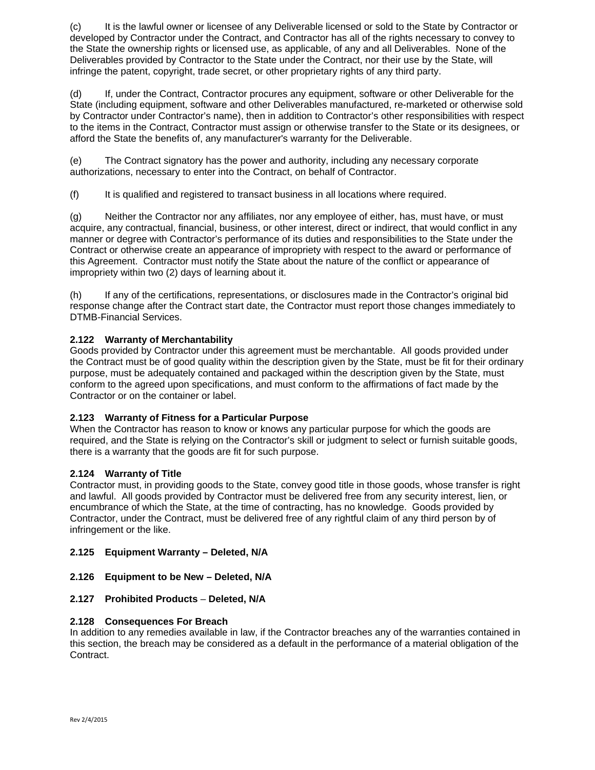(c) It is the lawful owner or licensee of any Deliverable licensed or sold to the State by Contractor or developed by Contractor under the Contract, and Contractor has all of the rights necessary to convey to the State the ownership rights or licensed use, as applicable, of any and all Deliverables. None of the Deliverables provided by Contractor to the State under the Contract, nor their use by the State, will infringe the patent, copyright, trade secret, or other proprietary rights of any third party.

(d) If, under the Contract, Contractor procures any equipment, software or other Deliverable for the State (including equipment, software and other Deliverables manufactured, re-marketed or otherwise sold by Contractor under Contractor's name), then in addition to Contractor's other responsibilities with respect to the items in the Contract, Contractor must assign or otherwise transfer to the State or its designees, or afford the State the benefits of, any manufacturer's warranty for the Deliverable.

(e) The Contract signatory has the power and authority, including any necessary corporate authorizations, necessary to enter into the Contract, on behalf of Contractor.

(f) It is qualified and registered to transact business in all locations where required.

(g) Neither the Contractor nor any affiliates, nor any employee of either, has, must have, or must acquire, any contractual, financial, business, or other interest, direct or indirect, that would conflict in any manner or degree with Contractor's performance of its duties and responsibilities to the State under the Contract or otherwise create an appearance of impropriety with respect to the award or performance of this Agreement. Contractor must notify the State about the nature of the conflict or appearance of impropriety within two (2) days of learning about it.

(h) If any of the certifications, representations, or disclosures made in the Contractor's original bid response change after the Contract start date, the Contractor must report those changes immediately to DTMB-Financial Services.

# **2.122 Warranty of Merchantability**

Goods provided by Contractor under this agreement must be merchantable. All goods provided under the Contract must be of good quality within the description given by the State, must be fit for their ordinary purpose, must be adequately contained and packaged within the description given by the State, must conform to the agreed upon specifications, and must conform to the affirmations of fact made by the Contractor or on the container or label.

#### **2.123 Warranty of Fitness for a Particular Purpose**

When the Contractor has reason to know or knows any particular purpose for which the goods are required, and the State is relying on the Contractor's skill or judgment to select or furnish suitable goods, there is a warranty that the goods are fit for such purpose.

#### **2.124 Warranty of Title**

Contractor must, in providing goods to the State, convey good title in those goods, whose transfer is right and lawful. All goods provided by Contractor must be delivered free from any security interest, lien, or encumbrance of which the State, at the time of contracting, has no knowledge. Goods provided by Contractor, under the Contract, must be delivered free of any rightful claim of any third person by of infringement or the like.

#### **2.125 Equipment Warranty – Deleted, N/A**

**2.126 Equipment to be New – Deleted, N/A**

#### **2.127 Prohibited Products** – **Deleted, N/A**

#### **2.128 Consequences For Breach**

In addition to any remedies available in law, if the Contractor breaches any of the warranties contained in this section, the breach may be considered as a default in the performance of a material obligation of the Contract.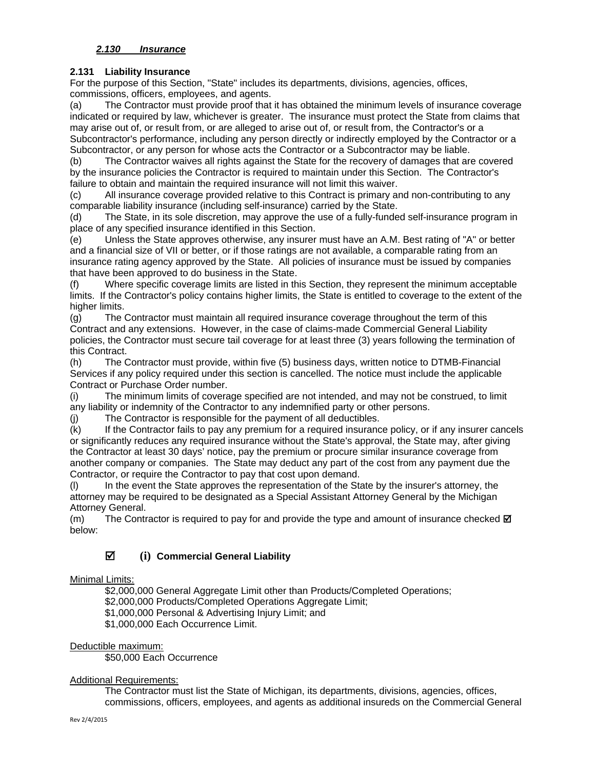# **2.131 Liability Insurance**

For the purpose of this Section, "State" includes its departments, divisions, agencies, offices, commissions, officers, employees, and agents.

(a) The Contractor must provide proof that it has obtained the minimum levels of insurance coverage indicated or required by law, whichever is greater. The insurance must protect the State from claims that may arise out of, or result from, or are alleged to arise out of, or result from, the Contractor's or a Subcontractor's performance, including any person directly or indirectly employed by the Contractor or a Subcontractor, or any person for whose acts the Contractor or a Subcontractor may be liable.

(b) The Contractor waives all rights against the State for the recovery of damages that are covered by the insurance policies the Contractor is required to maintain under this Section. The Contractor's failure to obtain and maintain the required insurance will not limit this waiver.

(c) All insurance coverage provided relative to this Contract is primary and non-contributing to any comparable liability insurance (including self-insurance) carried by the State.

(d) The State, in its sole discretion, may approve the use of a fully-funded self-insurance program in place of any specified insurance identified in this Section.

(e) Unless the State approves otherwise, any insurer must have an A.M. Best rating of "A" or better and a financial size of VII or better, or if those ratings are not available, a comparable rating from an insurance rating agency approved by the State. All policies of insurance must be issued by companies that have been approved to do business in the State.

(f) Where specific coverage limits are listed in this Section, they represent the minimum acceptable limits. If the Contractor's policy contains higher limits, the State is entitled to coverage to the extent of the higher limits.

(g) The Contractor must maintain all required insurance coverage throughout the term of this Contract and any extensions. However, in the case of claims-made Commercial General Liability policies, the Contractor must secure tail coverage for at least three (3) years following the termination of this Contract.

(h) The Contractor must provide, within five (5) business days, written notice to DTMB-Financial Services if any policy required under this section is cancelled. The notice must include the applicable Contract or Purchase Order number.

(i) The minimum limits of coverage specified are not intended, and may not be construed, to limit any liability or indemnity of the Contractor to any indemnified party or other persons.

(j) The Contractor is responsible for the payment of all deductibles.

(k) If the Contractor fails to pay any premium for a required insurance policy, or if any insurer cancels or significantly reduces any required insurance without the State's approval, the State may, after giving the Contractor at least 30 days' notice, pay the premium or procure similar insurance coverage from another company or companies. The State may deduct any part of the cost from any payment due the Contractor, or require the Contractor to pay that cost upon demand.

(l) In the event the State approves the representation of the State by the insurer's attorney, the attorney may be required to be designated as a Special Assistant Attorney General by the Michigan Attorney General.

(m) The Contractor is required to pay for and provide the type and amount of insurance checked  $\boxtimes$ below:

# **(i) Commercial General Liability**

# Minimal Limits:

\$2,000,000 General Aggregate Limit other than Products/Completed Operations;

\$2,000,000 Products/Completed Operations Aggregate Limit;

\$1,000,000 Personal & Advertising Injury Limit; and

\$1,000,000 Each Occurrence Limit.

#### Deductible maximum:

\$50,000 Each Occurrence

#### Additional Requirements:

The Contractor must list the State of Michigan, its departments, divisions, agencies, offices, commissions, officers, employees, and agents as additional insureds on the Commercial General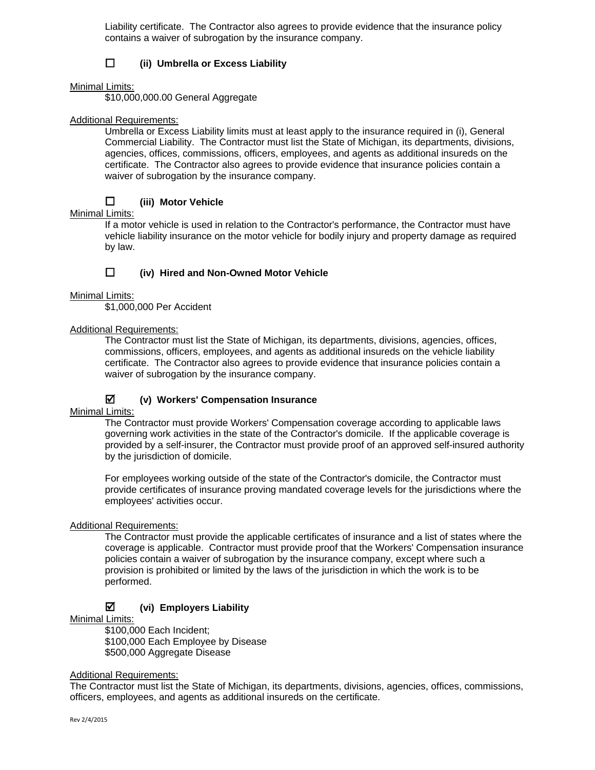Liability certificate. The Contractor also agrees to provide evidence that the insurance policy contains a waiver of subrogation by the insurance company.

# **(ii) Umbrella or Excess Liability**

Minimal Limits:

\$10,000,000.00 General Aggregate

#### Additional Requirements:

Umbrella or Excess Liability limits must at least apply to the insurance required in (i), General Commercial Liability. The Contractor must list the State of Michigan, its departments, divisions, agencies, offices, commissions, officers, employees, and agents as additional insureds on the certificate. The Contractor also agrees to provide evidence that insurance policies contain a waiver of subrogation by the insurance company.

# **(iii) Motor Vehicle**

#### Minimal Limits:

If a motor vehicle is used in relation to the Contractor's performance, the Contractor must have vehicle liability insurance on the motor vehicle for bodily injury and property damage as required by law.

# **(iv) Hired and Non-Owned Motor Vehicle**

#### Minimal Limits:

\$1,000,000 Per Accident

#### Additional Requirements:

The Contractor must list the State of Michigan, its departments, divisions, agencies, offices, commissions, officers, employees, and agents as additional insureds on the vehicle liability certificate. The Contractor also agrees to provide evidence that insurance policies contain a waiver of subrogation by the insurance company.

#### **(v) Workers' Compensation Insurance**

# Minimal Limits:

The Contractor must provide Workers' Compensation coverage according to applicable laws governing work activities in the state of the Contractor's domicile. If the applicable coverage is provided by a self-insurer, the Contractor must provide proof of an approved self-insured authority by the jurisdiction of domicile.

For employees working outside of the state of the Contractor's domicile, the Contractor must provide certificates of insurance proving mandated coverage levels for the jurisdictions where the employees' activities occur.

#### Additional Requirements:

The Contractor must provide the applicable certificates of insurance and a list of states where the coverage is applicable. Contractor must provide proof that the Workers' Compensation insurance policies contain a waiver of subrogation by the insurance company, except where such a provision is prohibited or limited by the laws of the jurisdiction in which the work is to be performed.

# **(vi) Employers Liability**

#### Minimal Limits:

\$100,000 Each Incident; \$100,000 Each Employee by Disease \$500,000 Aggregate Disease

#### Additional Requirements:

The Contractor must list the State of Michigan, its departments, divisions, agencies, offices, commissions, officers, employees, and agents as additional insureds on the certificate.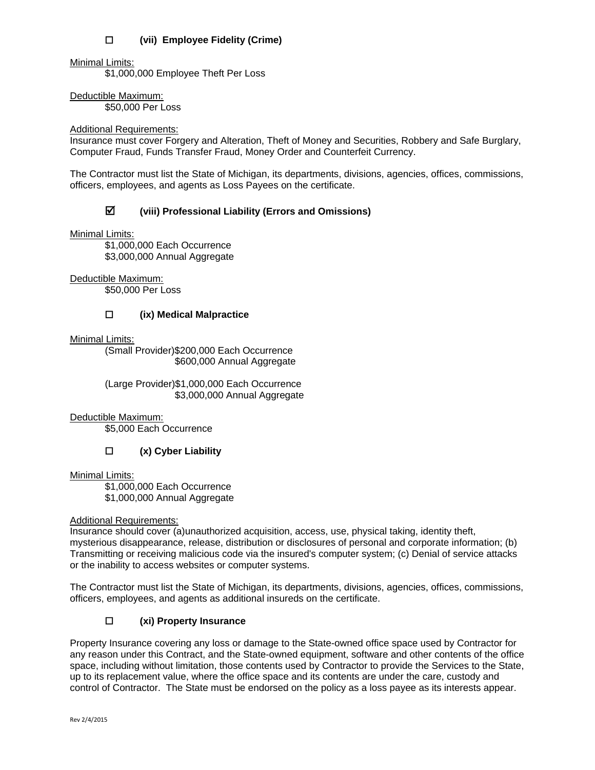# **(vii) Employee Fidelity (Crime)**

Minimal Limits:

\$1,000,000 Employee Theft Per Loss

Deductible Maximum:

\$50,000 Per Loss

#### Additional Requirements:

Insurance must cover Forgery and Alteration, Theft of Money and Securities, Robbery and Safe Burglary, Computer Fraud, Funds Transfer Fraud, Money Order and Counterfeit Currency.

The Contractor must list the State of Michigan, its departments, divisions, agencies, offices, commissions, officers, employees, and agents as Loss Payees on the certificate.

# **(viii) Professional Liability (Errors and Omissions)**

#### Minimal Limits:

\$1,000,000 Each Occurrence \$3,000,000 Annual Aggregate

Deductible Maximum:

\$50,000 Per Loss

# **(ix) Medical Malpractice**

#### Minimal Limits:

(Small Provider)\$200,000 Each Occurrence \$600,000 Annual Aggregate

(Large Provider)\$1,000,000 Each Occurrence \$3,000,000 Annual Aggregate

Deductible Maximum:

\$5,000 Each Occurrence

# **(x) Cyber Liability**

#### Minimal Limits:

\$1,000,000 Each Occurrence

\$1,000,000 Annual Aggregate

#### Additional Requirements:

Insurance should cover (a)unauthorized acquisition, access, use, physical taking, identity theft, mysterious disappearance, release, distribution or disclosures of personal and corporate information; (b) Transmitting or receiving malicious code via the insured's computer system; (c) Denial of service attacks or the inability to access websites or computer systems.

The Contractor must list the State of Michigan, its departments, divisions, agencies, offices, commissions, officers, employees, and agents as additional insureds on the certificate.

# **(xi) Property Insurance**

Property Insurance covering any loss or damage to the State-owned office space used by Contractor for any reason under this Contract, and the State-owned equipment, software and other contents of the office space, including without limitation, those contents used by Contractor to provide the Services to the State, up to its replacement value, where the office space and its contents are under the care, custody and control of Contractor. The State must be endorsed on the policy as a loss payee as its interests appear.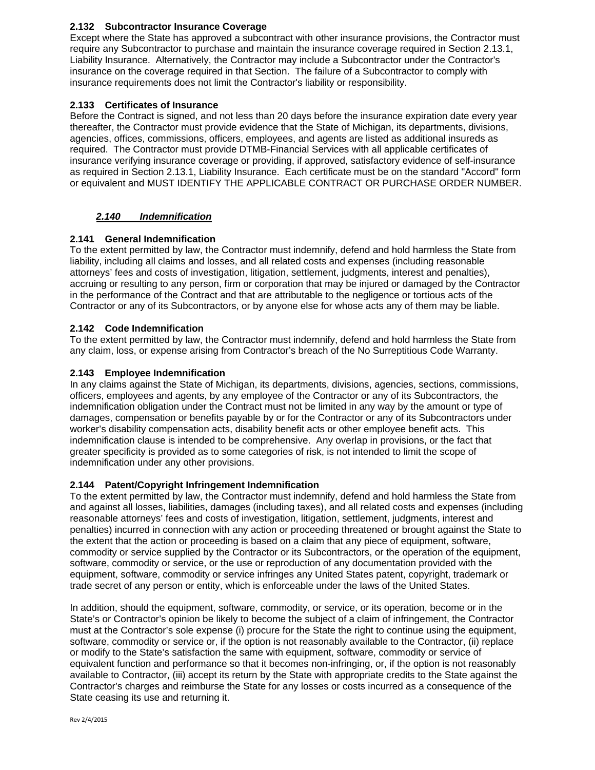# **2.132 Subcontractor Insurance Coverage**

Except where the State has approved a subcontract with other insurance provisions, the Contractor must require any Subcontractor to purchase and maintain the insurance coverage required in Section 2.13.1, Liability Insurance. Alternatively, the Contractor may include a Subcontractor under the Contractor's insurance on the coverage required in that Section. The failure of a Subcontractor to comply with insurance requirements does not limit the Contractor's liability or responsibility.

# **2.133 Certificates of Insurance**

Before the Contract is signed, and not less than 20 days before the insurance expiration date every year thereafter, the Contractor must provide evidence that the State of Michigan, its departments, divisions, agencies, offices, commissions, officers, employees, and agents are listed as additional insureds as required. The Contractor must provide DTMB-Financial Services with all applicable certificates of insurance verifying insurance coverage or providing, if approved, satisfactory evidence of self-insurance as required in Section 2.13.1, Liability Insurance. Each certificate must be on the standard "Accord" form or equivalent and MUST IDENTIFY THE APPLICABLE CONTRACT OR PURCHASE ORDER NUMBER.

# *2.140 Indemnification*

# **2.141 General Indemnification**

To the extent permitted by law, the Contractor must indemnify, defend and hold harmless the State from liability, including all claims and losses, and all related costs and expenses (including reasonable attorneys' fees and costs of investigation, litigation, settlement, judgments, interest and penalties), accruing or resulting to any person, firm or corporation that may be injured or damaged by the Contractor in the performance of the Contract and that are attributable to the negligence or tortious acts of the Contractor or any of its Subcontractors, or by anyone else for whose acts any of them may be liable.

# **2.142 Code Indemnification**

To the extent permitted by law, the Contractor must indemnify, defend and hold harmless the State from any claim, loss, or expense arising from Contractor's breach of the No Surreptitious Code Warranty.

#### **2.143 Employee Indemnification**

In any claims against the State of Michigan, its departments, divisions, agencies, sections, commissions, officers, employees and agents, by any employee of the Contractor or any of its Subcontractors, the indemnification obligation under the Contract must not be limited in any way by the amount or type of damages, compensation or benefits payable by or for the Contractor or any of its Subcontractors under worker's disability compensation acts, disability benefit acts or other employee benefit acts. This indemnification clause is intended to be comprehensive. Any overlap in provisions, or the fact that greater specificity is provided as to some categories of risk, is not intended to limit the scope of indemnification under any other provisions.

#### **2.144 Patent/Copyright Infringement Indemnification**

To the extent permitted by law, the Contractor must indemnify, defend and hold harmless the State from and against all losses, liabilities, damages (including taxes), and all related costs and expenses (including reasonable attorneys' fees and costs of investigation, litigation, settlement, judgments, interest and penalties) incurred in connection with any action or proceeding threatened or brought against the State to the extent that the action or proceeding is based on a claim that any piece of equipment, software, commodity or service supplied by the Contractor or its Subcontractors, or the operation of the equipment, software, commodity or service, or the use or reproduction of any documentation provided with the equipment, software, commodity or service infringes any United States patent, copyright, trademark or trade secret of any person or entity, which is enforceable under the laws of the United States.

In addition, should the equipment, software, commodity, or service, or its operation, become or in the State's or Contractor's opinion be likely to become the subject of a claim of infringement, the Contractor must at the Contractor's sole expense (i) procure for the State the right to continue using the equipment, software, commodity or service or, if the option is not reasonably available to the Contractor, (ii) replace or modify to the State's satisfaction the same with equipment, software, commodity or service of equivalent function and performance so that it becomes non-infringing, or, if the option is not reasonably available to Contractor, (iii) accept its return by the State with appropriate credits to the State against the Contractor's charges and reimburse the State for any losses or costs incurred as a consequence of the State ceasing its use and returning it.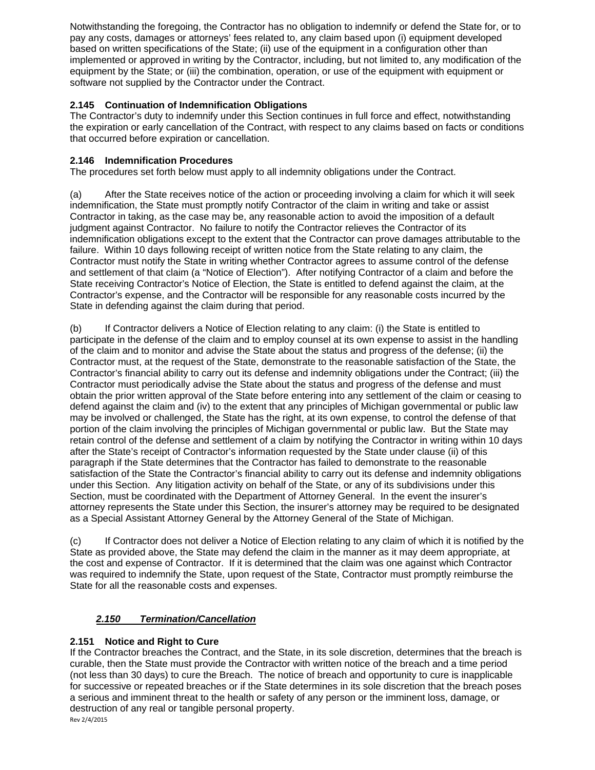Notwithstanding the foregoing, the Contractor has no obligation to indemnify or defend the State for, or to pay any costs, damages or attorneys' fees related to, any claim based upon (i) equipment developed based on written specifications of the State; (ii) use of the equipment in a configuration other than implemented or approved in writing by the Contractor, including, but not limited to, any modification of the equipment by the State; or (iii) the combination, operation, or use of the equipment with equipment or software not supplied by the Contractor under the Contract.

# **2.145 Continuation of Indemnification Obligations**

The Contractor's duty to indemnify under this Section continues in full force and effect, notwithstanding the expiration or early cancellation of the Contract, with respect to any claims based on facts or conditions that occurred before expiration or cancellation.

# **2.146 Indemnification Procedures**

The procedures set forth below must apply to all indemnity obligations under the Contract.

(a) After the State receives notice of the action or proceeding involving a claim for which it will seek indemnification, the State must promptly notify Contractor of the claim in writing and take or assist Contractor in taking, as the case may be, any reasonable action to avoid the imposition of a default judgment against Contractor. No failure to notify the Contractor relieves the Contractor of its indemnification obligations except to the extent that the Contractor can prove damages attributable to the failure. Within 10 days following receipt of written notice from the State relating to any claim, the Contractor must notify the State in writing whether Contractor agrees to assume control of the defense and settlement of that claim (a "Notice of Election"). After notifying Contractor of a claim and before the State receiving Contractor's Notice of Election, the State is entitled to defend against the claim, at the Contractor's expense, and the Contractor will be responsible for any reasonable costs incurred by the State in defending against the claim during that period.

(b) If Contractor delivers a Notice of Election relating to any claim: (i) the State is entitled to participate in the defense of the claim and to employ counsel at its own expense to assist in the handling of the claim and to monitor and advise the State about the status and progress of the defense; (ii) the Contractor must, at the request of the State, demonstrate to the reasonable satisfaction of the State, the Contractor's financial ability to carry out its defense and indemnity obligations under the Contract; (iii) the Contractor must periodically advise the State about the status and progress of the defense and must obtain the prior written approval of the State before entering into any settlement of the claim or ceasing to defend against the claim and (iv) to the extent that any principles of Michigan governmental or public law may be involved or challenged, the State has the right, at its own expense, to control the defense of that portion of the claim involving the principles of Michigan governmental or public law. But the State may retain control of the defense and settlement of a claim by notifying the Contractor in writing within 10 days after the State's receipt of Contractor's information requested by the State under clause (ii) of this paragraph if the State determines that the Contractor has failed to demonstrate to the reasonable satisfaction of the State the Contractor's financial ability to carry out its defense and indemnity obligations under this Section. Any litigation activity on behalf of the State, or any of its subdivisions under this Section, must be coordinated with the Department of Attorney General. In the event the insurer's attorney represents the State under this Section, the insurer's attorney may be required to be designated as a Special Assistant Attorney General by the Attorney General of the State of Michigan.

(c) If Contractor does not deliver a Notice of Election relating to any claim of which it is notified by the State as provided above, the State may defend the claim in the manner as it may deem appropriate, at the cost and expense of Contractor. If it is determined that the claim was one against which Contractor was required to indemnify the State, upon request of the State, Contractor must promptly reimburse the State for all the reasonable costs and expenses.

# *2.150 Termination/Cancellation*

# **2.151 Notice and Right to Cure**

Rev 2/4/2015 If the Contractor breaches the Contract, and the State, in its sole discretion, determines that the breach is curable, then the State must provide the Contractor with written notice of the breach and a time period (not less than 30 days) to cure the Breach. The notice of breach and opportunity to cure is inapplicable for successive or repeated breaches or if the State determines in its sole discretion that the breach poses a serious and imminent threat to the health or safety of any person or the imminent loss, damage, or destruction of any real or tangible personal property.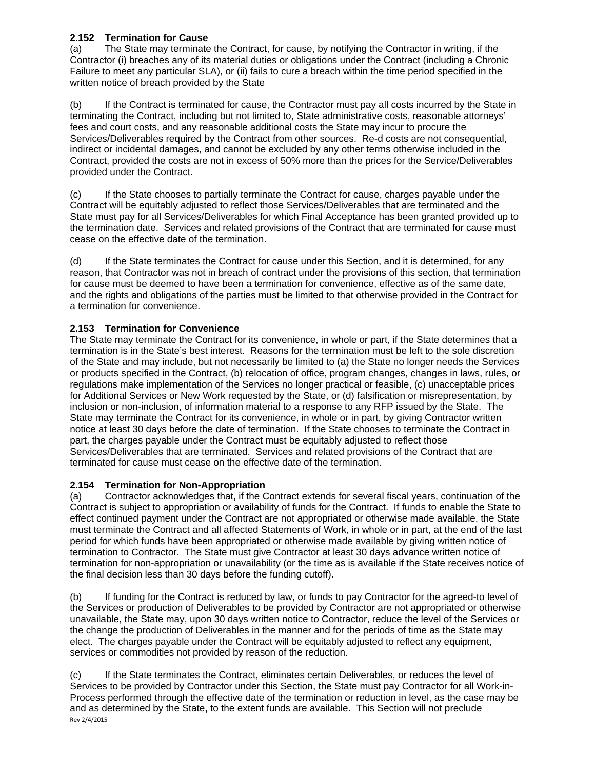# **2.152 Termination for Cause**

(a) The State may terminate the Contract, for cause, by notifying the Contractor in writing, if the Contractor (i) breaches any of its material duties or obligations under the Contract (including a Chronic Failure to meet any particular SLA), or (ii) fails to cure a breach within the time period specified in the written notice of breach provided by the State

(b) If the Contract is terminated for cause, the Contractor must pay all costs incurred by the State in terminating the Contract, including but not limited to, State administrative costs, reasonable attorneys' fees and court costs, and any reasonable additional costs the State may incur to procure the Services/Deliverables required by the Contract from other sources. Re-d costs are not consequential, indirect or incidental damages, and cannot be excluded by any other terms otherwise included in the Contract, provided the costs are not in excess of 50% more than the prices for the Service/Deliverables provided under the Contract.

(c) If the State chooses to partially terminate the Contract for cause, charges payable under the Contract will be equitably adjusted to reflect those Services/Deliverables that are terminated and the State must pay for all Services/Deliverables for which Final Acceptance has been granted provided up to the termination date. Services and related provisions of the Contract that are terminated for cause must cease on the effective date of the termination.

(d) If the State terminates the Contract for cause under this Section, and it is determined, for any reason, that Contractor was not in breach of contract under the provisions of this section, that termination for cause must be deemed to have been a termination for convenience, effective as of the same date, and the rights and obligations of the parties must be limited to that otherwise provided in the Contract for a termination for convenience.

# **2.153 Termination for Convenience**

The State may terminate the Contract for its convenience, in whole or part, if the State determines that a termination is in the State's best interest. Reasons for the termination must be left to the sole discretion of the State and may include, but not necessarily be limited to (a) the State no longer needs the Services or products specified in the Contract, (b) relocation of office, program changes, changes in laws, rules, or regulations make implementation of the Services no longer practical or feasible, (c) unacceptable prices for Additional Services or New Work requested by the State, or (d) falsification or misrepresentation, by inclusion or non-inclusion, of information material to a response to any RFP issued by the State. The State may terminate the Contract for its convenience, in whole or in part, by giving Contractor written notice at least 30 days before the date of termination. If the State chooses to terminate the Contract in part, the charges payable under the Contract must be equitably adjusted to reflect those Services/Deliverables that are terminated. Services and related provisions of the Contract that are terminated for cause must cease on the effective date of the termination.

# **2.154 Termination for Non-Appropriation**

(a) Contractor acknowledges that, if the Contract extends for several fiscal years, continuation of the Contract is subject to appropriation or availability of funds for the Contract. If funds to enable the State to effect continued payment under the Contract are not appropriated or otherwise made available, the State must terminate the Contract and all affected Statements of Work, in whole or in part, at the end of the last period for which funds have been appropriated or otherwise made available by giving written notice of termination to Contractor. The State must give Contractor at least 30 days advance written notice of termination for non-appropriation or unavailability (or the time as is available if the State receives notice of the final decision less than 30 days before the funding cutoff).

(b) If funding for the Contract is reduced by law, or funds to pay Contractor for the agreed-to level of the Services or production of Deliverables to be provided by Contractor are not appropriated or otherwise unavailable, the State may, upon 30 days written notice to Contractor, reduce the level of the Services or the change the production of Deliverables in the manner and for the periods of time as the State may elect. The charges payable under the Contract will be equitably adjusted to reflect any equipment, services or commodities not provided by reason of the reduction.

Rev 2/4/2015 (c) If the State terminates the Contract, eliminates certain Deliverables, or reduces the level of Services to be provided by Contractor under this Section, the State must pay Contractor for all Work-in-Process performed through the effective date of the termination or reduction in level, as the case may be and as determined by the State, to the extent funds are available. This Section will not preclude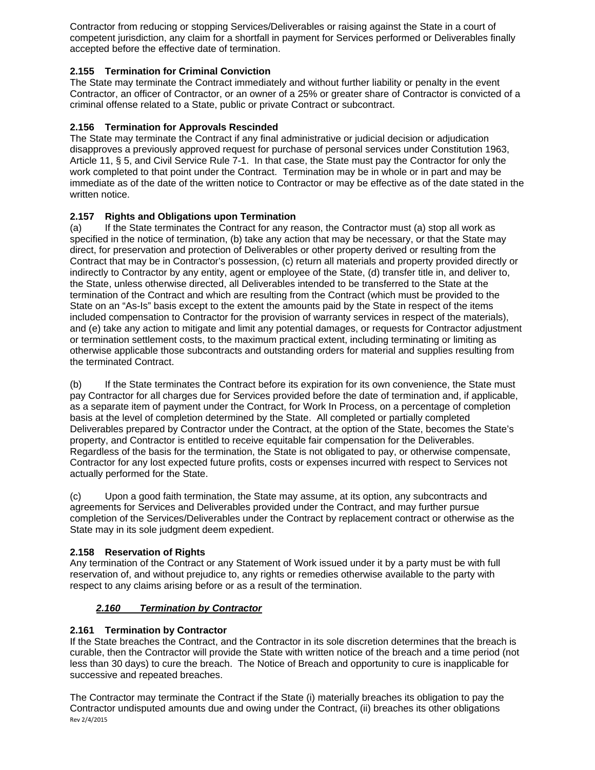Contractor from reducing or stopping Services/Deliverables or raising against the State in a court of competent jurisdiction, any claim for a shortfall in payment for Services performed or Deliverables finally accepted before the effective date of termination.

# **2.155 Termination for Criminal Conviction**

The State may terminate the Contract immediately and without further liability or penalty in the event Contractor, an officer of Contractor, or an owner of a 25% or greater share of Contractor is convicted of a criminal offense related to a State, public or private Contract or subcontract.

# **2.156 Termination for Approvals Rescinded**

The State may terminate the Contract if any final administrative or judicial decision or adjudication disapproves a previously approved request for purchase of personal services under Constitution 1963, Article 11, § 5, and Civil Service Rule 7-1. In that case, the State must pay the Contractor for only the work completed to that point under the Contract. Termination may be in whole or in part and may be immediate as of the date of the written notice to Contractor or may be effective as of the date stated in the written notice.

# **2.157 Rights and Obligations upon Termination**

(a) If the State terminates the Contract for any reason, the Contractor must (a) stop all work as specified in the notice of termination, (b) take any action that may be necessary, or that the State may direct, for preservation and protection of Deliverables or other property derived or resulting from the Contract that may be in Contractor's possession, (c) return all materials and property provided directly or indirectly to Contractor by any entity, agent or employee of the State, (d) transfer title in, and deliver to, the State, unless otherwise directed, all Deliverables intended to be transferred to the State at the termination of the Contract and which are resulting from the Contract (which must be provided to the State on an "As-Is" basis except to the extent the amounts paid by the State in respect of the items included compensation to Contractor for the provision of warranty services in respect of the materials), and (e) take any action to mitigate and limit any potential damages, or requests for Contractor adjustment or termination settlement costs, to the maximum practical extent, including terminating or limiting as otherwise applicable those subcontracts and outstanding orders for material and supplies resulting from the terminated Contract.

(b) If the State terminates the Contract before its expiration for its own convenience, the State must pay Contractor for all charges due for Services provided before the date of termination and, if applicable, as a separate item of payment under the Contract, for Work In Process, on a percentage of completion basis at the level of completion determined by the State. All completed or partially completed Deliverables prepared by Contractor under the Contract, at the option of the State, becomes the State's property, and Contractor is entitled to receive equitable fair compensation for the Deliverables. Regardless of the basis for the termination, the State is not obligated to pay, or otherwise compensate, Contractor for any lost expected future profits, costs or expenses incurred with respect to Services not actually performed for the State.

(c) Upon a good faith termination, the State may assume, at its option, any subcontracts and agreements for Services and Deliverables provided under the Contract, and may further pursue completion of the Services/Deliverables under the Contract by replacement contract or otherwise as the State may in its sole judgment deem expedient.

# **2.158 Reservation of Rights**

Any termination of the Contract or any Statement of Work issued under it by a party must be with full reservation of, and without prejudice to, any rights or remedies otherwise available to the party with respect to any claims arising before or as a result of the termination.

# *2.160 Termination by Contractor*

# **2.161 Termination by Contractor**

If the State breaches the Contract, and the Contractor in its sole discretion determines that the breach is curable, then the Contractor will provide the State with written notice of the breach and a time period (not less than 30 days) to cure the breach. The Notice of Breach and opportunity to cure is inapplicable for successive and repeated breaches.

Rev 2/4/2015 The Contractor may terminate the Contract if the State (i) materially breaches its obligation to pay the Contractor undisputed amounts due and owing under the Contract, (ii) breaches its other obligations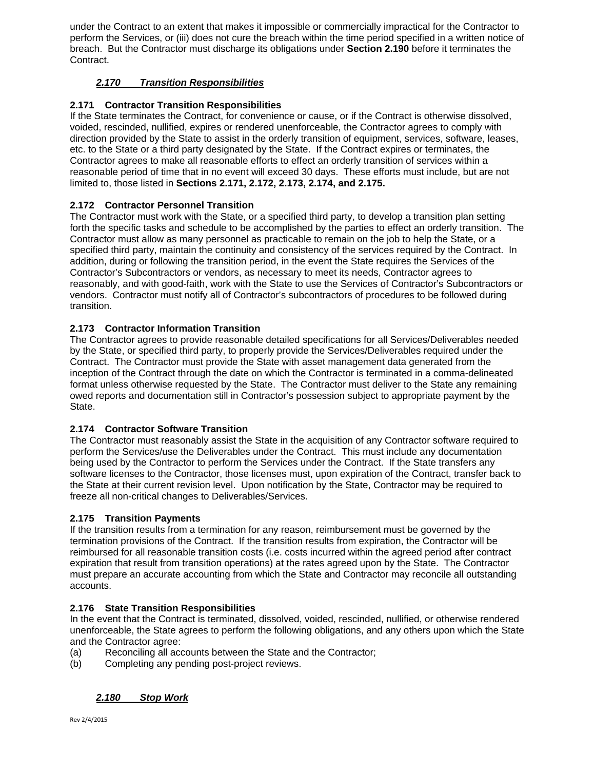under the Contract to an extent that makes it impossible or commercially impractical for the Contractor to perform the Services, or (iii) does not cure the breach within the time period specified in a written notice of breach. But the Contractor must discharge its obligations under **Section 2.190** before it terminates the Contract.

# *2.170 Transition Responsibilities*

# **2.171 Contractor Transition Responsibilities**

If the State terminates the Contract, for convenience or cause, or if the Contract is otherwise dissolved, voided, rescinded, nullified, expires or rendered unenforceable, the Contractor agrees to comply with direction provided by the State to assist in the orderly transition of equipment, services, software, leases, etc. to the State or a third party designated by the State. If the Contract expires or terminates, the Contractor agrees to make all reasonable efforts to effect an orderly transition of services within a reasonable period of time that in no event will exceed 30 days. These efforts must include, but are not limited to, those listed in **Sections 2.171, 2.172, 2.173, 2.174, and 2.175.** 

# **2.172 Contractor Personnel Transition**

The Contractor must work with the State, or a specified third party, to develop a transition plan setting forth the specific tasks and schedule to be accomplished by the parties to effect an orderly transition. The Contractor must allow as many personnel as practicable to remain on the job to help the State, or a specified third party, maintain the continuity and consistency of the services required by the Contract. In addition, during or following the transition period, in the event the State requires the Services of the Contractor's Subcontractors or vendors, as necessary to meet its needs, Contractor agrees to reasonably, and with good-faith, work with the State to use the Services of Contractor's Subcontractors or vendors. Contractor must notify all of Contractor's subcontractors of procedures to be followed during transition.

# **2.173 Contractor Information Transition**

The Contractor agrees to provide reasonable detailed specifications for all Services/Deliverables needed by the State, or specified third party, to properly provide the Services/Deliverables required under the Contract. The Contractor must provide the State with asset management data generated from the inception of the Contract through the date on which the Contractor is terminated in a comma-delineated format unless otherwise requested by the State. The Contractor must deliver to the State any remaining owed reports and documentation still in Contractor's possession subject to appropriate payment by the State.

# **2.174 Contractor Software Transition**

The Contractor must reasonably assist the State in the acquisition of any Contractor software required to perform the Services/use the Deliverables under the Contract. This must include any documentation being used by the Contractor to perform the Services under the Contract. If the State transfers any software licenses to the Contractor, those licenses must, upon expiration of the Contract, transfer back to the State at their current revision level. Upon notification by the State, Contractor may be required to freeze all non-critical changes to Deliverables/Services.

# **2.175 Transition Payments**

If the transition results from a termination for any reason, reimbursement must be governed by the termination provisions of the Contract. If the transition results from expiration, the Contractor will be reimbursed for all reasonable transition costs (i.e. costs incurred within the agreed period after contract expiration that result from transition operations) at the rates agreed upon by the State. The Contractor must prepare an accurate accounting from which the State and Contractor may reconcile all outstanding accounts.

# **2.176 State Transition Responsibilities**

In the event that the Contract is terminated, dissolved, voided, rescinded, nullified, or otherwise rendered unenforceable, the State agrees to perform the following obligations, and any others upon which the State and the Contractor agree:

- (a) Reconciling all accounts between the State and the Contractor;
- (b) Completing any pending post-project reviews.

#### *2.180 Stop Work*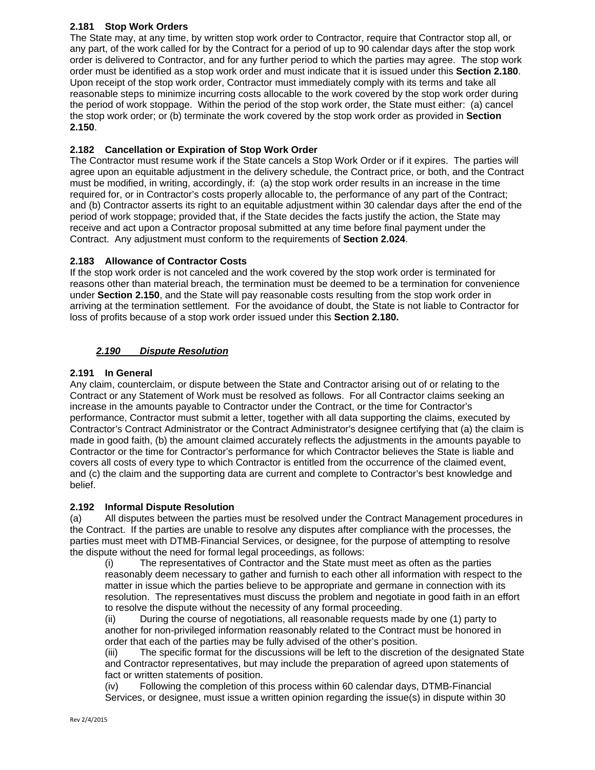# **2.181 Stop Work Orders**

The State may, at any time, by written stop work order to Contractor, require that Contractor stop all, or any part, of the work called for by the Contract for a period of up to 90 calendar days after the stop work order is delivered to Contractor, and for any further period to which the parties may agree. The stop work order must be identified as a stop work order and must indicate that it is issued under this **Section 2.180**. Upon receipt of the stop work order, Contractor must immediately comply with its terms and take all reasonable steps to minimize incurring costs allocable to the work covered by the stop work order during the period of work stoppage. Within the period of the stop work order, the State must either: (a) cancel the stop work order; or (b) terminate the work covered by the stop work order as provided in **Section 2.150**.

# **2.182 Cancellation or Expiration of Stop Work Order**

The Contractor must resume work if the State cancels a Stop Work Order or if it expires. The parties will agree upon an equitable adjustment in the delivery schedule, the Contract price, or both, and the Contract must be modified, in writing, accordingly, if: (a) the stop work order results in an increase in the time required for, or in Contractor's costs properly allocable to, the performance of any part of the Contract; and (b) Contractor asserts its right to an equitable adjustment within 30 calendar days after the end of the period of work stoppage; provided that, if the State decides the facts justify the action, the State may receive and act upon a Contractor proposal submitted at any time before final payment under the Contract. Any adjustment must conform to the requirements of **Section 2.024**.

# **2.183 Allowance of Contractor Costs**

If the stop work order is not canceled and the work covered by the stop work order is terminated for reasons other than material breach, the termination must be deemed to be a termination for convenience under **Section 2.150**, and the State will pay reasonable costs resulting from the stop work order in arriving at the termination settlement. For the avoidance of doubt, the State is not liable to Contractor for loss of profits because of a stop work order issued under this **Section 2.180.** 

# *2.190 Dispute Resolution*

#### **2.191 In General**

Any claim, counterclaim, or dispute between the State and Contractor arising out of or relating to the Contract or any Statement of Work must be resolved as follows. For all Contractor claims seeking an increase in the amounts payable to Contractor under the Contract, or the time for Contractor's performance, Contractor must submit a letter, together with all data supporting the claims, executed by Contractor's Contract Administrator or the Contract Administrator's designee certifying that (a) the claim is made in good faith, (b) the amount claimed accurately reflects the adjustments in the amounts payable to Contractor or the time for Contractor's performance for which Contractor believes the State is liable and covers all costs of every type to which Contractor is entitled from the occurrence of the claimed event, and (c) the claim and the supporting data are current and complete to Contractor's best knowledge and belief.

#### **2.192 Informal Dispute Resolution**

(a) All disputes between the parties must be resolved under the Contract Management procedures in the Contract. If the parties are unable to resolve any disputes after compliance with the processes, the parties must meet with DTMB-Financial Services, or designee, for the purpose of attempting to resolve the dispute without the need for formal legal proceedings, as follows:

(i) The representatives of Contractor and the State must meet as often as the parties reasonably deem necessary to gather and furnish to each other all information with respect to the matter in issue which the parties believe to be appropriate and germane in connection with its resolution. The representatives must discuss the problem and negotiate in good faith in an effort to resolve the dispute without the necessity of any formal proceeding.

(ii) During the course of negotiations, all reasonable requests made by one (1) party to another for non-privileged information reasonably related to the Contract must be honored in order that each of the parties may be fully advised of the other's position.

(iii) The specific format for the discussions will be left to the discretion of the designated State and Contractor representatives, but may include the preparation of agreed upon statements of fact or written statements of position.

(iv) Following the completion of this process within 60 calendar days, DTMB-Financial Services, or designee, must issue a written opinion regarding the issue(s) in dispute within 30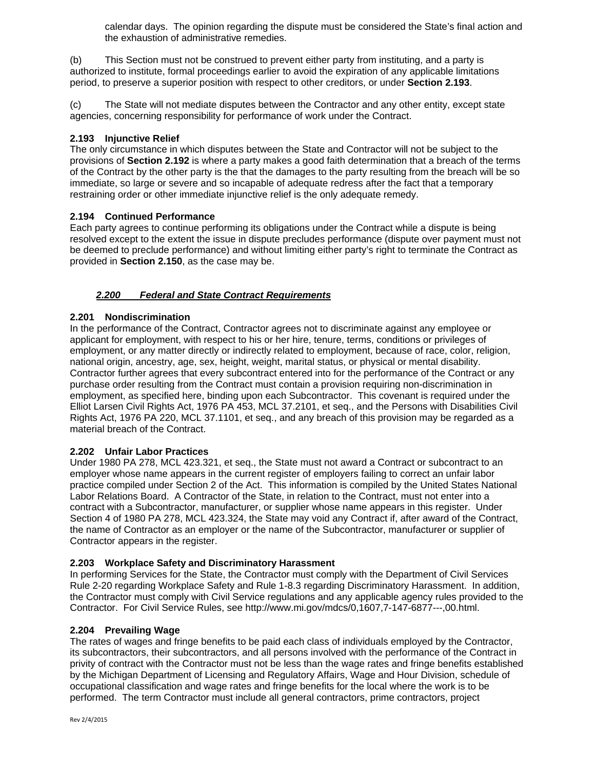calendar days. The opinion regarding the dispute must be considered the State's final action and the exhaustion of administrative remedies.

(b) This Section must not be construed to prevent either party from instituting, and a party is authorized to institute, formal proceedings earlier to avoid the expiration of any applicable limitations period, to preserve a superior position with respect to other creditors, or under **Section 2.193**.

(c) The State will not mediate disputes between the Contractor and any other entity, except state agencies, concerning responsibility for performance of work under the Contract.

### **2.193 Injunctive Relief**

The only circumstance in which disputes between the State and Contractor will not be subject to the provisions of **Section 2.192** is where a party makes a good faith determination that a breach of the terms of the Contract by the other party is the that the damages to the party resulting from the breach will be so immediate, so large or severe and so incapable of adequate redress after the fact that a temporary restraining order or other immediate injunctive relief is the only adequate remedy.

# **2.194 Continued Performance**

Each party agrees to continue performing its obligations under the Contract while a dispute is being resolved except to the extent the issue in dispute precludes performance (dispute over payment must not be deemed to preclude performance) and without limiting either party's right to terminate the Contract as provided in **Section 2.150**, as the case may be.

# *2.200 Federal and State Contract Requirements*

# **2.201 Nondiscrimination**

In the performance of the Contract, Contractor agrees not to discriminate against any employee or applicant for employment, with respect to his or her hire, tenure, terms, conditions or privileges of employment, or any matter directly or indirectly related to employment, because of race, color, religion, national origin, ancestry, age, sex, height, weight, marital status, or physical or mental disability. Contractor further agrees that every subcontract entered into for the performance of the Contract or any purchase order resulting from the Contract must contain a provision requiring non-discrimination in employment, as specified here, binding upon each Subcontractor. This covenant is required under the Elliot Larsen Civil Rights Act, 1976 PA 453, MCL 37.2101, et seq., and the Persons with Disabilities Civil Rights Act, 1976 PA 220, MCL 37.1101, et seq., and any breach of this provision may be regarded as a material breach of the Contract.

#### **2.202 Unfair Labor Practices**

Under 1980 PA 278, MCL 423.321, et seq., the State must not award a Contract or subcontract to an employer whose name appears in the current register of employers failing to correct an unfair labor practice compiled under Section 2 of the Act. This information is compiled by the United States National Labor Relations Board. A Contractor of the State, in relation to the Contract, must not enter into a contract with a Subcontractor, manufacturer, or supplier whose name appears in this register. Under Section 4 of 1980 PA 278, MCL 423.324, the State may void any Contract if, after award of the Contract, the name of Contractor as an employer or the name of the Subcontractor, manufacturer or supplier of Contractor appears in the register.

#### **2.203 Workplace Safety and Discriminatory Harassment**

In performing Services for the State, the Contractor must comply with the Department of Civil Services Rule 2-20 regarding Workplace Safety and Rule 1-8.3 regarding Discriminatory Harassment. In addition, the Contractor must comply with Civil Service regulations and any applicable agency rules provided to the Contractor. For Civil Service Rules, see http://www.mi.gov/mdcs/0,1607,7-147-6877---,00.html.

#### **2.204 Prevailing Wage**

The rates of wages and fringe benefits to be paid each class of individuals employed by the Contractor, its subcontractors, their subcontractors, and all persons involved with the performance of the Contract in privity of contract with the Contractor must not be less than the wage rates and fringe benefits established by the Michigan Department of Licensing and Regulatory Affairs, Wage and Hour Division, schedule of occupational classification and wage rates and fringe benefits for the local where the work is to be performed. The term Contractor must include all general contractors, prime contractors, project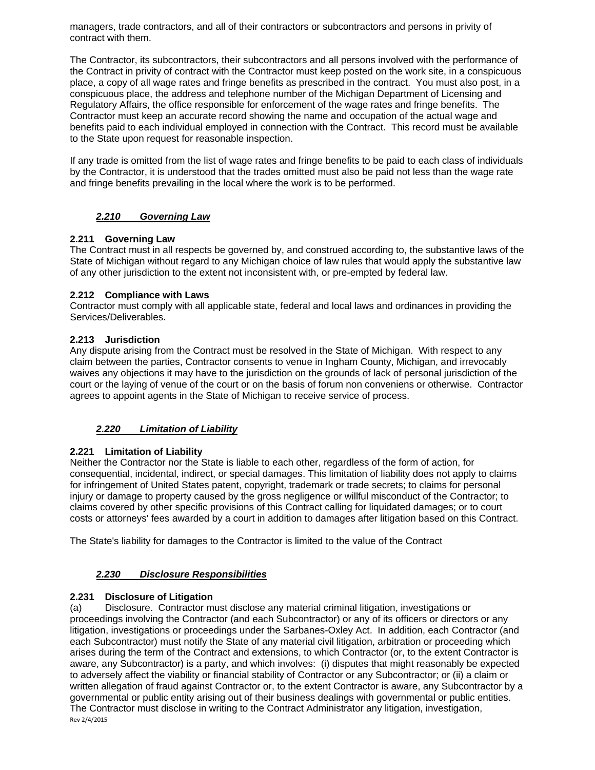managers, trade contractors, and all of their contractors or subcontractors and persons in privity of contract with them.

The Contractor, its subcontractors, their subcontractors and all persons involved with the performance of the Contract in privity of contract with the Contractor must keep posted on the work site, in a conspicuous place, a copy of all wage rates and fringe benefits as prescribed in the contract. You must also post, in a conspicuous place, the address and telephone number of the Michigan Department of Licensing and Regulatory Affairs, the office responsible for enforcement of the wage rates and fringe benefits. The Contractor must keep an accurate record showing the name and occupation of the actual wage and benefits paid to each individual employed in connection with the Contract. This record must be available to the State upon request for reasonable inspection.

If any trade is omitted from the list of wage rates and fringe benefits to be paid to each class of individuals by the Contractor, it is understood that the trades omitted must also be paid not less than the wage rate and fringe benefits prevailing in the local where the work is to be performed.

# *2.210 Governing Law*

# **2.211 Governing Law**

The Contract must in all respects be governed by, and construed according to, the substantive laws of the State of Michigan without regard to any Michigan choice of law rules that would apply the substantive law of any other jurisdiction to the extent not inconsistent with, or pre-empted by federal law.

# **2.212 Compliance with Laws**

Contractor must comply with all applicable state, federal and local laws and ordinances in providing the Services/Deliverables.

# **2.213 Jurisdiction**

Any dispute arising from the Contract must be resolved in the State of Michigan. With respect to any claim between the parties, Contractor consents to venue in Ingham County, Michigan, and irrevocably waives any objections it may have to the jurisdiction on the grounds of lack of personal jurisdiction of the court or the laying of venue of the court or on the basis of forum non conveniens or otherwise. Contractor agrees to appoint agents in the State of Michigan to receive service of process.

# *2.220 Limitation of Liability*

# **2.221 Limitation of Liability**

Neither the Contractor nor the State is liable to each other, regardless of the form of action, for consequential, incidental, indirect, or special damages. This limitation of liability does not apply to claims for infringement of United States patent, copyright, trademark or trade secrets; to claims for personal injury or damage to property caused by the gross negligence or willful misconduct of the Contractor; to claims covered by other specific provisions of this Contract calling for liquidated damages; or to court costs or attorneys' fees awarded by a court in addition to damages after litigation based on this Contract.

The State's liability for damages to the Contractor is limited to the value of the Contract

# *2.230 Disclosure Responsibilities*

# **2.231 Disclosure of Litigation**

Rev 2/4/2015 (a) Disclosure. Contractor must disclose any material criminal litigation, investigations or proceedings involving the Contractor (and each Subcontractor) or any of its officers or directors or any litigation, investigations or proceedings under the Sarbanes-Oxley Act. In addition, each Contractor (and each Subcontractor) must notify the State of any material civil litigation, arbitration or proceeding which arises during the term of the Contract and extensions, to which Contractor (or, to the extent Contractor is aware, any Subcontractor) is a party, and which involves: (i) disputes that might reasonably be expected to adversely affect the viability or financial stability of Contractor or any Subcontractor; or (ii) a claim or written allegation of fraud against Contractor or, to the extent Contractor is aware, any Subcontractor by a governmental or public entity arising out of their business dealings with governmental or public entities. The Contractor must disclose in writing to the Contract Administrator any litigation, investigation,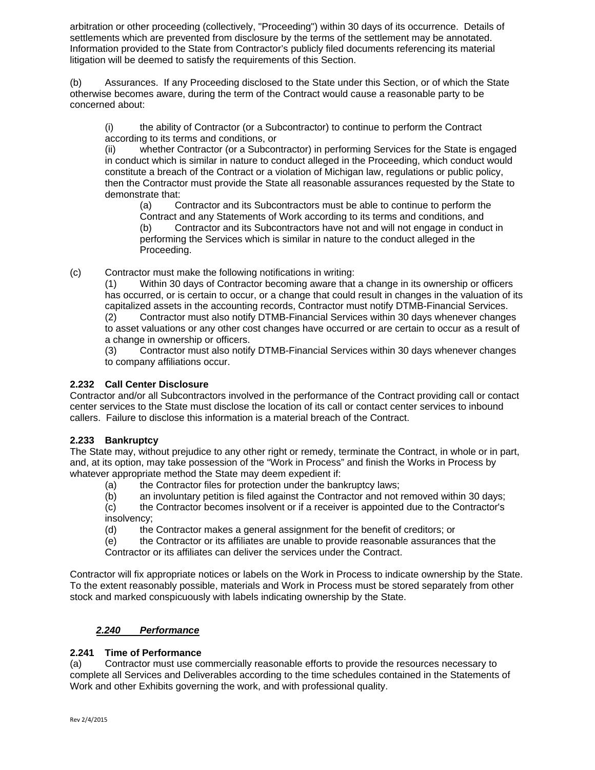arbitration or other proceeding (collectively, "Proceeding") within 30 days of its occurrence. Details of settlements which are prevented from disclosure by the terms of the settlement may be annotated. Information provided to the State from Contractor's publicly filed documents referencing its material litigation will be deemed to satisfy the requirements of this Section.

(b) Assurances. If any Proceeding disclosed to the State under this Section, or of which the State otherwise becomes aware, during the term of the Contract would cause a reasonable party to be concerned about:

(i) the ability of Contractor (or a Subcontractor) to continue to perform the Contract according to its terms and conditions, or

(ii) whether Contractor (or a Subcontractor) in performing Services for the State is engaged in conduct which is similar in nature to conduct alleged in the Proceeding, which conduct would constitute a breach of the Contract or a violation of Michigan law, regulations or public policy, then the Contractor must provide the State all reasonable assurances requested by the State to demonstrate that:

(a) Contractor and its Subcontractors must be able to continue to perform the Contract and any Statements of Work according to its terms and conditions, and (b) Contractor and its Subcontractors have not and will not engage in conduct in performing the Services which is similar in nature to the conduct alleged in the Proceeding.

(c) Contractor must make the following notifications in writing:

(1) Within 30 days of Contractor becoming aware that a change in its ownership or officers has occurred, or is certain to occur, or a change that could result in changes in the valuation of its capitalized assets in the accounting records, Contractor must notify DTMB-Financial Services.

(2) Contractor must also notify DTMB-Financial Services within 30 days whenever changes to asset valuations or any other cost changes have occurred or are certain to occur as a result of a change in ownership or officers.

(3) Contractor must also notify DTMB-Financial Services within 30 days whenever changes to company affiliations occur.

# **2.232 Call Center Disclosure**

Contractor and/or all Subcontractors involved in the performance of the Contract providing call or contact center services to the State must disclose the location of its call or contact center services to inbound callers. Failure to disclose this information is a material breach of the Contract.

#### **2.233 Bankruptcy**

The State may, without prejudice to any other right or remedy, terminate the Contract, in whole or in part, and, at its option, may take possession of the "Work in Process" and finish the Works in Process by whatever appropriate method the State may deem expedient if:

(a) the Contractor files for protection under the bankruptcy laws:

(b) an involuntary petition is filed against the Contractor and not removed within 30 days;

(c) the Contractor becomes insolvent or if a receiver is appointed due to the Contractor's insolvency;

(d) the Contractor makes a general assignment for the benefit of creditors; or

(e) the Contractor or its affiliates are unable to provide reasonable assurances that the Contractor or its affiliates can deliver the services under the Contract.

Contractor will fix appropriate notices or labels on the Work in Process to indicate ownership by the State. To the extent reasonably possible, materials and Work in Process must be stored separately from other stock and marked conspicuously with labels indicating ownership by the State.

# *2.240 Performance*

# **2.241 Time of Performance**

(a) Contractor must use commercially reasonable efforts to provide the resources necessary to complete all Services and Deliverables according to the time schedules contained in the Statements of Work and other Exhibits governing the work, and with professional quality.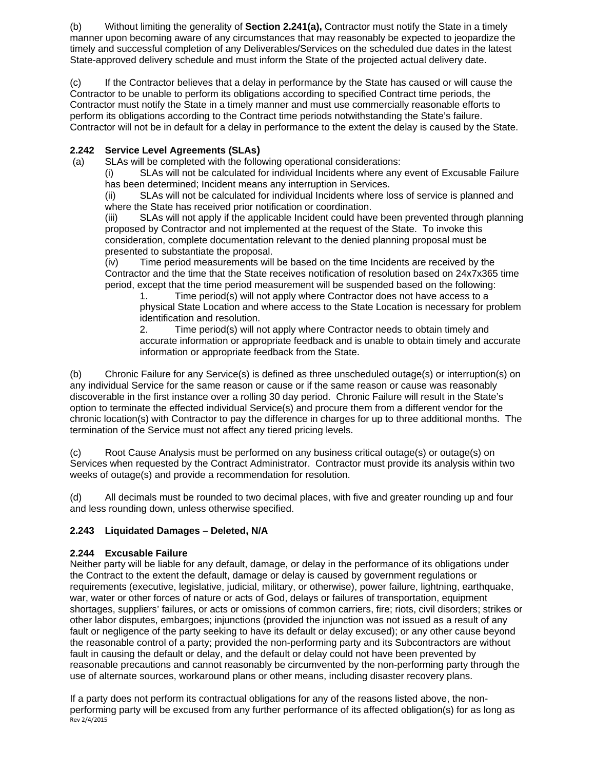(b) Without limiting the generality of **Section 2.241(a),** Contractor must notify the State in a timely manner upon becoming aware of any circumstances that may reasonably be expected to jeopardize the timely and successful completion of any Deliverables/Services on the scheduled due dates in the latest State-approved delivery schedule and must inform the State of the projected actual delivery date.

(c) If the Contractor believes that a delay in performance by the State has caused or will cause the Contractor to be unable to perform its obligations according to specified Contract time periods, the Contractor must notify the State in a timely manner and must use commercially reasonable efforts to perform its obligations according to the Contract time periods notwithstanding the State's failure. Contractor will not be in default for a delay in performance to the extent the delay is caused by the State.

# **2.242 Service Level Agreements (SLAs)**

(a) SLAs will be completed with the following operational considerations:

(i) SLAs will not be calculated for individual Incidents where any event of Excusable Failure has been determined; Incident means any interruption in Services.

(ii) SLAs will not be calculated for individual Incidents where loss of service is planned and where the State has received prior notification or coordination.

(iii) SLAs will not apply if the applicable Incident could have been prevented through planning proposed by Contractor and not implemented at the request of the State. To invoke this consideration, complete documentation relevant to the denied planning proposal must be presented to substantiate the proposal.

(iv) Time period measurements will be based on the time Incidents are received by the Contractor and the time that the State receives notification of resolution based on 24x7x365 time period, except that the time period measurement will be suspended based on the following:

1. Time period(s) will not apply where Contractor does not have access to a physical State Location and where access to the State Location is necessary for problem identification and resolution.

2. Time period(s) will not apply where Contractor needs to obtain timely and accurate information or appropriate feedback and is unable to obtain timely and accurate information or appropriate feedback from the State.

(b) Chronic Failure for any Service(s) is defined as three unscheduled outage(s) or interruption(s) on any individual Service for the same reason or cause or if the same reason or cause was reasonably discoverable in the first instance over a rolling 30 day period. Chronic Failure will result in the State's option to terminate the effected individual Service(s) and procure them from a different vendor for the chronic location(s) with Contractor to pay the difference in charges for up to three additional months. The termination of the Service must not affect any tiered pricing levels.

(c) Root Cause Analysis must be performed on any business critical outage(s) or outage(s) on Services when requested by the Contract Administrator. Contractor must provide its analysis within two weeks of outage(s) and provide a recommendation for resolution.

(d) All decimals must be rounded to two decimal places, with five and greater rounding up and four and less rounding down, unless otherwise specified.

# **2.243 Liquidated Damages – Deleted, N/A**

# **2.244 Excusable Failure**

Neither party will be liable for any default, damage, or delay in the performance of its obligations under the Contract to the extent the default, damage or delay is caused by government regulations or requirements (executive, legislative, judicial, military, or otherwise), power failure, lightning, earthquake, war, water or other forces of nature or acts of God, delays or failures of transportation, equipment shortages, suppliers' failures, or acts or omissions of common carriers, fire; riots, civil disorders; strikes or other labor disputes, embargoes; injunctions (provided the injunction was not issued as a result of any fault or negligence of the party seeking to have its default or delay excused); or any other cause beyond the reasonable control of a party; provided the non-performing party and its Subcontractors are without fault in causing the default or delay, and the default or delay could not have been prevented by reasonable precautions and cannot reasonably be circumvented by the non-performing party through the use of alternate sources, workaround plans or other means, including disaster recovery plans.

.<br>Rev 2/4/2015 If a party does not perform its contractual obligations for any of the reasons listed above, the nonperforming party will be excused from any further performance of its affected obligation(s) for as long as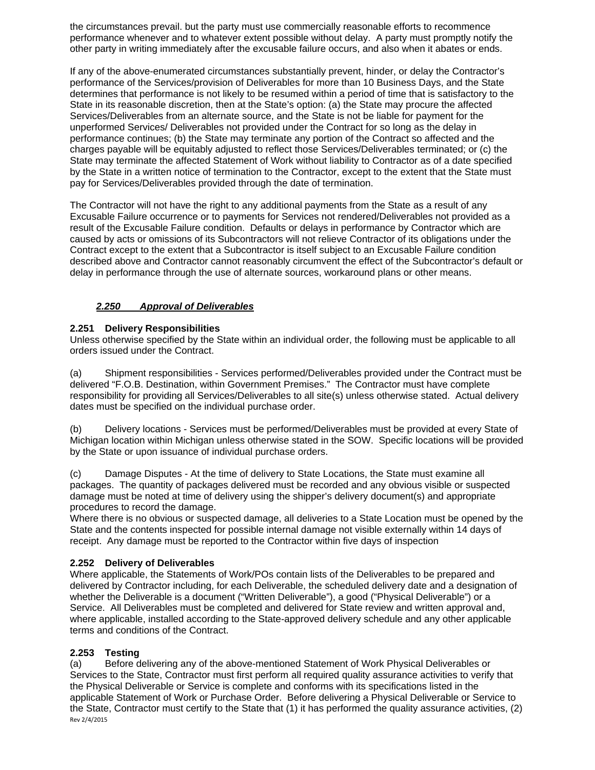the circumstances prevail. but the party must use commercially reasonable efforts to recommence performance whenever and to whatever extent possible without delay. A party must promptly notify the other party in writing immediately after the excusable failure occurs, and also when it abates or ends.

If any of the above-enumerated circumstances substantially prevent, hinder, or delay the Contractor's performance of the Services/provision of Deliverables for more than 10 Business Days, and the State determines that performance is not likely to be resumed within a period of time that is satisfactory to the State in its reasonable discretion, then at the State's option: (a) the State may procure the affected Services/Deliverables from an alternate source, and the State is not be liable for payment for the unperformed Services/ Deliverables not provided under the Contract for so long as the delay in performance continues; (b) the State may terminate any portion of the Contract so affected and the charges payable will be equitably adjusted to reflect those Services/Deliverables terminated; or (c) the State may terminate the affected Statement of Work without liability to Contractor as of a date specified by the State in a written notice of termination to the Contractor, except to the extent that the State must pay for Services/Deliverables provided through the date of termination.

The Contractor will not have the right to any additional payments from the State as a result of any Excusable Failure occurrence or to payments for Services not rendered/Deliverables not provided as a result of the Excusable Failure condition. Defaults or delays in performance by Contractor which are caused by acts or omissions of its Subcontractors will not relieve Contractor of its obligations under the Contract except to the extent that a Subcontractor is itself subject to an Excusable Failure condition described above and Contractor cannot reasonably circumvent the effect of the Subcontractor's default or delay in performance through the use of alternate sources, workaround plans or other means.

# *2.250 Approval of Deliverables*

# **2.251 Delivery Responsibilities**

Unless otherwise specified by the State within an individual order, the following must be applicable to all orders issued under the Contract.

(a) Shipment responsibilities - Services performed/Deliverables provided under the Contract must be delivered "F.O.B. Destination, within Government Premises." The Contractor must have complete responsibility for providing all Services/Deliverables to all site(s) unless otherwise stated. Actual delivery dates must be specified on the individual purchase order.

(b) Delivery locations - Services must be performed/Deliverables must be provided at every State of Michigan location within Michigan unless otherwise stated in the SOW. Specific locations will be provided by the State or upon issuance of individual purchase orders.

(c) Damage Disputes - At the time of delivery to State Locations, the State must examine all packages. The quantity of packages delivered must be recorded and any obvious visible or suspected damage must be noted at time of delivery using the shipper's delivery document(s) and appropriate procedures to record the damage.

Where there is no obvious or suspected damage, all deliveries to a State Location must be opened by the State and the contents inspected for possible internal damage not visible externally within 14 days of receipt. Any damage must be reported to the Contractor within five days of inspection

# **2.252 Delivery of Deliverables**

Where applicable, the Statements of Work/POs contain lists of the Deliverables to be prepared and delivered by Contractor including, for each Deliverable, the scheduled delivery date and a designation of whether the Deliverable is a document ("Written Deliverable"), a good ("Physical Deliverable") or a Service. All Deliverables must be completed and delivered for State review and written approval and, where applicable, installed according to the State-approved delivery schedule and any other applicable terms and conditions of the Contract.

# **2.253 Testing**

Rev 2/4/2015 (a) Before delivering any of the above-mentioned Statement of Work Physical Deliverables or Services to the State, Contractor must first perform all required quality assurance activities to verify that the Physical Deliverable or Service is complete and conforms with its specifications listed in the applicable Statement of Work or Purchase Order. Before delivering a Physical Deliverable or Service to the State, Contractor must certify to the State that (1) it has performed the quality assurance activities, (2)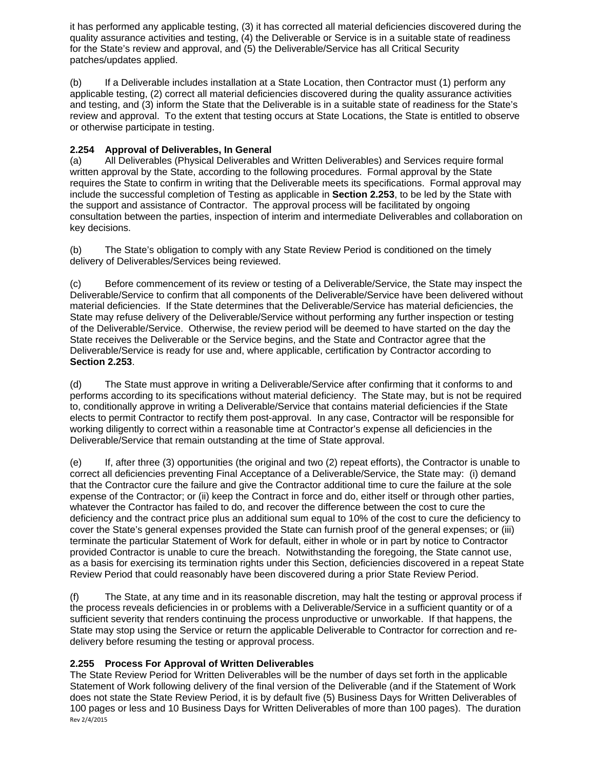it has performed any applicable testing, (3) it has corrected all material deficiencies discovered during the quality assurance activities and testing, (4) the Deliverable or Service is in a suitable state of readiness for the State's review and approval, and (5) the Deliverable/Service has all Critical Security patches/updates applied.

(b) If a Deliverable includes installation at a State Location, then Contractor must (1) perform any applicable testing, (2) correct all material deficiencies discovered during the quality assurance activities and testing, and (3) inform the State that the Deliverable is in a suitable state of readiness for the State's review and approval. To the extent that testing occurs at State Locations, the State is entitled to observe or otherwise participate in testing.

# **2.254 Approval of Deliverables, In General**

(a) All Deliverables (Physical Deliverables and Written Deliverables) and Services require formal written approval by the State, according to the following procedures. Formal approval by the State requires the State to confirm in writing that the Deliverable meets its specifications. Formal approval may include the successful completion of Testing as applicable in **Section 2.253**, to be led by the State with the support and assistance of Contractor. The approval process will be facilitated by ongoing consultation between the parties, inspection of interim and intermediate Deliverables and collaboration on key decisions.

(b) The State's obligation to comply with any State Review Period is conditioned on the timely delivery of Deliverables/Services being reviewed.

(c) Before commencement of its review or testing of a Deliverable/Service, the State may inspect the Deliverable/Service to confirm that all components of the Deliverable/Service have been delivered without material deficiencies. If the State determines that the Deliverable/Service has material deficiencies, the State may refuse delivery of the Deliverable/Service without performing any further inspection or testing of the Deliverable/Service. Otherwise, the review period will be deemed to have started on the day the State receives the Deliverable or the Service begins, and the State and Contractor agree that the Deliverable/Service is ready for use and, where applicable, certification by Contractor according to **Section 2.253**.

(d) The State must approve in writing a Deliverable/Service after confirming that it conforms to and performs according to its specifications without material deficiency. The State may, but is not be required to, conditionally approve in writing a Deliverable/Service that contains material deficiencies if the State elects to permit Contractor to rectify them post-approval. In any case, Contractor will be responsible for working diligently to correct within a reasonable time at Contractor's expense all deficiencies in the Deliverable/Service that remain outstanding at the time of State approval.

(e) If, after three (3) opportunities (the original and two (2) repeat efforts), the Contractor is unable to correct all deficiencies preventing Final Acceptance of a Deliverable/Service, the State may: (i) demand that the Contractor cure the failure and give the Contractor additional time to cure the failure at the sole expense of the Contractor; or (ii) keep the Contract in force and do, either itself or through other parties, whatever the Contractor has failed to do, and recover the difference between the cost to cure the deficiency and the contract price plus an additional sum equal to 10% of the cost to cure the deficiency to cover the State's general expenses provided the State can furnish proof of the general expenses; or (iii) terminate the particular Statement of Work for default, either in whole or in part by notice to Contractor provided Contractor is unable to cure the breach. Notwithstanding the foregoing, the State cannot use, as a basis for exercising its termination rights under this Section, deficiencies discovered in a repeat State Review Period that could reasonably have been discovered during a prior State Review Period.

(f) The State, at any time and in its reasonable discretion, may halt the testing or approval process if the process reveals deficiencies in or problems with a Deliverable/Service in a sufficient quantity or of a sufficient severity that renders continuing the process unproductive or unworkable. If that happens, the State may stop using the Service or return the applicable Deliverable to Contractor for correction and redelivery before resuming the testing or approval process.

# **2.255 Process For Approval of Written Deliverables**

Rev 2/4/2015 The State Review Period for Written Deliverables will be the number of days set forth in the applicable Statement of Work following delivery of the final version of the Deliverable (and if the Statement of Work does not state the State Review Period, it is by default five (5) Business Days for Written Deliverables of 100 pages or less and 10 Business Days for Written Deliverables of more than 100 pages). The duration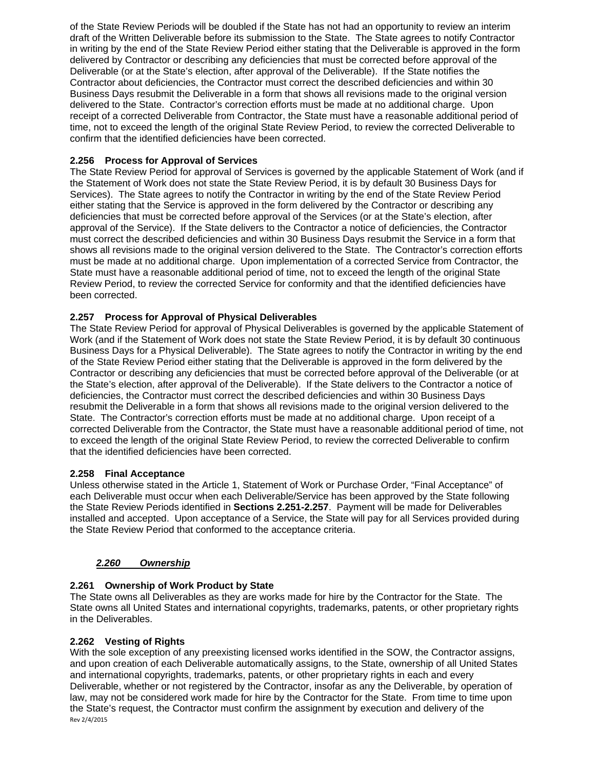of the State Review Periods will be doubled if the State has not had an opportunity to review an interim draft of the Written Deliverable before its submission to the State. The State agrees to notify Contractor in writing by the end of the State Review Period either stating that the Deliverable is approved in the form delivered by Contractor or describing any deficiencies that must be corrected before approval of the Deliverable (or at the State's election, after approval of the Deliverable). If the State notifies the Contractor about deficiencies, the Contractor must correct the described deficiencies and within 30 Business Days resubmit the Deliverable in a form that shows all revisions made to the original version delivered to the State. Contractor's correction efforts must be made at no additional charge. Upon receipt of a corrected Deliverable from Contractor, the State must have a reasonable additional period of time, not to exceed the length of the original State Review Period, to review the corrected Deliverable to confirm that the identified deficiencies have been corrected.

# **2.256 Process for Approval of Services**

The State Review Period for approval of Services is governed by the applicable Statement of Work (and if the Statement of Work does not state the State Review Period, it is by default 30 Business Days for Services). The State agrees to notify the Contractor in writing by the end of the State Review Period either stating that the Service is approved in the form delivered by the Contractor or describing any deficiencies that must be corrected before approval of the Services (or at the State's election, after approval of the Service). If the State delivers to the Contractor a notice of deficiencies, the Contractor must correct the described deficiencies and within 30 Business Days resubmit the Service in a form that shows all revisions made to the original version delivered to the State. The Contractor's correction efforts must be made at no additional charge. Upon implementation of a corrected Service from Contractor, the State must have a reasonable additional period of time, not to exceed the length of the original State Review Period, to review the corrected Service for conformity and that the identified deficiencies have been corrected.

# **2.257 Process for Approval of Physical Deliverables**

The State Review Period for approval of Physical Deliverables is governed by the applicable Statement of Work (and if the Statement of Work does not state the State Review Period, it is by default 30 continuous Business Days for a Physical Deliverable). The State agrees to notify the Contractor in writing by the end of the State Review Period either stating that the Deliverable is approved in the form delivered by the Contractor or describing any deficiencies that must be corrected before approval of the Deliverable (or at the State's election, after approval of the Deliverable). If the State delivers to the Contractor a notice of deficiencies, the Contractor must correct the described deficiencies and within 30 Business Days resubmit the Deliverable in a form that shows all revisions made to the original version delivered to the State. The Contractor's correction efforts must be made at no additional charge. Upon receipt of a corrected Deliverable from the Contractor, the State must have a reasonable additional period of time, not to exceed the length of the original State Review Period, to review the corrected Deliverable to confirm that the identified deficiencies have been corrected.

# **2.258 Final Acceptance**

Unless otherwise stated in the Article 1, Statement of Work or Purchase Order, "Final Acceptance" of each Deliverable must occur when each Deliverable/Service has been approved by the State following the State Review Periods identified in **Sections 2.251-2.257**. Payment will be made for Deliverables installed and accepted. Upon acceptance of a Service, the State will pay for all Services provided during the State Review Period that conformed to the acceptance criteria.

# *2.260 Ownership*

# **2.261 Ownership of Work Product by State**

The State owns all Deliverables as they are works made for hire by the Contractor for the State. The State owns all United States and international copyrights, trademarks, patents, or other proprietary rights in the Deliverables.

# **2.262 Vesting of Rights**

Rev 2/4/2015 With the sole exception of any preexisting licensed works identified in the SOW, the Contractor assigns, and upon creation of each Deliverable automatically assigns, to the State, ownership of all United States and international copyrights, trademarks, patents, or other proprietary rights in each and every Deliverable, whether or not registered by the Contractor, insofar as any the Deliverable, by operation of law, may not be considered work made for hire by the Contractor for the State. From time to time upon the State's request, the Contractor must confirm the assignment by execution and delivery of the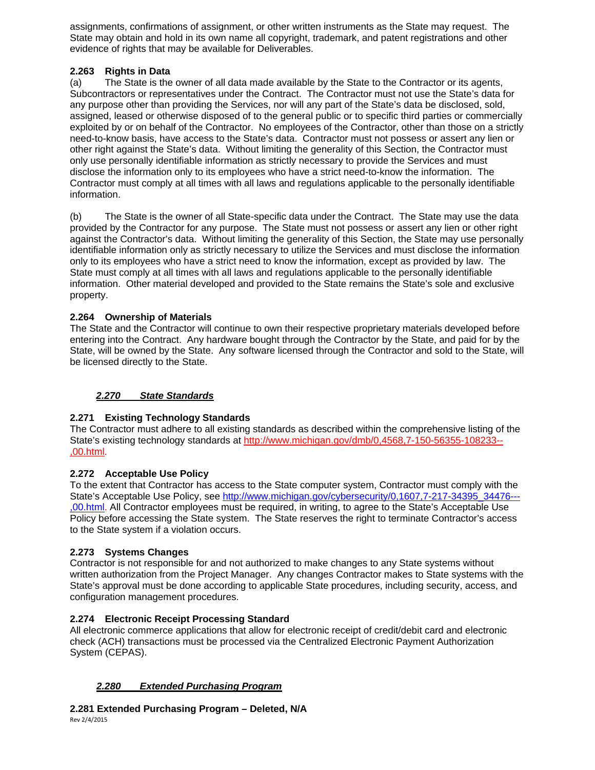assignments, confirmations of assignment, or other written instruments as the State may request. The State may obtain and hold in its own name all copyright, trademark, and patent registrations and other evidence of rights that may be available for Deliverables.

# **2.263 Rights in Data**

(a) The State is the owner of all data made available by the State to the Contractor or its agents, Subcontractors or representatives under the Contract. The Contractor must not use the State's data for any purpose other than providing the Services, nor will any part of the State's data be disclosed, sold, assigned, leased or otherwise disposed of to the general public or to specific third parties or commercially exploited by or on behalf of the Contractor. No employees of the Contractor, other than those on a strictly need-to-know basis, have access to the State's data. Contractor must not possess or assert any lien or other right against the State's data. Without limiting the generality of this Section, the Contractor must only use personally identifiable information as strictly necessary to provide the Services and must disclose the information only to its employees who have a strict need-to-know the information. The Contractor must comply at all times with all laws and regulations applicable to the personally identifiable information.

(b) The State is the owner of all State-specific data under the Contract. The State may use the data provided by the Contractor for any purpose. The State must not possess or assert any lien or other right against the Contractor's data. Without limiting the generality of this Section, the State may use personally identifiable information only as strictly necessary to utilize the Services and must disclose the information only to its employees who have a strict need to know the information, except as provided by law. The State must comply at all times with all laws and regulations applicable to the personally identifiable information. Other material developed and provided to the State remains the State's sole and exclusive property.

# **2.264 Ownership of Materials**

The State and the Contractor will continue to own their respective proprietary materials developed before entering into the Contract. Any hardware bought through the Contractor by the State, and paid for by the State, will be owned by the State. Any software licensed through the Contractor and sold to the State, will be licensed directly to the State.

# *2.270 State Standards*

# **2.271 Existing Technology Standards**

The Contractor must adhere to all existing standards as described within the comprehensive listing of the State's existing technology standards at http://www.michigan.gov/dmb/0,4568,7-150-56355-108233-- ,00.html.

# **2.272 Acceptable Use Policy**

To the extent that Contractor has access to the State computer system, Contractor must comply with the State's Acceptable Use Policy, see http://www.michigan.gov/cybersecurity/0,1607,7-217-34395\_34476---,00.html. All Contractor employees must be required, in writing, to agree to the State's Acceptable Use Policy before accessing the State system. The State reserves the right to terminate Contractor's access to the State system if a violation occurs.

# **2.273 Systems Changes**

Contractor is not responsible for and not authorized to make changes to any State systems without written authorization from the Project Manager. Any changes Contractor makes to State systems with the State's approval must be done according to applicable State procedures, including security, access, and configuration management procedures.

# **2.274 Electronic Receipt Processing Standard**

All electronic commerce applications that allow for electronic receipt of credit/debit card and electronic check (ACH) transactions must be processed via the Centralized Electronic Payment Authorization System (CEPAS).

# *2.280 Extended Purchasing Program*

Rev 2/4/2015 **2.281 Extended Purchasing Program – Deleted, N/A**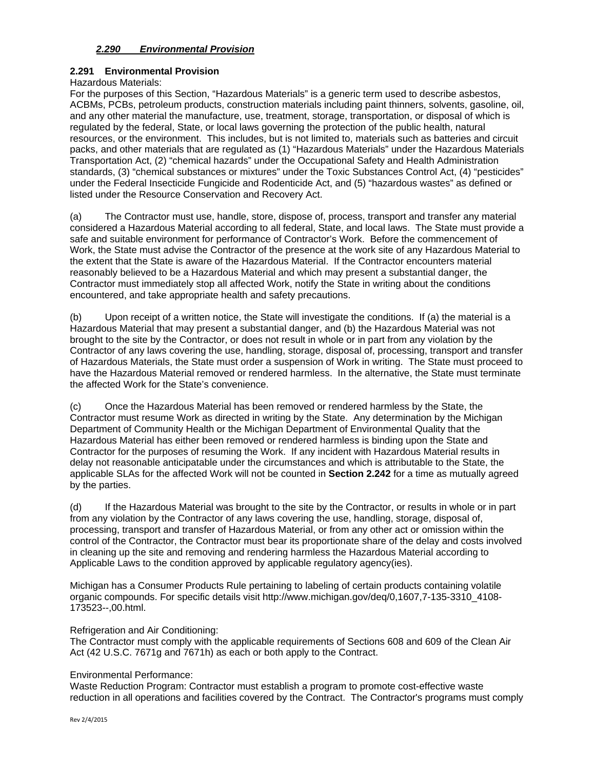# **2.291 Environmental Provision**

Hazardous Materials:

For the purposes of this Section, "Hazardous Materials" is a generic term used to describe asbestos, ACBMs, PCBs, petroleum products, construction materials including paint thinners, solvents, gasoline, oil, and any other material the manufacture, use, treatment, storage, transportation, or disposal of which is regulated by the federal, State, or local laws governing the protection of the public health, natural resources, or the environment. This includes, but is not limited to, materials such as batteries and circuit packs, and other materials that are regulated as (1) "Hazardous Materials" under the Hazardous Materials Transportation Act, (2) "chemical hazards" under the Occupational Safety and Health Administration standards, (3) "chemical substances or mixtures" under the Toxic Substances Control Act, (4) "pesticides" under the Federal Insecticide Fungicide and Rodenticide Act, and (5) "hazardous wastes" as defined or listed under the Resource Conservation and Recovery Act.

(a) The Contractor must use, handle, store, dispose of, process, transport and transfer any material considered a Hazardous Material according to all federal, State, and local laws. The State must provide a safe and suitable environment for performance of Contractor's Work. Before the commencement of Work, the State must advise the Contractor of the presence at the work site of any Hazardous Material to the extent that the State is aware of the Hazardous Material. If the Contractor encounters material reasonably believed to be a Hazardous Material and which may present a substantial danger, the Contractor must immediately stop all affected Work, notify the State in writing about the conditions encountered, and take appropriate health and safety precautions.

(b) Upon receipt of a written notice, the State will investigate the conditions. If (a) the material is a Hazardous Material that may present a substantial danger, and (b) the Hazardous Material was not brought to the site by the Contractor, or does not result in whole or in part from any violation by the Contractor of any laws covering the use, handling, storage, disposal of, processing, transport and transfer of Hazardous Materials, the State must order a suspension of Work in writing. The State must proceed to have the Hazardous Material removed or rendered harmless. In the alternative, the State must terminate the affected Work for the State's convenience.

(c) Once the Hazardous Material has been removed or rendered harmless by the State, the Contractor must resume Work as directed in writing by the State. Any determination by the Michigan Department of Community Health or the Michigan Department of Environmental Quality that the Hazardous Material has either been removed or rendered harmless is binding upon the State and Contractor for the purposes of resuming the Work. If any incident with Hazardous Material results in delay not reasonable anticipatable under the circumstances and which is attributable to the State, the applicable SLAs for the affected Work will not be counted in **Section 2.242** for a time as mutually agreed by the parties.

(d) If the Hazardous Material was brought to the site by the Contractor, or results in whole or in part from any violation by the Contractor of any laws covering the use, handling, storage, disposal of, processing, transport and transfer of Hazardous Material, or from any other act or omission within the control of the Contractor, the Contractor must bear its proportionate share of the delay and costs involved in cleaning up the site and removing and rendering harmless the Hazardous Material according to Applicable Laws to the condition approved by applicable regulatory agency(ies).

Michigan has a Consumer Products Rule pertaining to labeling of certain products containing volatile organic compounds. For specific details visit http://www.michigan.gov/deq/0,1607,7-135-3310\_4108- 173523--,00.html.

# Refrigeration and Air Conditioning:

The Contractor must comply with the applicable requirements of Sections 608 and 609 of the Clean Air Act (42 U.S.C. 7671g and 7671h) as each or both apply to the Contract.

### Environmental Performance:

Waste Reduction Program: Contractor must establish a program to promote cost-effective waste reduction in all operations and facilities covered by the Contract. The Contractor's programs must comply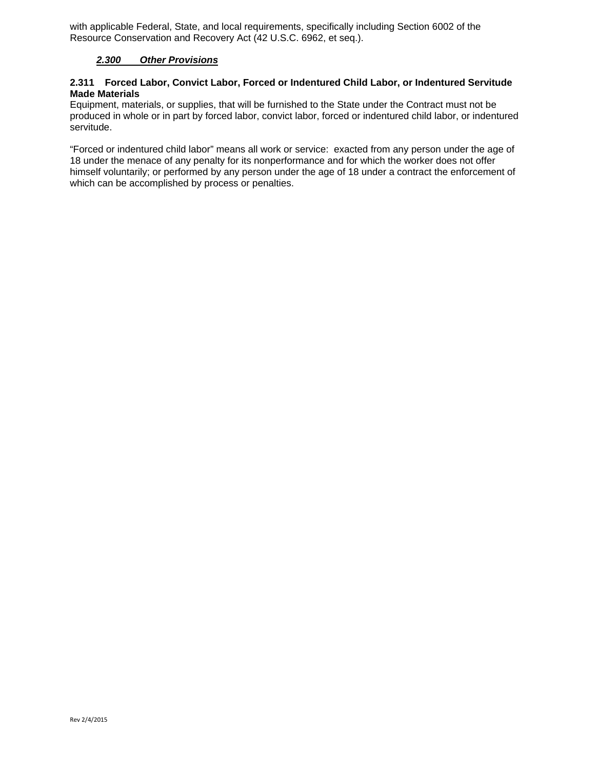with applicable Federal, State, and local requirements, specifically including Section 6002 of the Resource Conservation and Recovery Act (42 U.S.C. 6962, et seq.).

# *2.300 Other Provisions*

#### **2.311 Forced Labor, Convict Labor, Forced or Indentured Child Labor, or Indentured Servitude Made Materials**

Equipment, materials, or supplies, that will be furnished to the State under the Contract must not be produced in whole or in part by forced labor, convict labor, forced or indentured child labor, or indentured servitude.

"Forced or indentured child labor" means all work or service: exacted from any person under the age of 18 under the menace of any penalty for its nonperformance and for which the worker does not offer himself voluntarily; or performed by any person under the age of 18 under a contract the enforcement of which can be accomplished by process or penalties.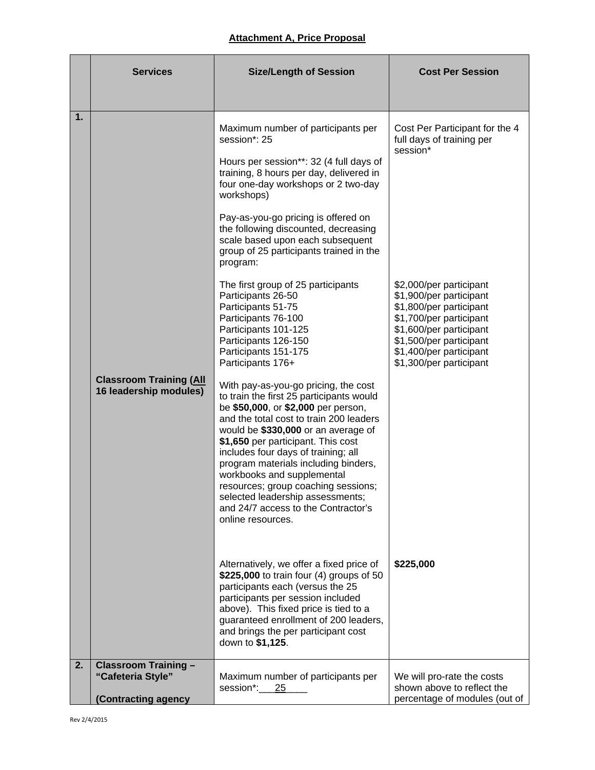# **Attachment A, Price Proposal**

|                | <b>Services</b>                                                         | <b>Size/Length of Session</b>                                                                                                                                                                                                                                                                                                                                                                                                                                                                       | <b>Cost Per Session</b>                                                                                                                                                                                              |
|----------------|-------------------------------------------------------------------------|-----------------------------------------------------------------------------------------------------------------------------------------------------------------------------------------------------------------------------------------------------------------------------------------------------------------------------------------------------------------------------------------------------------------------------------------------------------------------------------------------------|----------------------------------------------------------------------------------------------------------------------------------------------------------------------------------------------------------------------|
|                |                                                                         |                                                                                                                                                                                                                                                                                                                                                                                                                                                                                                     |                                                                                                                                                                                                                      |
| $\mathbf{1}$ . |                                                                         | Maximum number of participants per<br>session*: 25<br>Hours per session**: 32 (4 full days of<br>training, 8 hours per day, delivered in<br>four one-day workshops or 2 two-day<br>workshops)                                                                                                                                                                                                                                                                                                       | Cost Per Participant for the 4<br>full days of training per<br>session*                                                                                                                                              |
|                |                                                                         | Pay-as-you-go pricing is offered on<br>the following discounted, decreasing<br>scale based upon each subsequent<br>group of 25 participants trained in the<br>program:                                                                                                                                                                                                                                                                                                                              |                                                                                                                                                                                                                      |
|                |                                                                         | The first group of 25 participants<br>Participants 26-50<br>Participants 51-75<br>Participants 76-100<br>Participants 101-125<br>Participants 126-150<br>Participants 151-175<br>Participants 176+                                                                                                                                                                                                                                                                                                  | \$2,000/per participant<br>\$1,900/per participant<br>\$1,800/per participant<br>\$1,700/per participant<br>\$1,600/per participant<br>\$1,500/per participant<br>\$1,400/per participant<br>\$1,300/per participant |
|                | <b>Classroom Training (All</b><br>16 leadership modules)                | With pay-as-you-go pricing, the cost<br>to train the first 25 participants would<br>be \$50,000, or \$2,000 per person,<br>and the total cost to train 200 leaders<br>would be \$330,000 or an average of<br>\$1,650 per participant. This cost<br>includes four days of training; all<br>program materials including binders,<br>workbooks and supplemental<br>resources; group coaching sessions;<br>selected leadership assessments;<br>and 24/7 access to the Contractor's<br>online resources. |                                                                                                                                                                                                                      |
|                |                                                                         | Alternatively, we offer a fixed price of<br>\$225,000 to train four (4) groups of 50<br>participants each (versus the 25<br>participants per session included<br>above). This fixed price is tied to a<br>guaranteed enrollment of 200 leaders,<br>and brings the per participant cost<br>down to \$1,125.                                                                                                                                                                                          | \$225,000                                                                                                                                                                                                            |
| 2.             | <b>Classroom Training -</b><br>"Cafeteria Style"<br>(Contracting agency | Maximum number of participants per<br>session*: 25                                                                                                                                                                                                                                                                                                                                                                                                                                                  | We will pro-rate the costs<br>shown above to reflect the<br>percentage of modules (out of                                                                                                                            |